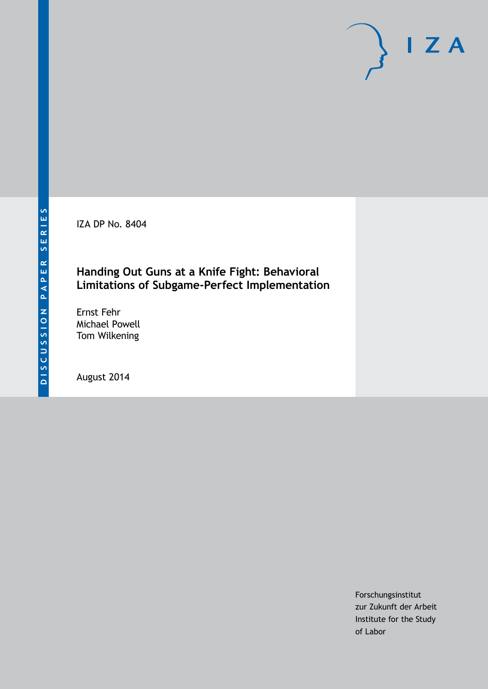IZA DP No. 8404

# **Handing Out Guns at a Knife Fight: Behavioral Limitations of Subgame-Perfect Implementation**

Ernst Fehr Michael Powell Tom Wilkening

August 2014

Forschungsinstitut zur Zukunft der Arbeit Institute for the Study of Labor

 $I Z A$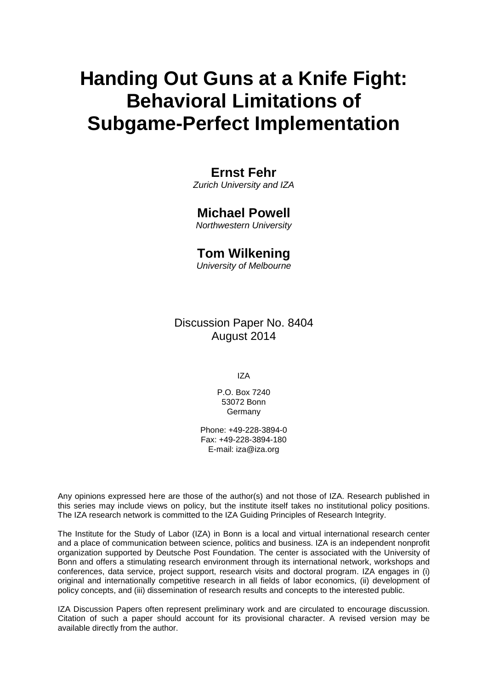# **Handing Out Guns at a Knife Fight: Behavioral Limitations of Subgame-Perfect Implementation**

# **Ernst Fehr**

*Zurich University and IZA*

# **Michael Powell**

*Northwestern University*

# **Tom Wilkening**

*University of Melbourne*

Discussion Paper No. 8404 August 2014

IZA

P.O. Box 7240 53072 Bonn Germany

Phone: +49-228-3894-0 Fax: +49-228-3894-180 E-mail: [iza@iza.org](mailto:iza@iza.org)

Any opinions expressed here are those of the author(s) and not those of IZA. Research published in this series may include views on policy, but the institute itself takes no institutional policy positions. The IZA research network is committed to the IZA Guiding Principles of Research Integrity.

The Institute for the Study of Labor (IZA) in Bonn is a local and virtual international research center and a place of communication between science, politics and business. IZA is an independent nonprofit organization supported by Deutsche Post Foundation. The center is associated with the University of Bonn and offers a stimulating research environment through its international network, workshops and conferences, data service, project support, research visits and doctoral program. IZA engages in (i) original and internationally competitive research in all fields of labor economics, (ii) development of policy concepts, and (iii) dissemination of research results and concepts to the interested public.

<span id="page-1-0"></span>IZA Discussion Papers often represent preliminary work and are circulated to encourage discussion. Citation of such a paper should account for its provisional character. A revised version may be available directly from the author.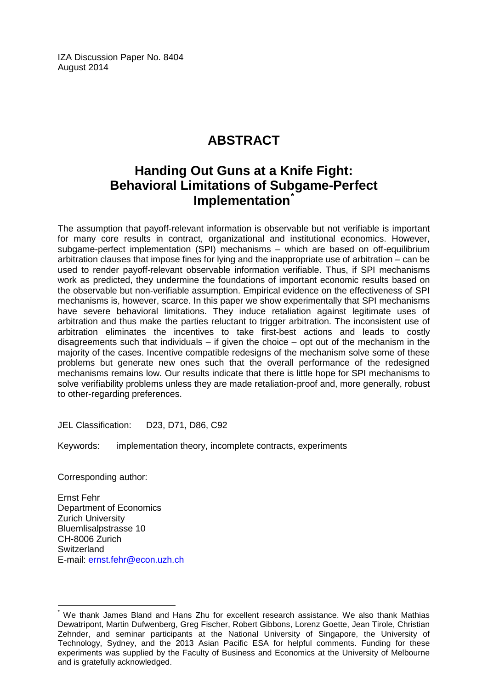IZA Discussion Paper No. 8404 August 2014

# **ABSTRACT**

# **Handing Out Guns at a Knife Fight: Behavioral Limitations of Subgame-Perfect Implementation[\\*](#page-1-0)**

The assumption that payoff-relevant information is observable but not verifiable is important for many core results in contract, organizational and institutional economics. However, subgame-perfect implementation (SPI) mechanisms – which are based on off-equilibrium arbitration clauses that impose fines for lying and the inappropriate use of arbitration – can be used to render payoff-relevant observable information verifiable. Thus, if SPI mechanisms work as predicted, they undermine the foundations of important economic results based on the observable but non-verifiable assumption. Empirical evidence on the effectiveness of SPI mechanisms is, however, scarce. In this paper we show experimentally that SPI mechanisms have severe behavioral limitations. They induce retaliation against legitimate uses of arbitration and thus make the parties reluctant to trigger arbitration. The inconsistent use of arbitration eliminates the incentives to take first-best actions and leads to costly disagreements such that individuals – if given the choice – opt out of the mechanism in the majority of the cases. Incentive compatible redesigns of the mechanism solve some of these problems but generate new ones such that the overall performance of the redesigned mechanisms remains low. Our results indicate that there is little hope for SPI mechanisms to solve verifiability problems unless they are made retaliation-proof and, more generally, robust to other-regarding preferences.

JEL Classification: D23, D71, D86, C92

Keywords: implementation theory, incomplete contracts, experiments

Corresponding author:

Ernst Fehr Department of Economics Zurich University Bluemlisalpstrasse 10 CH-8006 Zurich **Switzerland** E-mail: [ernst.fehr@econ.uzh.ch](mailto:ernst.fehr@econ.uzh.ch)

We thank James Bland and Hans Zhu for excellent research assistance. We also thank Mathias Dewatripont, Martin Dufwenberg, Greg Fischer, Robert Gibbons, Lorenz Goette, Jean Tirole, Christian Zehnder, and seminar participants at the National University of Singapore, the University of Technology, Sydney, and the 2013 Asian Pacific ESA for helpful comments. Funding for these experiments was supplied by the Faculty of Business and Economics at the University of Melbourne and is gratefully acknowledged.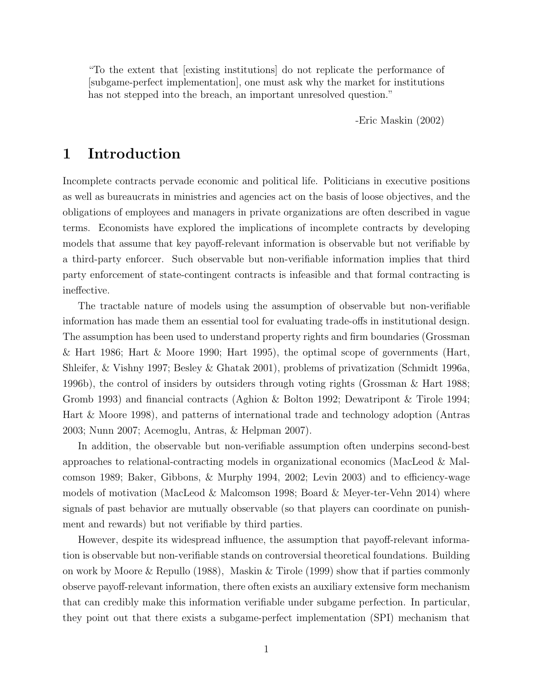"To the extent that [existing institutions] do not replicate the performance of [subgame-perfect implementation], one must ask why the market for institutions has not stepped into the breach, an important unresolved question."

-Eric Maskin (2002)

# 1 Introduction

Incomplete contracts pervade economic and political life. Politicians in executive positions as well as bureaucrats in ministries and agencies act on the basis of loose objectives, and the obligations of employees and managers in private organizations are often described in vague terms. Economists have explored the implications of incomplete contracts by developing models that assume that key payoff-relevant information is observable but not verifiable by a third-party enforcer. Such observable but non-verifiable information implies that third party enforcement of state-contingent contracts is infeasible and that formal contracting is ineffective.

The tractable nature of models using the assumption of observable but non-verifiable information has made them an essential tool for evaluating trade-offs in institutional design. The assumption has been used to understand property rights and firm boundaries (Grossman & Hart 1986; Hart & Moore 1990; Hart 1995), the optimal scope of governments (Hart, Shleifer, & Vishny 1997; Besley & Ghatak 2001), problems of privatization (Schmidt 1996a, 1996b), the control of insiders by outsiders through voting rights (Grossman & Hart 1988; Gromb 1993) and financial contracts (Aghion & Bolton 1992; Dewatripont & Tirole 1994; Hart & Moore 1998), and patterns of international trade and technology adoption (Antras 2003; Nunn 2007; Acemoglu, Antras, & Helpman 2007).

In addition, the observable but non-verifiable assumption often underpins second-best approaches to relational-contracting models in organizational economics (MacLeod & Malcomson 1989; Baker, Gibbons, & Murphy 1994, 2002; Levin 2003) and to efficiency-wage models of motivation (MacLeod & Malcomson 1998; Board & Meyer-ter-Vehn 2014) where signals of past behavior are mutually observable (so that players can coordinate on punishment and rewards) but not verifiable by third parties.

However, despite its widespread influence, the assumption that payoff-relevant information is observable but non-verifiable stands on controversial theoretical foundations. Building on work by Moore & Repullo (1988), Maskin & Tirole (1999) show that if parties commonly observe payoff-relevant information, there often exists an auxiliary extensive form mechanism that can credibly make this information verifiable under subgame perfection. In particular, they point out that there exists a subgame-perfect implementation (SPI) mechanism that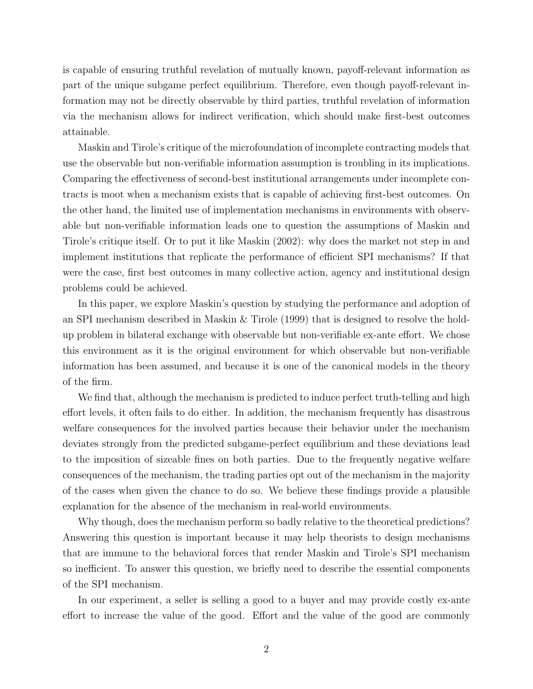is capable of ensuring truthful revelation of mutually known, payoff-relevant information as part of the unique subgame perfect equilibrium. Therefore, even though payoff-relevant information may not be directly observable by third parties, truthful revelation of information via the mechanism allows for indirect verification, which should make first-best outcomes attainable.

Maskin and Tirole's critique of the microfoundation of incomplete contracting models that use the observable but non-verifiable information assumption is troubling in its implications. Comparing the effectiveness of second-best institutional arrangements under incomplete contracts is moot when a mechanism exists that is capable of achieving first-best outcomes. On the other hand, the limited use of implementation mechanisms in environments with observable but non-verifiable information leads one to question the assumptions of Maskin and Tirole's critique itself. Or to put it like Maskin (2002): why does the market not step in and implement institutions that replicate the performance of efficient SPI mechanisms? If that were the case, first best outcomes in many collective action, agency and institutional design problems could be achieved.

In this paper, we explore Maskin's question by studying the performance and adoption of an SPI mechanism described in Maskin & Tirole (1999) that is designed to resolve the holdup problem in bilateral exchange with observable but non-verifiable ex-ante effort. We chose this environment as it is the original environment for which observable but non-verifiable information has been assumed, and because it is one of the canonical models in the theory of the firm.

We find that, although the mechanism is predicted to induce perfect truth-telling and high effort levels, it often fails to do either. In addition, the mechanism frequently has disastrous welfare consequences for the involved parties because their behavior under the mechanism deviates strongly from the predicted subgame-perfect equilibrium and these deviations lead to the imposition of sizeable fines on both parties. Due to the frequently negative welfare consequences of the mechanism, the trading parties opt out of the mechanism in the majority of the cases when given the chance to do so. We believe these findings provide a plausible explanation for the absence of the mechanism in real-world environments.

Why though, does the mechanism perform so badly relative to the theoretical predictions? Answering this question is important because it may help theorists to design mechanisms that are immune to the behavioral forces that render Maskin and Tirole's SPI mechanism so inefficient. To answer this question, we briefly need to describe the essential components of the SPI mechanism.

In our experiment, a seller is selling a good to a buyer and may provide costly ex-ante effort to increase the value of the good. Effort and the value of the good are commonly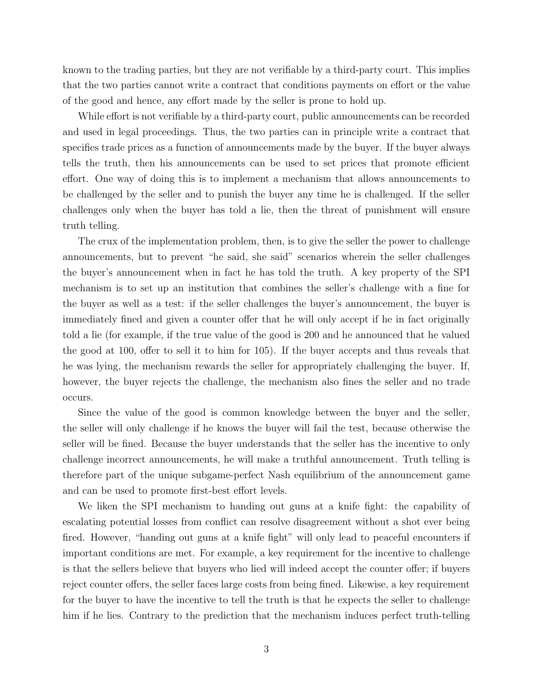known to the trading parties, but they are not verifiable by a third-party court. This implies that the two parties cannot write a contract that conditions payments on effort or the value of the good and hence, any effort made by the seller is prone to hold up.

While effort is not verifiable by a third-party court, public announcements can be recorded and used in legal proceedings. Thus, the two parties can in principle write a contract that specifies trade prices as a function of announcements made by the buyer. If the buyer always tells the truth, then his announcements can be used to set prices that promote efficient effort. One way of doing this is to implement a mechanism that allows announcements to be challenged by the seller and to punish the buyer any time he is challenged. If the seller challenges only when the buyer has told a lie, then the threat of punishment will ensure truth telling.

The crux of the implementation problem, then, is to give the seller the power to challenge announcements, but to prevent "he said, she said" scenarios wherein the seller challenges the buyer's announcement when in fact he has told the truth. A key property of the SPI mechanism is to set up an institution that combines the seller's challenge with a fine for the buyer as well as a test: if the seller challenges the buyer's announcement, the buyer is immediately fined and given a counter offer that he will only accept if he in fact originally told a lie (for example, if the true value of the good is 200 and he announced that he valued the good at 100, offer to sell it to him for 105). If the buyer accepts and thus reveals that he was lying, the mechanism rewards the seller for appropriately challenging the buyer. If, however, the buyer rejects the challenge, the mechanism also fines the seller and no trade occurs.

Since the value of the good is common knowledge between the buyer and the seller, the seller will only challenge if he knows the buyer will fail the test, because otherwise the seller will be fined. Because the buyer understands that the seller has the incentive to only challenge incorrect announcements, he will make a truthful announcement. Truth telling is therefore part of the unique subgame-perfect Nash equilibrium of the announcement game and can be used to promote first-best effort levels.

We liken the SPI mechanism to handing out guns at a knife fight: the capability of escalating potential losses from conflict can resolve disagreement without a shot ever being fired. However, "handing out guns at a knife fight" will only lead to peaceful encounters if important conditions are met. For example, a key requirement for the incentive to challenge is that the sellers believe that buyers who lied will indeed accept the counter offer; if buyers reject counter offers, the seller faces large costs from being fined. Likewise, a key requirement for the buyer to have the incentive to tell the truth is that he expects the seller to challenge him if he lies. Contrary to the prediction that the mechanism induces perfect truth-telling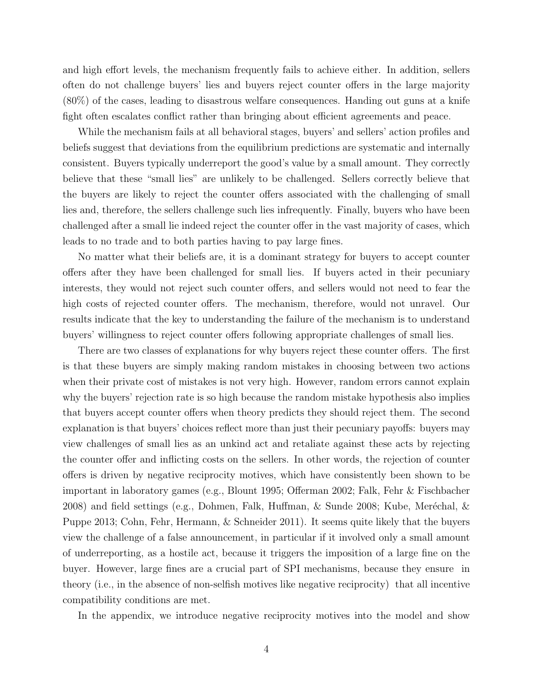and high effort levels, the mechanism frequently fails to achieve either. In addition, sellers often do not challenge buyers' lies and buyers reject counter offers in the large majority (80%) of the cases, leading to disastrous welfare consequences. Handing out guns at a knife fight often escalates conflict rather than bringing about efficient agreements and peace.

While the mechanism fails at all behavioral stages, buyers' and sellers' action profiles and beliefs suggest that deviations from the equilibrium predictions are systematic and internally consistent. Buyers typically underreport the good's value by a small amount. They correctly believe that these "small lies" are unlikely to be challenged. Sellers correctly believe that the buyers are likely to reject the counter offers associated with the challenging of small lies and, therefore, the sellers challenge such lies infrequently. Finally, buyers who have been challenged after a small lie indeed reject the counter offer in the vast majority of cases, which leads to no trade and to both parties having to pay large fines.

No matter what their beliefs are, it is a dominant strategy for buyers to accept counter offers after they have been challenged for small lies. If buyers acted in their pecuniary interests, they would not reject such counter offers, and sellers would not need to fear the high costs of rejected counter offers. The mechanism, therefore, would not unravel. Our results indicate that the key to understanding the failure of the mechanism is to understand buyers' willingness to reject counter offers following appropriate challenges of small lies.

There are two classes of explanations for why buyers reject these counter offers. The first is that these buyers are simply making random mistakes in choosing between two actions when their private cost of mistakes is not very high. However, random errors cannot explain why the buyers' rejection rate is so high because the random mistake hypothesis also implies that buyers accept counter offers when theory predicts they should reject them. The second explanation is that buyers' choices reflect more than just their pecuniary payoffs: buyers may view challenges of small lies as an unkind act and retaliate against these acts by rejecting the counter offer and inflicting costs on the sellers. In other words, the rejection of counter offers is driven by negative reciprocity motives, which have consistently been shown to be important in laboratory games (e.g., Blount 1995; Offerman 2002; Falk, Fehr & Fischbacher 2008) and field settings (e.g., Dohmen, Falk, Huffman,  $\&$  Sunde 2008; Kube, Meréchal,  $\&$ Puppe 2013; Cohn, Fehr, Hermann, & Schneider 2011). It seems quite likely that the buyers view the challenge of a false announcement, in particular if it involved only a small amount of underreporting, as a hostile act, because it triggers the imposition of a large fine on the buyer. However, large fines are a crucial part of SPI mechanisms, because they ensure in theory (i.e., in the absence of non-selfish motives like negative reciprocity) that all incentive compatibility conditions are met.

In the appendix, we introduce negative reciprocity motives into the model and show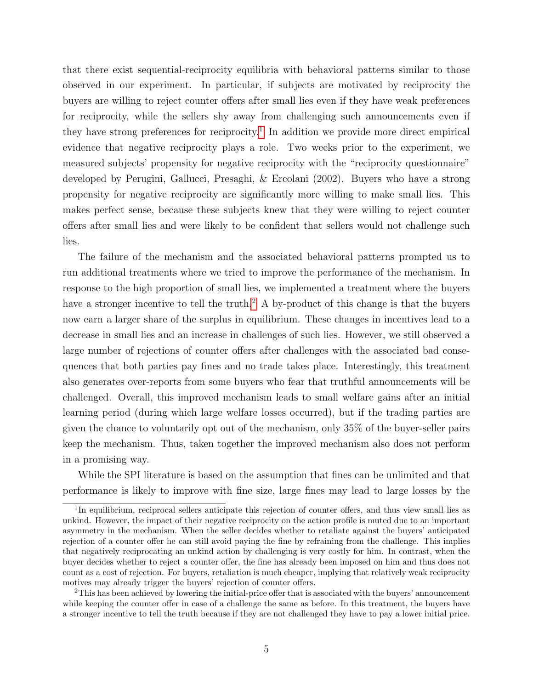that there exist sequential-reciprocity equilibria with behavioral patterns similar to those observed in our experiment. In particular, if subjects are motivated by reciprocity the buyers are willing to reject counter offers after small lies even if they have weak preferences for reciprocity, while the sellers shy away from challenging such announcements even if they have strong preferences for reciprocity.<sup>[1](#page--1-0)</sup> In addition we provide more direct empirical evidence that negative reciprocity plays a role. Two weeks prior to the experiment, we measured subjects' propensity for negative reciprocity with the "reciprocity questionnaire" developed by Perugini, Gallucci, Presaghi, & Ercolani (2002). Buyers who have a strong propensity for negative reciprocity are significantly more willing to make small lies. This makes perfect sense, because these subjects knew that they were willing to reject counter offers after small lies and were likely to be confident that sellers would not challenge such lies.

The failure of the mechanism and the associated behavioral patterns prompted us to run additional treatments where we tried to improve the performance of the mechanism. In response to the high proportion of small lies, we implemented a treatment where the buyers have a stronger incentive to tell the truth.<sup>[2](#page--1-0)</sup> A by-product of this change is that the buyers now earn a larger share of the surplus in equilibrium. These changes in incentives lead to a decrease in small lies and an increase in challenges of such lies. However, we still observed a large number of rejections of counter offers after challenges with the associated bad consequences that both parties pay fines and no trade takes place. Interestingly, this treatment also generates over-reports from some buyers who fear that truthful announcements will be challenged. Overall, this improved mechanism leads to small welfare gains after an initial learning period (during which large welfare losses occurred), but if the trading parties are given the chance to voluntarily opt out of the mechanism, only 35% of the buyer-seller pairs keep the mechanism. Thus, taken together the improved mechanism also does not perform in a promising way.

While the SPI literature is based on the assumption that fines can be unlimited and that performance is likely to improve with fine size, large fines may lead to large losses by the

<sup>&</sup>lt;sup>1</sup>In equilibrium, reciprocal sellers anticipate this rejection of counter offers, and thus view small lies as unkind. However, the impact of their negative reciprocity on the action profile is muted due to an important asymmetry in the mechanism. When the seller decides whether to retaliate against the buyers' anticipated rejection of a counter offer he can still avoid paying the fine by refraining from the challenge. This implies that negatively reciprocating an unkind action by challenging is very costly for him. In contrast, when the buyer decides whether to reject a counter offer, the fine has already been imposed on him and thus does not count as a cost of rejection. For buyers, retaliation is much cheaper, implying that relatively weak reciprocity motives may already trigger the buyers' rejection of counter offers.

<sup>&</sup>lt;sup>2</sup>This has been achieved by lowering the initial-price offer that is associated with the buyers' announcement while keeping the counter offer in case of a challenge the same as before. In this treatment, the buyers have a stronger incentive to tell the truth because if they are not challenged they have to pay a lower initial price.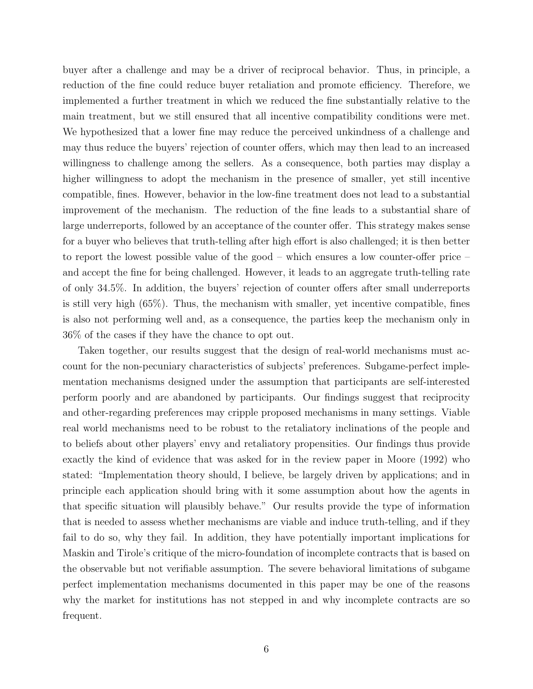buyer after a challenge and may be a driver of reciprocal behavior. Thus, in principle, a reduction of the fine could reduce buyer retaliation and promote efficiency. Therefore, we implemented a further treatment in which we reduced the fine substantially relative to the main treatment, but we still ensured that all incentive compatibility conditions were met. We hypothesized that a lower fine may reduce the perceived unkindness of a challenge and may thus reduce the buyers' rejection of counter offers, which may then lead to an increased willingness to challenge among the sellers. As a consequence, both parties may display a higher willingness to adopt the mechanism in the presence of smaller, yet still incentive compatible, fines. However, behavior in the low-fine treatment does not lead to a substantial improvement of the mechanism. The reduction of the fine leads to a substantial share of large underreports, followed by an acceptance of the counter offer. This strategy makes sense for a buyer who believes that truth-telling after high effort is also challenged; it is then better to report the lowest possible value of the good – which ensures a low counter-offer price – and accept the fine for being challenged. However, it leads to an aggregate truth-telling rate of only 34.5%. In addition, the buyers' rejection of counter offers after small underreports is still very high (65%). Thus, the mechanism with smaller, yet incentive compatible, fines is also not performing well and, as a consequence, the parties keep the mechanism only in 36% of the cases if they have the chance to opt out.

Taken together, our results suggest that the design of real-world mechanisms must account for the non-pecuniary characteristics of subjects' preferences. Subgame-perfect implementation mechanisms designed under the assumption that participants are self-interested perform poorly and are abandoned by participants. Our findings suggest that reciprocity and other-regarding preferences may cripple proposed mechanisms in many settings. Viable real world mechanisms need to be robust to the retaliatory inclinations of the people and to beliefs about other players' envy and retaliatory propensities. Our findings thus provide exactly the kind of evidence that was asked for in the review paper in Moore (1992) who stated: "Implementation theory should, I believe, be largely driven by applications; and in principle each application should bring with it some assumption about how the agents in that specific situation will plausibly behave." Our results provide the type of information that is needed to assess whether mechanisms are viable and induce truth-telling, and if they fail to do so, why they fail. In addition, they have potentially important implications for Maskin and Tirole's critique of the micro-foundation of incomplete contracts that is based on the observable but not verifiable assumption. The severe behavioral limitations of subgame perfect implementation mechanisms documented in this paper may be one of the reasons why the market for institutions has not stepped in and why incomplete contracts are so frequent.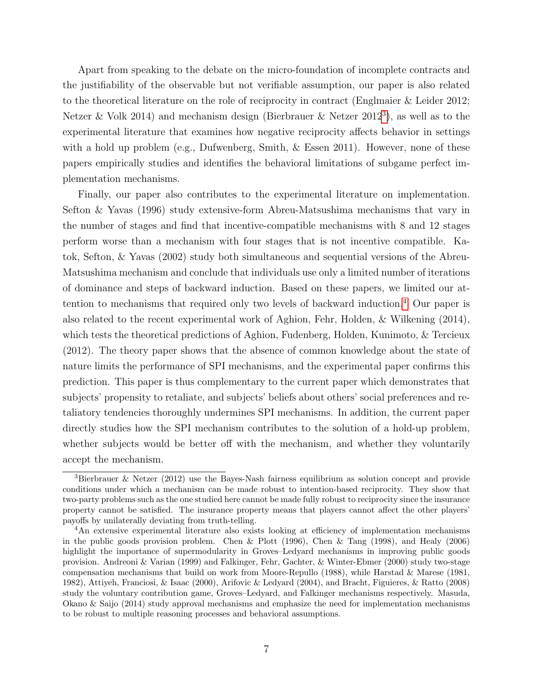Apart from speaking to the debate on the micro-foundation of incomplete contracts and the justifiability of the observable but not verifiable assumption, our paper is also related to the theoretical literature on the role of reciprocity in contract (Englmaier & Leider 2012; Netzer & Volk 2014) and mechanism design (Bierbrauer & Netzer 2012<sup>[3](#page--1-0)</sup>), as well as to the experimental literature that examines how negative reciprocity affects behavior in settings with a hold up problem (e.g., Dufwenberg, Smith, & Essen 2011). However, none of these papers empirically studies and identifies the behavioral limitations of subgame perfect implementation mechanisms.

Finally, our paper also contributes to the experimental literature on implementation. Sefton & Yavas (1996) study extensive-form Abreu-Matsushima mechanisms that vary in the number of stages and find that incentive-compatible mechanisms with 8 and 12 stages perform worse than a mechanism with four stages that is not incentive compatible. Katok, Sefton, & Yavas (2002) study both simultaneous and sequential versions of the Abreu-Matsushima mechanism and conclude that individuals use only a limited number of iterations of dominance and steps of backward induction. Based on these papers, we limited our attention to mechanisms that required only two levels of backward induction.[4](#page--1-0) Our paper is also related to the recent experimental work of Aghion, Fehr, Holden, & Wilkening (2014), which tests the theoretical predictions of Aghion, Fudenberg, Holden, Kunimoto, & Tercieux (2012). The theory paper shows that the absence of common knowledge about the state of nature limits the performance of SPI mechanisms, and the experimental paper confirms this prediction. This paper is thus complementary to the current paper which demonstrates that subjects' propensity to retaliate, and subjects' beliefs about others' social preferences and retaliatory tendencies thoroughly undermines SPI mechanisms. In addition, the current paper directly studies how the SPI mechanism contributes to the solution of a hold-up problem, whether subjects would be better off with the mechanism, and whether they voluntarily accept the mechanism.

<sup>3</sup>Bierbrauer & Netzer (2012) use the Bayes-Nash fairness equilibrium as solution concept and provide conditions under which a mechanism can be made robust to intention-based reciprocity. They show that two-party problems such as the one studied here cannot be made fully robust to reciprocity since the insurance property cannot be satisfied. The insurance property means that players cannot affect the other players' payoffs by unilaterally deviating from truth-telling.

<sup>4</sup>An extensive experimental literature also exists looking at efficiency of implementation mechanisms in the public goods provision problem. Chen & Plott (1996), Chen & Tang (1998), and Healy (2006) highlight the importance of supermodularity in Groves–Ledyard mechanisms in improving public goods provision. Andreoni & Varian (1999) and Falkinger, Fehr, Gachter, & Winter-Ebmer (2000) study two-stage compensation mechanisms that build on work from Moore-Repullo (1988), while Harstad & Marese (1981, 1982), Attiyeh, Franciosi, & Isaac (2000), Arifovic & Ledyard (2004), and Bracht, Figuieres, & Ratto (2008) study the voluntary contribution game, Groves–Ledyard, and Falkinger mechanisms respectively. Masuda, Okano & Saijo (2014) study approval mechanisms and emphasize the need for implementation mechanisms to be robust to multiple reasoning processes and behavioral assumptions.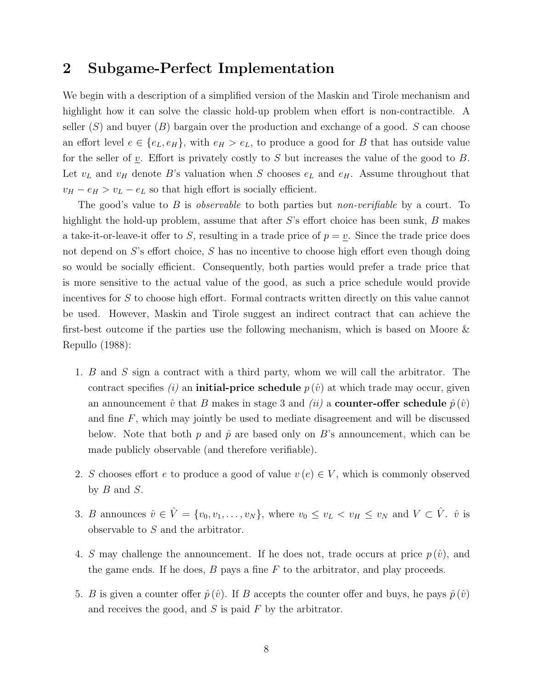# 2 Subgame-Perfect Implementation

We begin with a description of a simplified version of the Maskin and Tirole mechanism and highlight how it can solve the classic hold-up problem when effort is non-contractible. A seller  $(S)$  and buyer  $(B)$  bargain over the production and exchange of a good. S can choose an effort level  $e \in \{e_L, e_H\}$ , with  $e_H > e_L$ , to produce a good for B that has outside value for the seller of  $\underline{v}$ . Effort is privately costly to S but increases the value of the good to B. Let  $v<sub>L</sub>$  and  $v<sub>H</sub>$  denote B's valuation when S chooses  $e<sub>L</sub>$  and  $e<sub>H</sub>$ . Assume throughout that  $v_H - e_H > v_L - e_L$  so that high effort is socially efficient.

The good's value to  $B$  is *observable* to both parties but *non-verifiable* by a court. To highlight the hold-up problem, assume that after  $S$ 's effort choice has been sunk,  $B$  makes a take-it-or-leave-it offer to S, resulting in a trade price of  $p = v$ . Since the trade price does not depend on S's effort choice, S has no incentive to choose high effort even though doing so would be socially efficient. Consequently, both parties would prefer a trade price that is more sensitive to the actual value of the good, as such a price schedule would provide incentives for S to choose high effort. Formal contracts written directly on this value cannot be used. However, Maskin and Tirole suggest an indirect contract that can achieve the first-best outcome if the parties use the following mechanism, which is based on Moore & Repullo (1988):

- 1. B and S sign a contract with a third party, whom we will call the arbitrator. The contract specifies (i) an **initial-price schedule**  $p(\hat{v})$  at which trade may occur, given an announcement  $\hat{v}$  that B makes in stage 3 and *(ii)* a **counter-offer schedule**  $\hat{p}(\hat{v})$ and fine  $F$ , which may jointly be used to mediate disagreement and will be discussed below. Note that both p and  $\hat{p}$  are based only on B's announcement, which can be made publicly observable (and therefore verifiable).
- 2. S chooses effort e to produce a good of value  $v(e) \in V$ , which is commonly observed by  $B$  and  $S$ .
- 3. B announces  $\hat{v} \in \hat{V} = \{v_0, v_1, \ldots, v_N\}$ , where  $v_0 \le v_L < v_H \le v_N$  and  $V \subset \hat{V}$ .  $\hat{v}$  is observable to S and the arbitrator.
- 4. S may challenge the announcement. If he does not, trade occurs at price  $p(\hat{v})$ , and the game ends. If he does,  $B$  pays a fine  $F$  to the arbitrator, and play proceeds.
- 5. B is given a counter offer  $\hat{p}(\hat{v})$ . If B accepts the counter offer and buys, he pays  $\hat{p}(\hat{v})$ and receives the good, and  $S$  is paid  $F$  by the arbitrator.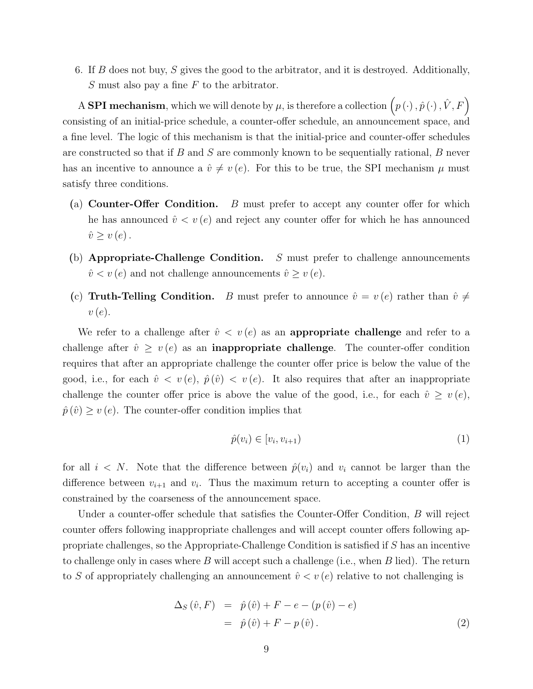6. If B does not buy, S gives the good to the arbitrator, and it is destroyed. Additionally,  $S$  must also pay a fine  $F$  to the arbitrator.

A SPI mechanism, which we will denote by  $\mu$ , is therefore a collection  $(p(\cdot), \hat{p}(\cdot), \hat{V}, F)$ consisting of an initial-price schedule, a counter-offer schedule, an announcement space, and a fine level. The logic of this mechanism is that the initial-price and counter-offer schedules are constructed so that if B and S are commonly known to be sequentially rational, B never has an incentive to announce a  $\hat{v} \neq v (e)$ . For this to be true, the SPI mechanism  $\mu$  must satisfy three conditions.

- (a) Counter-Offer Condition. B must prefer to accept any counter offer for which he has announced  $\hat{v} < v(e)$  and reject any counter offer for which he has announced  $\hat{v} \geq v(e)$ .
- (b) Appropriate-Challenge Condition.  $S$  must prefer to challenge announcements  $\hat{v} < v(e)$  and not challenge announcements  $\hat{v} \ge v(e)$ .
- (c) Truth-Telling Condition. B must prefer to announce  $\hat{v} = v(e)$  rather than  $\hat{v} \neq$  $v(e)$ .

We refer to a challenge after  $\hat{v} < v(e)$  as an **appropriate challenge** and refer to a challenge after  $\hat{v} \ge v(e)$  as an **inappropriate challenge**. The counter-offer condition requires that after an appropriate challenge the counter offer price is below the value of the good, i.e., for each  $\hat{v} \langle v(e), \hat{p}(\hat{v}) \rangle \langle v(e), \hat{v}(\hat{e}) \rangle$  is the sequires that after an inappropriate challenge the counter offer price is above the value of the good, i.e., for each  $\hat{v} \geq v(e)$ ,  $\hat{p}(\hat{v}) \ge v(e)$ . The counter-offer condition implies that

$$
\hat{p}(v_i) \in [v_i, v_{i+1}) \tag{1}
$$

for all  $i < N$ . Note that the difference between  $\hat{p}(v_i)$  and  $v_i$  cannot be larger than the difference between  $v_{i+1}$  and  $v_i$ . Thus the maximum return to accepting a counter offer is constrained by the coarseness of the announcement space.

Under a counter-offer schedule that satisfies the Counter-Offer Condition, B will reject counter offers following inappropriate challenges and will accept counter offers following appropriate challenges, so the Appropriate-Challenge Condition is satisfied if S has an incentive to challenge only in cases where  $B$  will accept such a challenge (i.e., when  $B$  lied). The return to S of appropriately challenging an announcement  $\hat{v} < v(e)$  relative to not challenging is

$$
\Delta_S(\hat{v}, F) = \hat{p}(\hat{v}) + F - e - (p(\hat{v}) - e)
$$
  
=  $\hat{p}(\hat{v}) + F - p(\hat{v}).$  (2)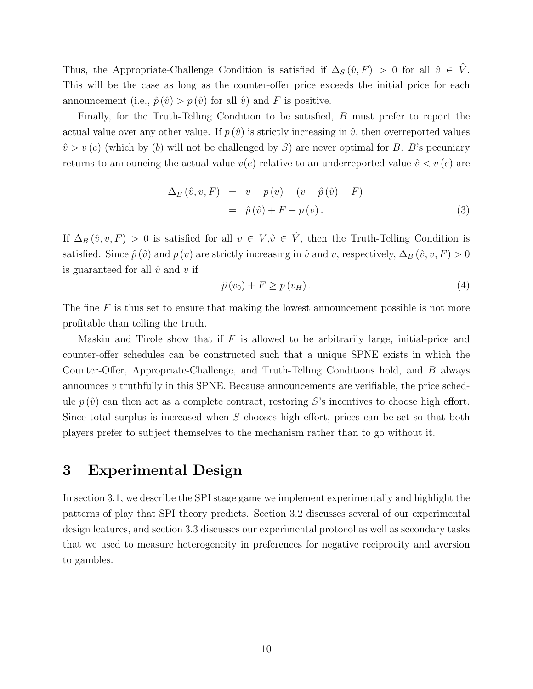Thus, the Appropriate-Challenge Condition is satisfied if  $\Delta_S(\hat{v}, F) > 0$  for all  $\hat{v} \in \hat{V}$ . This will be the case as long as the counter-offer price exceeds the initial price for each announcement (i.e.,  $\hat{p}(\hat{v}) > p(\hat{v})$  for all  $\hat{v}$ ) and F is positive.

Finally, for the Truth-Telling Condition to be satisfied, B must prefer to report the actual value over any other value. If  $p(\hat{v})$  is strictly increasing in  $\hat{v}$ , then overreported values  $\hat{v} > v(e)$  (which by (b) will not be challenged by S) are never optimal for B. B's pecuniary returns to announcing the actual value  $v(e)$  relative to an underreported value  $\hat{v} < v(e)$  are

$$
\Delta_B(\hat{v}, v, F) = v - p(v) - (v - \hat{p}(\hat{v}) - F)
$$
  
=  $\hat{p}(\hat{v}) + F - p(v)$ . (3)

If  $\Delta_B(\hat{v}, v, F) > 0$  is satisfied for all  $v \in V, \hat{v} \in \hat{V}$ , then the Truth-Telling Condition is satisfied. Since  $\hat{p}(\hat{v})$  and  $p(v)$  are strictly increasing in  $\hat{v}$  and v, respectively,  $\Delta_B(\hat{v}, v, F) > 0$ is guaranteed for all  $\hat{v}$  and  $v$  if

$$
\hat{p}(v_0) + F \ge p(v_H). \tag{4}
$$

The fine  $F$  is thus set to ensure that making the lowest announcement possible is not more profitable than telling the truth.

Maskin and Tirole show that if  $F$  is allowed to be arbitrarily large, initial-price and counter-offer schedules can be constructed such that a unique SPNE exists in which the Counter-Offer, Appropriate-Challenge, and Truth-Telling Conditions hold, and B always announces  $v$  truthfully in this SPNE. Because announcements are verifiable, the price schedule  $p(\hat{v})$  can then act as a complete contract, restoring S's incentives to choose high effort. Since total surplus is increased when S chooses high effort, prices can be set so that both players prefer to subject themselves to the mechanism rather than to go without it.

# 3 Experimental Design

In section 3.1, we describe the SPI stage game we implement experimentally and highlight the patterns of play that SPI theory predicts. Section 3.2 discusses several of our experimental design features, and section 3.3 discusses our experimental protocol as well as secondary tasks that we used to measure heterogeneity in preferences for negative reciprocity and aversion to gambles.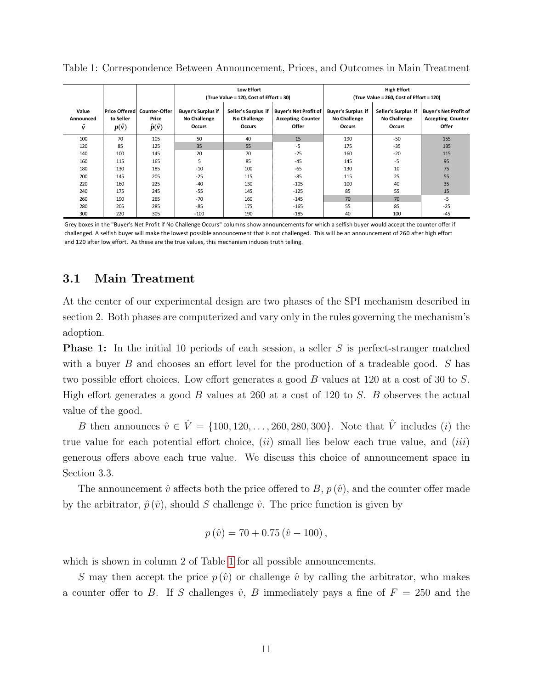|                         |                           |                                                              |                                                            | <b>Low Effort</b><br>(True Value = 120, Cost of Effort = 30) |                                                                   |                                                            | <b>High Effort</b><br>(True Value = 260, Cost of Effort = 120) |                                                                   |
|-------------------------|---------------------------|--------------------------------------------------------------|------------------------------------------------------------|--------------------------------------------------------------|-------------------------------------------------------------------|------------------------------------------------------------|----------------------------------------------------------------|-------------------------------------------------------------------|
| Value<br>Announced<br>ŷ | to Seller<br>$p(\hat{v})$ | Price Offered   Counter-Offer<br>Price<br>$\hat{p}(\hat{v})$ | <b>Buyer's Surplus if</b><br>No Challenge<br><b>Occurs</b> | Seller's Surplus if<br>No Challenge<br>Occurs                | <b>Buyer's Net Profit of</b><br><b>Accepting Counter</b><br>Offer | <b>Buyer's Surplus if</b><br><b>No Challenge</b><br>Occurs | Seller's Surplus if<br>No Challenge<br>Occurs                  | <b>Buyer's Net Profit of</b><br><b>Accepting Counter</b><br>Offer |
| 100                     | 70                        | 105                                                          | 50                                                         | 40                                                           | 15                                                                | 190                                                        | $-50$                                                          | 155                                                               |
| 120                     | 85                        | 125                                                          | 35                                                         | 55                                                           | $-5$                                                              | 175                                                        | $-35$                                                          | 135                                                               |
| 140                     | 100                       | 145                                                          | 20                                                         | 70                                                           | $-25$                                                             | 160                                                        | $-20$                                                          | 115                                                               |
| 160                     | 115                       | 165                                                          | 5                                                          | 85                                                           | $-45$                                                             | 145                                                        | -5                                                             | 95                                                                |
| 180                     | 130                       | 185                                                          | $-10$                                                      | 100                                                          | -65                                                               | 130                                                        | 10                                                             | 75                                                                |
| 200                     | 145                       | 205                                                          | $-25$                                                      | 115                                                          | -85                                                               | 115                                                        | 25                                                             | 55                                                                |
| 220                     | 160                       | 225                                                          | $-40$                                                      | 130                                                          | $-105$                                                            | 100                                                        | 40                                                             | 35                                                                |
| 240                     | 175                       | 245                                                          | $-55$                                                      | 145                                                          | $-125$                                                            | 85                                                         | 55                                                             | 15                                                                |
| 260                     | 190                       | 265                                                          | $-70$                                                      | 160                                                          | $-145$                                                            | 70                                                         | 70                                                             | $-5$                                                              |
| 280                     | 205                       | 285                                                          | $-85$                                                      | 175                                                          | $-165$                                                            | 55                                                         | 85                                                             | $-25$                                                             |
| 300                     | 220                       | 305                                                          | $-100$                                                     | 190                                                          | $-185$                                                            | 40                                                         | 100                                                            | $-45$                                                             |

<span id="page-13-0"></span>Table 1: Correspondence Between Announcement, Prices, and Outcomes in Main Treatment

Grey boxes in the "Buyer's Net Profit if No Challenge Occurs" columns show announcements for which a selfish buyer would accept the counter offer if challenged. A selfish buyer will make the lowest possible announcement that is not challenged. This will be an announcement of 260 after high effort and 120 after low effort. As these are the true values, this mechanism induces truth telling.

### 3.1 Main Treatment

At the center of our experimental design are two phases of the SPI mechanism described in section 2. Both phases are computerized and vary only in the rules governing the mechanism's adoption.

**Phase 1:** In the initial 10 periods of each session, a seller S is perfect-stranger matched with a buyer B and chooses an effort level for the production of a tradeable good. S has two possible effort choices. Low effort generates a good B values at 120 at a cost of 30 to S. High effort generates a good  $B$  values at 260 at a cost of 120 to  $S$ .  $B$  observes the actual value of the good.

B then announces  $\hat{v} \in \hat{V} = \{100, 120, ..., 260, 280, 300\}$ . Note that  $\hat{V}$  includes (*i*) the true value for each potential effort choice,  $(ii)$  small lies below each true value, and  $(iii)$ generous offers above each true value. We discuss this choice of announcement space in Section 3.3.

The announcement  $\hat{v}$  affects both the price offered to B,  $p(\hat{v})$ , and the counter offer made by the arbitrator,  $\hat{p}(\hat{v})$ , should S challenge  $\hat{v}$ . The price function is given by

$$
p(\hat{v}) = 70 + 0.75 (\hat{v} - 100),
$$

which is shown in column 2 of Table [1](#page-13-0) for all possible announcements.

S may then accept the price  $p(\hat{v})$  or challenge  $\hat{v}$  by calling the arbitrator, who makes a counter offer to B. If S challenges  $\hat{v}$ , B immediately pays a fine of  $F = 250$  and the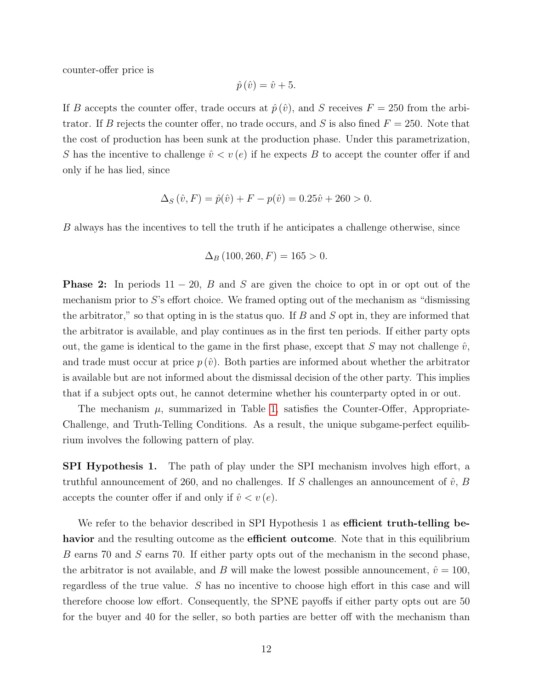counter-offer price is

$$
\hat{p}\left(\hat{v}\right) = \hat{v} + 5.
$$

If B accepts the counter offer, trade occurs at  $\hat{p}(\hat{v})$ , and S receives  $F = 250$  from the arbitrator. If B rejects the counter offer, no trade occurs, and S is also fined  $F = 250$ . Note that the cost of production has been sunk at the production phase. Under this parametrization, S has the incentive to challenge  $\hat{v} < v(e)$  if he expects B to accept the counter offer if and only if he has lied, since

$$
\Delta_S(\hat{v}, F) = \hat{p}(\hat{v}) + F - p(\hat{v}) = 0.25\hat{v} + 260 > 0.
$$

B always has the incentives to tell the truth if he anticipates a challenge otherwise, since

$$
\Delta_B (100, 260, F) = 165 > 0.
$$

**Phase 2:** In periods  $11 - 20$ , B and S are given the choice to opt in or opt out of the mechanism prior to S's effort choice. We framed opting out of the mechanism as "dismissing the arbitrator," so that opting in is the status quo. If  $B$  and  $S$  opt in, they are informed that the arbitrator is available, and play continues as in the first ten periods. If either party opts out, the game is identical to the game in the first phase, except that S may not challenge  $\hat{v}$ , and trade must occur at price  $p(\hat{v})$ . Both parties are informed about whether the arbitrator is available but are not informed about the dismissal decision of the other party. This implies that if a subject opts out, he cannot determine whether his counterparty opted in or out.

The mechanism  $\mu$ , summarized in Table [1,](#page-13-0) satisfies the Counter-Offer, Appropriate-Challenge, and Truth-Telling Conditions. As a result, the unique subgame-perfect equilibrium involves the following pattern of play.

SPI Hypothesis 1. The path of play under the SPI mechanism involves high effort, a truthful announcement of 260, and no challenges. If S challenges an announcement of  $\hat{v}$ , B accepts the counter offer if and only if  $\hat{v} < v(e)$ .

We refer to the behavior described in SPI Hypothesis 1 as **efficient truth-telling be**havior and the resulting outcome as the efficient outcome. Note that in this equilibrium B earns 70 and S earns 70. If either party opts out of the mechanism in the second phase, the arbitrator is not available, and B will make the lowest possible announcement,  $\hat{v} = 100$ , regardless of the true value. S has no incentive to choose high effort in this case and will therefore choose low effort. Consequently, the SPNE payoffs if either party opts out are 50 for the buyer and 40 for the seller, so both parties are better off with the mechanism than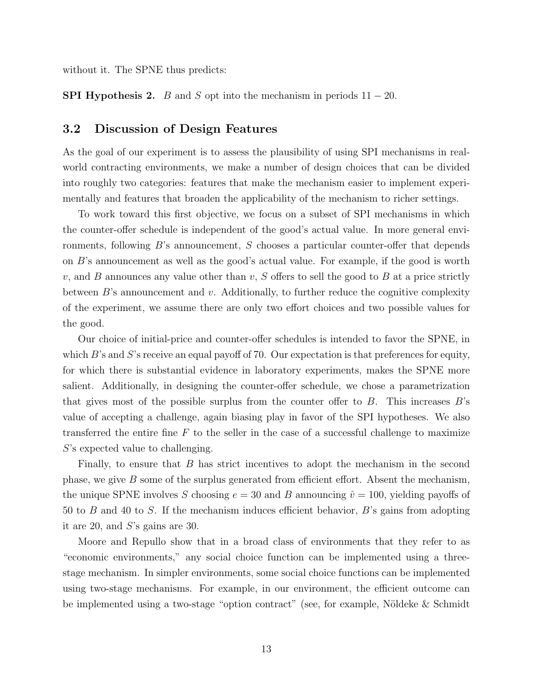without it. The SPNE thus predicts:

**SPI Hypothesis 2.** B and S opt into the mechanism in periods  $11 - 20$ .

#### 3.2 Discussion of Design Features

As the goal of our experiment is to assess the plausibility of using SPI mechanisms in realworld contracting environments, we make a number of design choices that can be divided into roughly two categories: features that make the mechanism easier to implement experimentally and features that broaden the applicability of the mechanism to richer settings.

To work toward this first objective, we focus on a subset of SPI mechanisms in which the counter-offer schedule is independent of the good's actual value. In more general environments, following B's announcement, S chooses a particular counter-offer that depends on B's announcement as well as the good's actual value. For example, if the good is worth v, and B announces any value other than v, S offers to sell the good to B at a price strictly between  $B$ 's announcement and v. Additionally, to further reduce the cognitive complexity of the experiment, we assume there are only two effort choices and two possible values for the good.

Our choice of initial-price and counter-offer schedules is intended to favor the SPNE, in which  $B$ 's and  $S$ 's receive an equal payoff of 70. Our expectation is that preferences for equity, for which there is substantial evidence in laboratory experiments, makes the SPNE more salient. Additionally, in designing the counter-offer schedule, we chose a parametrization that gives most of the possible surplus from the counter offer to  $B$ . This increases  $B$ 's value of accepting a challenge, again biasing play in favor of the SPI hypotheses. We also transferred the entire fine  $F$  to the seller in the case of a successful challenge to maximize S's expected value to challenging.

Finally, to ensure that  $B$  has strict incentives to adopt the mechanism in the second phase, we give  $B$  some of the surplus generated from efficient effort. Absent the mechanism, the unique SPNE involves S choosing  $e = 30$  and B announcing  $\hat{v} = 100$ , yielding payoffs of 50 to B and 40 to S. If the mechanism induces efficient behavior, B's gains from adopting it are 20, and S's gains are 30.

Moore and Repullo show that in a broad class of environments that they refer to as "economic environments," any social choice function can be implemented using a threestage mechanism. In simpler environments, some social choice functions can be implemented using two-stage mechanisms. For example, in our environment, the efficient outcome can be implemented using a two-stage "option contract" (see, for example, Nöldeke  $\&$  Schmidt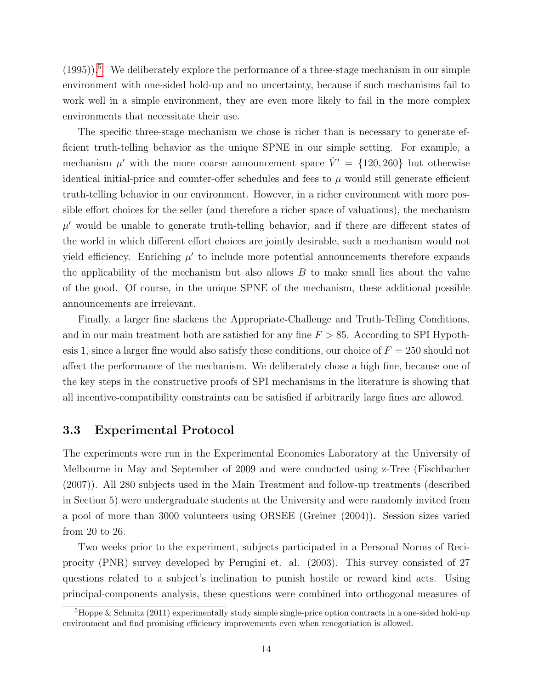$(1995)$  $(1995)$  $(1995)$ .<sup>5</sup> We deliberately explore the performance of a three-stage mechanism in our simple environment with one-sided hold-up and no uncertainty, because if such mechanisms fail to work well in a simple environment, they are even more likely to fail in the more complex environments that necessitate their use.

The specific three-stage mechanism we chose is richer than is necessary to generate efficient truth-telling behavior as the unique SPNE in our simple setting. For example, a mechanism  $\mu'$  with the more coarse announcement space  $\hat{V}' = \{120, 260\}$  but otherwise identical initial-price and counter-offer schedules and fees to  $\mu$  would still generate efficient truth-telling behavior in our environment. However, in a richer environment with more possible effort choices for the seller (and therefore a richer space of valuations), the mechanism  $\mu'$  would be unable to generate truth-telling behavior, and if there are different states of the world in which different effort choices are jointly desirable, such a mechanism would not yield efficiency. Enriching  $\mu'$  to include more potential announcements therefore expands the applicability of the mechanism but also allows  $B$  to make small lies about the value of the good. Of course, in the unique SPNE of the mechanism, these additional possible announcements are irrelevant.

Finally, a larger fine slackens the Appropriate-Challenge and Truth-Telling Conditions, and in our main treatment both are satisfied for any fine  $F > 85$ . According to SPI Hypothesis 1, since a larger fine would also satisfy these conditions, our choice of  $F = 250$  should not affect the performance of the mechanism. We deliberately chose a high fine, because one of the key steps in the constructive proofs of SPI mechanisms in the literature is showing that all incentive-compatibility constraints can be satisfied if arbitrarily large fines are allowed.

#### 3.3 Experimental Protocol

The experiments were run in the Experimental Economics Laboratory at the University of Melbourne in May and September of 2009 and were conducted using z-Tree (Fischbacher (2007)). All 280 subjects used in the Main Treatment and follow-up treatments (described in Section 5) were undergraduate students at the University and were randomly invited from a pool of more than 3000 volunteers using ORSEE (Greiner (2004)). Session sizes varied from 20 to 26.

Two weeks prior to the experiment, subjects participated in a Personal Norms of Reciprocity (PNR) survey developed by Perugini et. al. (2003). This survey consisted of 27 questions related to a subject's inclination to punish hostile or reward kind acts. Using principal-components analysis, these questions were combined into orthogonal measures of

 ${}^{5}$ Hoppe & Schmitz (2011) experimentally study simple single-price option contracts in a one-sided hold-up environment and find promising efficiency improvements even when renegotiation is allowed.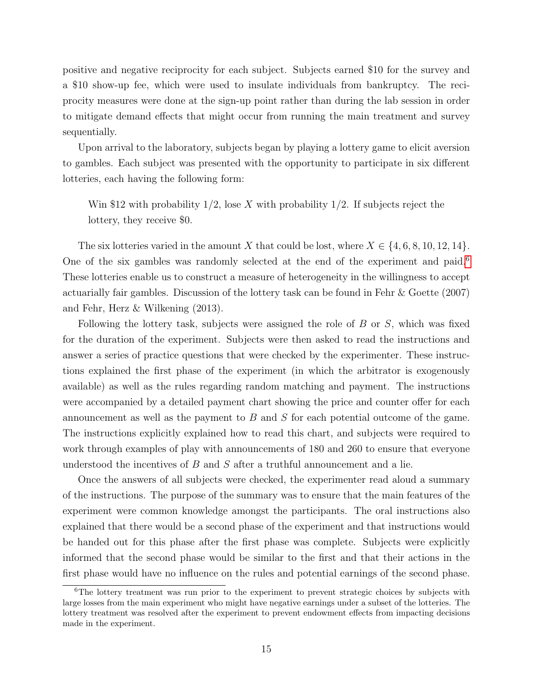positive and negative reciprocity for each subject. Subjects earned \$10 for the survey and a \$10 show-up fee, which were used to insulate individuals from bankruptcy. The reciprocity measures were done at the sign-up point rather than during the lab session in order to mitigate demand effects that might occur from running the main treatment and survey sequentially.

Upon arrival to the laboratory, subjects began by playing a lottery game to elicit aversion to gambles. Each subject was presented with the opportunity to participate in six different lotteries, each having the following form:

Win \$12 with probability  $1/2$ , lose X with probability  $1/2$ . If subjects reject the lottery, they receive \$0.

The six lotteries varied in the amount X that could be lost, where  $X \in \{4, 6, 8, 10, 12, 14\}$ . One of the six gambles was randomly selected at the end of the experiment and paid.<sup>[6](#page--1-0)</sup> These lotteries enable us to construct a measure of heterogeneity in the willingness to accept actuarially fair gambles. Discussion of the lottery task can be found in Fehr & Goette (2007) and Fehr, Herz & Wilkening (2013).

Following the lottery task, subjects were assigned the role of  $B$  or  $S$ , which was fixed for the duration of the experiment. Subjects were then asked to read the instructions and answer a series of practice questions that were checked by the experimenter. These instructions explained the first phase of the experiment (in which the arbitrator is exogenously available) as well as the rules regarding random matching and payment. The instructions were accompanied by a detailed payment chart showing the price and counter offer for each announcement as well as the payment to B and S for each potential outcome of the game. The instructions explicitly explained how to read this chart, and subjects were required to work through examples of play with announcements of 180 and 260 to ensure that everyone understood the incentives of  $B$  and  $S$  after a truthful announcement and a lie.

Once the answers of all subjects were checked, the experimenter read aloud a summary of the instructions. The purpose of the summary was to ensure that the main features of the experiment were common knowledge amongst the participants. The oral instructions also explained that there would be a second phase of the experiment and that instructions would be handed out for this phase after the first phase was complete. Subjects were explicitly informed that the second phase would be similar to the first and that their actions in the first phase would have no influence on the rules and potential earnings of the second phase.

<sup>&</sup>lt;sup>6</sup>The lottery treatment was run prior to the experiment to prevent strategic choices by subjects with large losses from the main experiment who might have negative earnings under a subset of the lotteries. The lottery treatment was resolved after the experiment to prevent endowment effects from impacting decisions made in the experiment.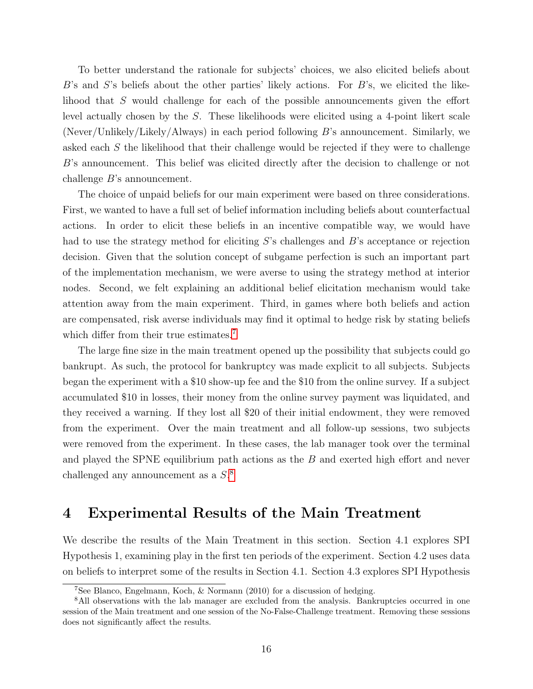To better understand the rationale for subjects' choices, we also elicited beliefs about  $B$ 's and  $S$ 's beliefs about the other parties' likely actions. For  $B$ 's, we elicited the likelihood that S would challenge for each of the possible announcements given the effort level actually chosen by the S. These likelihoods were elicited using a 4-point likert scale (Never/Unlikely/Likely/Always) in each period following B's announcement. Similarly, we asked each S the likelihood that their challenge would be rejected if they were to challenge B's announcement. This belief was elicited directly after the decision to challenge or not challenge B's announcement.

The choice of unpaid beliefs for our main experiment were based on three considerations. First, we wanted to have a full set of belief information including beliefs about counterfactual actions. In order to elicit these beliefs in an incentive compatible way, we would have had to use the strategy method for eliciting S's challenges and B's acceptance or rejection decision. Given that the solution concept of subgame perfection is such an important part of the implementation mechanism, we were averse to using the strategy method at interior nodes. Second, we felt explaining an additional belief elicitation mechanism would take attention away from the main experiment. Third, in games where both beliefs and action are compensated, risk averse individuals may find it optimal to hedge risk by stating beliefs which differ from their true estimates.<sup>[7](#page--1-0)</sup>

The large fine size in the main treatment opened up the possibility that subjects could go bankrupt. As such, the protocol for bankruptcy was made explicit to all subjects. Subjects began the experiment with a \$10 show-up fee and the \$10 from the online survey. If a subject accumulated \$10 in losses, their money from the online survey payment was liquidated, and they received a warning. If they lost all \$20 of their initial endowment, they were removed from the experiment. Over the main treatment and all follow-up sessions, two subjects were removed from the experiment. In these cases, the lab manager took over the terminal and played the SPNE equilibrium path actions as the  $B$  and exerted high effort and never challenged any announcement as a  $S^8$  $S^8$ .

# 4 Experimental Results of the Main Treatment

We describe the results of the Main Treatment in this section. Section 4.1 explores SPI Hypothesis 1, examining play in the first ten periods of the experiment. Section 4.2 uses data on beliefs to interpret some of the results in Section 4.1. Section 4.3 explores SPI Hypothesis

<sup>7</sup>See Blanco, Engelmann, Koch, & Normann (2010) for a discussion of hedging.

<sup>&</sup>lt;sup>8</sup>All observations with the lab manager are excluded from the analysis. Bankruptcies occurred in one session of the Main treatment and one session of the No-False-Challenge treatment. Removing these sessions does not significantly affect the results.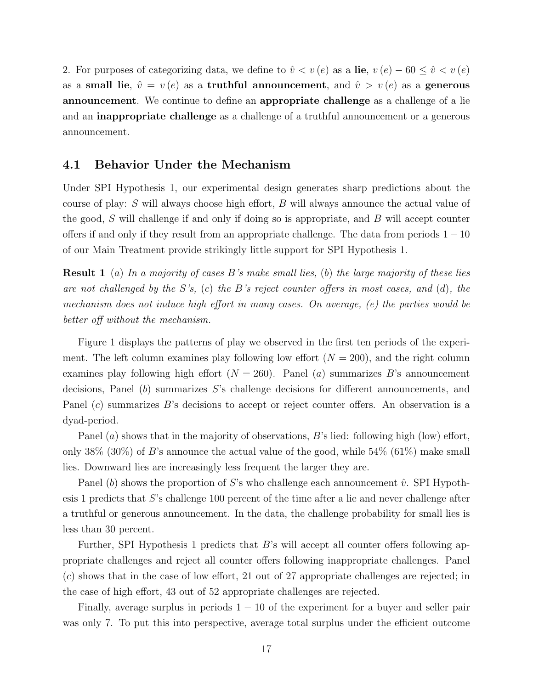2. For purposes of categorizing data, we define to  $\hat{v} < v(e)$  as a lie,  $v(e) - 60 \leq \hat{v} < v(e)$ as a small lie,  $\hat{v} = v(e)$  as a truthful announcement, and  $\hat{v} > v(e)$  as a generous announcement. We continue to define an appropriate challenge as a challenge of a lie and an inappropriate challenge as a challenge of a truthful announcement or a generous announcement.

#### 4.1 Behavior Under the Mechanism

Under SPI Hypothesis 1, our experimental design generates sharp predictions about the course of play: S will always choose high effort, B will always announce the actual value of the good,  $S$  will challenge if and only if doing so is appropriate, and  $B$  will accept counter offers if and only if they result from an appropriate challenge. The data from periods  $1 - 10$ of our Main Treatment provide strikingly little support for SPI Hypothesis 1.

**Result 1** (a) In a majority of cases B's make small lies, (b) the large majority of these lies are not challenged by the S's, (c) the B's reject counter offers in most cases, and (d), the mechanism does not induce high effort in many cases. On average, (e) the parties would be better off without the mechanism.

Figure 1 displays the patterns of play we observed in the first ten periods of the experiment. The left column examines play following low effort  $(N = 200)$ , and the right column examines play following high effort  $(N = 260)$ . Panel (a) summarizes B's announcement decisions, Panel  $(b)$  summarizes S's challenge decisions for different announcements, and Panel (c) summarizes B's decisions to accept or reject counter offers. An observation is a dyad-period.

Panel (a) shows that in the majority of observations, B's lied: following high (low) effort, only  $38\%$  (30%) of B's announce the actual value of the good, while  $54\%$  (61%) make small lies. Downward lies are increasingly less frequent the larger they are.

Panel (b) shows the proportion of S's who challenge each announcement  $\hat{v}$ . SPI Hypothesis 1 predicts that S's challenge 100 percent of the time after a lie and never challenge after a truthful or generous announcement. In the data, the challenge probability for small lies is less than 30 percent.

Further, SPI Hypothesis 1 predicts that  $B$ 's will accept all counter offers following appropriate challenges and reject all counter offers following inappropriate challenges. Panel (c) shows that in the case of low effort, 21 out of 27 appropriate challenges are rejected; in the case of high effort, 43 out of 52 appropriate challenges are rejected.

Finally, average surplus in periods  $1 - 10$  of the experiment for a buyer and seller pair was only 7. To put this into perspective, average total surplus under the efficient outcome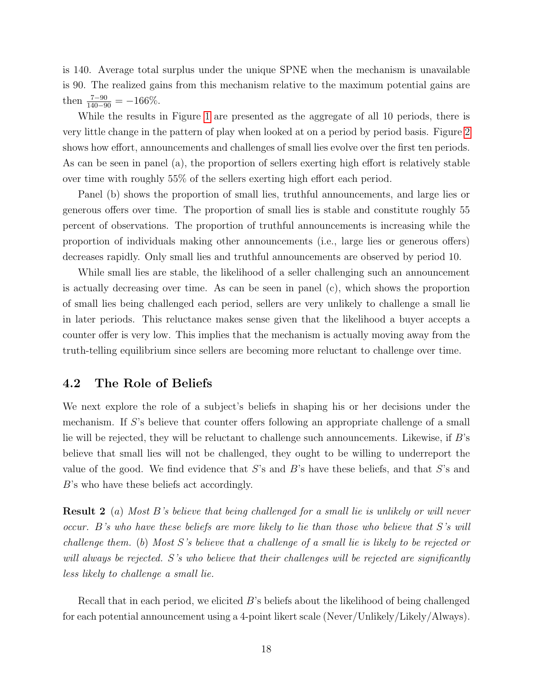is 140. Average total surplus under the unique SPNE when the mechanism is unavailable is 90. The realized gains from this mechanism relative to the maximum potential gains are then  $\frac{7-90}{140-90} = -166\%.$ 

While the results in Figure [1](#page-21-0) are presented as the aggregate of all 10 periods, there is very little change in the pattern of play when looked at on a period by period basis. Figure [2](#page-22-0) shows how effort, announcements and challenges of small lies evolve over the first ten periods. As can be seen in panel (a), the proportion of sellers exerting high effort is relatively stable over time with roughly 55% of the sellers exerting high effort each period.

Panel (b) shows the proportion of small lies, truthful announcements, and large lies or generous offers over time. The proportion of small lies is stable and constitute roughly 55 percent of observations. The proportion of truthful announcements is increasing while the proportion of individuals making other announcements (i.e., large lies or generous offers) decreases rapidly. Only small lies and truthful announcements are observed by period 10.

While small lies are stable, the likelihood of a seller challenging such an announcement is actually decreasing over time. As can be seen in panel (c), which shows the proportion of small lies being challenged each period, sellers are very unlikely to challenge a small lie in later periods. This reluctance makes sense given that the likelihood a buyer accepts a counter offer is very low. This implies that the mechanism is actually moving away from the truth-telling equilibrium since sellers are becoming more reluctant to challenge over time.

#### 4.2 The Role of Beliefs

We next explore the role of a subject's beliefs in shaping his or her decisions under the mechanism. If S's believe that counter offers following an appropriate challenge of a small lie will be rejected, they will be reluctant to challenge such announcements. Likewise, if B's believe that small lies will not be challenged, they ought to be willing to underreport the value of the good. We find evidence that  $S$ 's and  $B$ 's have these beliefs, and that  $S$ 's and B's who have these beliefs act accordingly.

Result 2 (a) Most B's believe that being challenged for a small lie is unlikely or will never occur. B's who have these beliefs are more likely to lie than those who believe that S's will challenge them. (b) Most S's believe that a challenge of a small lie is likely to be rejected or will always be rejected. S's who believe that their challenges will be rejected are significantly less likely to challenge a small lie.

Recall that in each period, we elicited B's beliefs about the likelihood of being challenged for each potential announcement using a 4-point likert scale (Never/Unlikely/Likely/Always).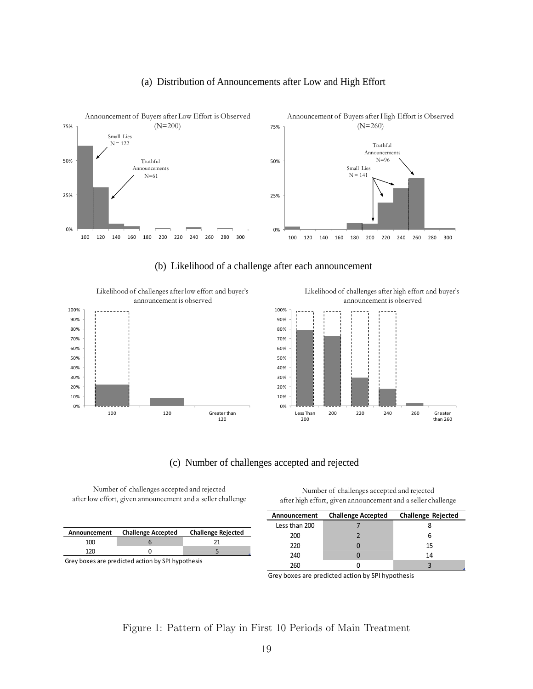#### (a) Distribution of Announcements after Low and High Effort

<span id="page-21-0"></span>

(b) Likelihood of a challenge after each announcement

Likelihood of challenges after low effort and buyer's announcement is observed



Likelihood of challenges after high effort and buyer's announcement is observed



#### (c) Number of challenges accepted and rejected (c) Number of challenges accepted and

Number of challenges accepted and rejected after low effort, given announcement and a seller challenge

| Announcement                                      | <b>Challenge Accepted</b> | <b>Challenge Rejected</b> |  |  |
|---------------------------------------------------|---------------------------|---------------------------|--|--|
| 100                                               |                           |                           |  |  |
| 120                                               |                           |                           |  |  |
| Croy house are prodicted action by CDI bunothesis |                           |                           |  |  |

Grey boxes are predicted action by SPI hypothesis

Number of challenges accepted and rejected after high effort, given announcement and a seller challenge

| Announcement  | <b>Challenge Accepted</b> | <b>Challenge Rejected</b> |
|---------------|---------------------------|---------------------------|
| Less than 200 |                           |                           |
| 200           |                           |                           |
| 220           |                           | 15                        |
| 240           |                           | 14                        |
| 260           |                           |                           |

Grey boxes are predicted action by SPI hypothesis

#### Figure 1: Pattern of Play in First 10 Periods of Main Treatment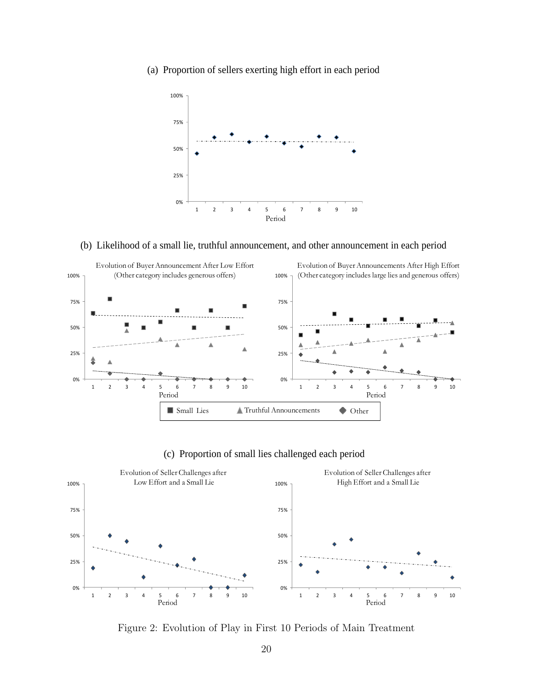<span id="page-22-0"></span>(a) Proportion of sellers exerting high effort in each period



#### (b) Likelihood of a small lie, truthful announcement, and other announcement in each period



#### (c) Proportion of small lies challenged each period



Figure 2: Evolution of Play in First 10 Periods of Main Treatment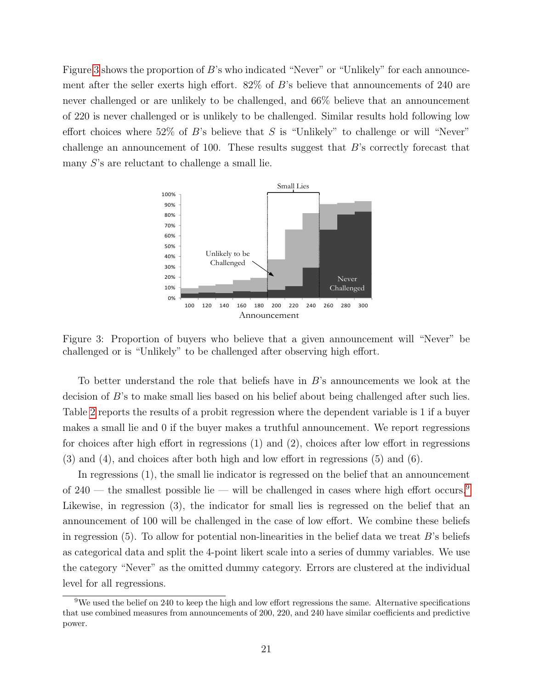Figure [3](#page-23-0) shows the proportion of  $B$ 's who indicated "Never" or "Unlikely" for each announcement after the seller exerts high effort.  $82\%$  of B's believe that announcements of 240 are never challenged or are unlikely to be challenged, and  $66\%$  believe that an announcement of 220 is never challenged or is unlikely to be challenged. Similar results hold following low 0 effort choices where  $52\%$  of B's believe that S is "Unlikely" to challenge or will "Never" challenge an announcement of 100. These results suggest that  $B$ 's correctly forecast that many S's are reluctant to challenge a small lie.  $\ddot{\phantom{0}}$ rat am ate<br>of 2 kely to be ch example in an announcement length of the challenged, and 66% believe that an announcement length or is unlikely to be challenged. Similar results hold following low to 52% of  $B$ 's believe that  $S$  is "Unlikely" to challe

<span id="page-23-0"></span>

Figure 3: Proportion of buyers who believe that a given announcement will "Never" be challenged or is "Unlikely" to be challenged after observing high effort.

To better understand the role that beliefs have in B's announcements we look at the decision of B's to make small lies based on his belief about being challenged after such lies. Table [2](#page-25-0) reports the results of a probit regression where the dependent variable is 1 if a buyer makes a small lie and 0 if the buyer makes a truthful announcement. We report regressions for choices after high effort in regressions (1) and (2), choices after low effort in regressions (3) and (4), and choices after both high and low effort in regressions (5) and (6).

In regressions (1), the small lie indicator is regressed on the belief that an announcement of 240 — the smallest possible lie — will be challenged in cases where high effort occurs.<sup>[9](#page--1-0)</sup> Likewise, in regression (3), the indicator for small lies is regressed on the belief that an announcement of 100 will be challenged in the case of low effort. We combine these beliefs in regression  $(5)$ . To allow for potential non-linearities in the belief data we treat  $B$ 's beliefs as categorical data and split the 4-point likert scale into a series of dummy variables. We use the category "Never" as the omitted dummy category. Errors are clustered at the individual level for all regressions.

 $9$ We used the belief on 240 to keep the high and low effort regressions the same. Alternative specifications that use combined measures from announcements of 200, 220, and 240 have similar coefficients and predictive power.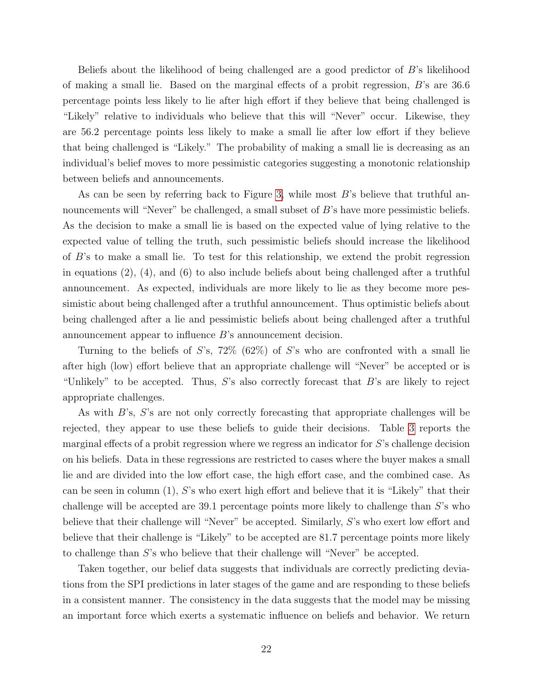Beliefs about the likelihood of being challenged are a good predictor of B's likelihood of making a small lie. Based on the marginal effects of a probit regression, B's are 36.6 percentage points less likely to lie after high effort if they believe that being challenged is "Likely" relative to individuals who believe that this will "Never" occur. Likewise, they are 56.2 percentage points less likely to make a small lie after low effort if they believe that being challenged is "Likely." The probability of making a small lie is decreasing as an individual's belief moves to more pessimistic categories suggesting a monotonic relationship between beliefs and announcements.

As can be seen by referring back to Figure [3,](#page-23-0) while most  $B$ 's believe that truthful announcements will "Never" be challenged, a small subset of B's have more pessimistic beliefs. As the decision to make a small lie is based on the expected value of lying relative to the expected value of telling the truth, such pessimistic beliefs should increase the likelihood of B's to make a small lie. To test for this relationship, we extend the probit regression in equations  $(2)$ ,  $(4)$ , and  $(6)$  to also include beliefs about being challenged after a truthful announcement. As expected, individuals are more likely to lie as they become more pessimistic about being challenged after a truthful announcement. Thus optimistic beliefs about being challenged after a lie and pessimistic beliefs about being challenged after a truthful announcement appear to influence B's announcement decision.

Turning to the beliefs of S's, 72\% (62\%) of S's who are confronted with a small lie after high (low) effort believe that an appropriate challenge will "Never" be accepted or is "Unlikely" to be accepted. Thus,  $S$ 's also correctly forecast that  $B$ 's are likely to reject appropriate challenges.

As with B's, S's are not only correctly forecasting that appropriate challenges will be rejected, they appear to use these beliefs to guide their decisions. Table [3](#page-26-0) reports the marginal effects of a probit regression where we regress an indicator for S's challenge decision on his beliefs. Data in these regressions are restricted to cases where the buyer makes a small lie and are divided into the low effort case, the high effort case, and the combined case. As can be seen in column  $(1)$ , S's who exert high effort and believe that it is "Likely" that their challenge will be accepted are 39.1 percentage points more likely to challenge than S's who believe that their challenge will "Never" be accepted. Similarly, S's who exert low effort and believe that their challenge is "Likely" to be accepted are 81.7 percentage points more likely to challenge than S's who believe that their challenge will "Never" be accepted.

Taken together, our belief data suggests that individuals are correctly predicting deviations from the SPI predictions in later stages of the game and are responding to these beliefs in a consistent manner. The consistency in the data suggests that the model may be missing an important force which exerts a systematic influence on beliefs and behavior. We return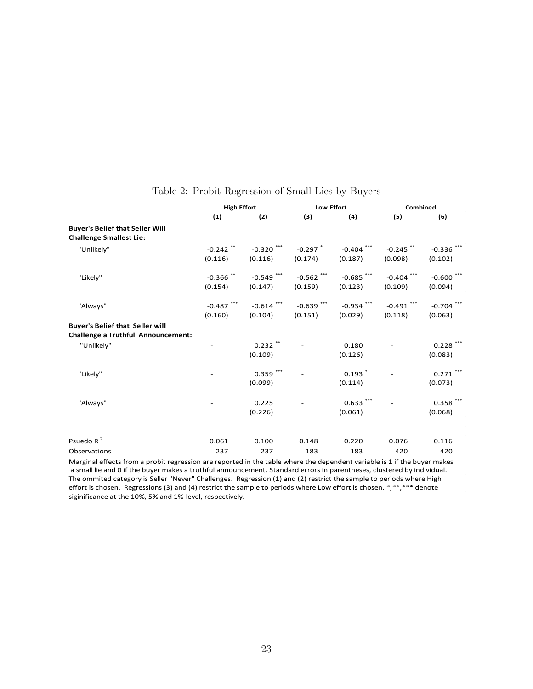<span id="page-25-0"></span>

|                                                                              | <b>High Effort</b>      |                         | Low Effort              |                                 | Combined                          |                         |
|------------------------------------------------------------------------------|-------------------------|-------------------------|-------------------------|---------------------------------|-----------------------------------|-------------------------|
|                                                                              | (1)                     | (2)                     | (3)                     | (4)                             | (5)                               | (6)                     |
| <b>Buyer's Belief that Seller Will</b><br><b>Challenge Smallest Lie:</b>     |                         |                         |                         |                                 |                                   |                         |
| "Unlikely"                                                                   | $-0.242$ **<br>(0.116)  | $-0.320$ ***<br>(0.116) | $-0.297$ $*$<br>(0.174) | $-0.404$ ***<br>(0.187)         | $-0.245$ <sup>**</sup><br>(0.098) | $-0.336$ ***<br>(0.102) |
| "Likely"                                                                     | $-0.366$ **<br>(0.154)  | $-0.549$ ***<br>(0.147) | $-0.562$ ***<br>(0.159) | $-0.685$ ***<br>(0.123)         | $-0.404$ ***<br>(0.109)           | $-0.600$ ***<br>(0.094) |
| "Always"                                                                     | $-0.487$ ***<br>(0.160) | $-0.614$ ***<br>(0.104) | $-0.639$ ***<br>(0.151) | $-0.934$ ***<br>(0.029)         | $-0.491$ ***<br>(0.118)           | $-0.704$ ***<br>(0.063) |
| <b>Buyer's Belief that Seller will</b><br>Challenge a Truthful Announcement: |                         |                         |                         |                                 |                                   |                         |
| "Unlikely"                                                                   |                         | $0.232$ **<br>(0.109)   |                         | 0.180<br>(0.126)                |                                   | $0.228$ ***<br>(0.083)  |
| "Likely"                                                                     |                         | $0.359$ ***<br>(0.099)  |                         | $0.193$ <sup>*</sup><br>(0.114) |                                   | $0.271$ ***<br>(0.073)  |
| "Always"                                                                     |                         | 0.225<br>(0.226)        |                         | $0.633$ ***<br>(0.061)          |                                   | $0.358$ ***<br>(0.068)  |
| Psuedo R $2$                                                                 | 0.061                   | 0.100                   | 0.148                   | 0.220                           | 0.076                             | 0.116                   |
| Observations                                                                 | 237                     | 237                     | 183                     | 183                             | 420                               | 420                     |

#### Table 2: Probit Regression of Small Lies by Buyers

Marginal effects from a probit regression are reported in the table where the dependent variable is 1 if the buyer makes a small lie and 0 if the buyer makes a truthful announcement. Standard errors in parentheses, clustered by individual. The ommited category is Seller "Never" Challenges. Regression (1) and (2) restrict the sample to periods where High effort is chosen. Regressions (3) and (4) restrict the sample to periods where Low effort is chosen. \*,\*\*,\*\*\* denote siginificance at the 10%, 5% and 1%‐level, respectively.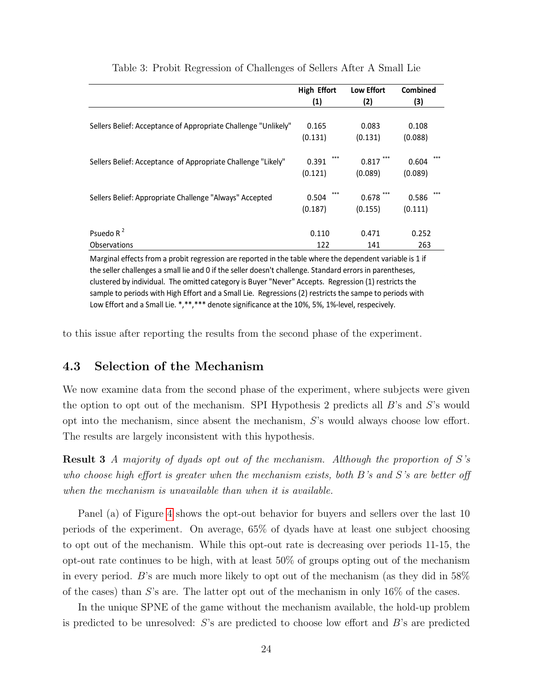<span id="page-26-0"></span>

|                                                                | <b>High Effort</b> | <b>Low Effort</b> | Combined |
|----------------------------------------------------------------|--------------------|-------------------|----------|
|                                                                | (1)                | (2)               | (3)      |
|                                                                |                    |                   |          |
| Sellers Belief: Acceptance of Appropriate Challenge "Unlikely" | 0.165              | 0.083             | 0.108    |
|                                                                | (0.131)            | (0.131)           | (0.088)  |
| Sellers Belief: Acceptance of Appropriate Challenge "Likely"   | ***<br>0.391       | 0.817             | 0.604    |
|                                                                | (0.121)            | (0.089)           | (0.089)  |
| Sellers Belief: Appropriate Challenge "Always" Accepted        | 0.504              | $0.678$ ***       | 0.586    |
|                                                                | (0.187)            | (0.155)           | (0.111)  |
| Psuedo R $2$                                                   | 0.110              | 0.471             | 0.252    |
| <b>Observations</b>                                            | 122                | 141               | 263      |

#### Table 3: Probit Regression of Challenges of Sellers After A Small Lie

Marginal effects from a probit regression are reported in the table where the dependent variable is 1 if the seller challenges a small lie and 0 if the seller doesn't challenge. Standard errors in parentheses, clustered by individual. The omitted category is Buyer "Never" Accepts. Regression (1) restricts the sample to periods with High Effort and a Small Lie. Regressions (2) restricts the sampe to periods with Low Effort and a Small Lie. \*,\*\*,\*\*\* denote significance at the 10%, 5%, 1%-level, respecively.

to this issue after reporting the results from the second phase of the experiment.

#### 4.3 Selection of the Mechanism

We now examine data from the second phase of the experiment, where subjects were given the option to opt out of the mechanism. SPI Hypothesis 2 predicts all  $B$ 's and  $S$ 's would opt into the mechanism, since absent the mechanism, S's would always choose low effort. The results are largely inconsistent with this hypothesis.

**Result 3** A majority of dyads opt out of the mechanism. Although the proportion of  $S$ 's who choose high effort is greater when the mechanism exists, both B's and S's are better off when the mechanism is unavailable than when it is available.

Panel (a) of Figure [4](#page-28-0) shows the opt-out behavior for buyers and sellers over the last 10 periods of the experiment. On average, 65% of dyads have at least one subject choosing to opt out of the mechanism. While this opt-out rate is decreasing over periods 11-15, the opt-out rate continues to be high, with at least 50% of groups opting out of the mechanism in every period. B's are much more likely to opt out of the mechanism (as they did in 58% of the cases) than S's are. The latter opt out of the mechanism in only  $16\%$  of the cases.

In the unique SPNE of the game without the mechanism available, the hold-up problem is predicted to be unresolved: S's are predicted to choose low effort and B's are predicted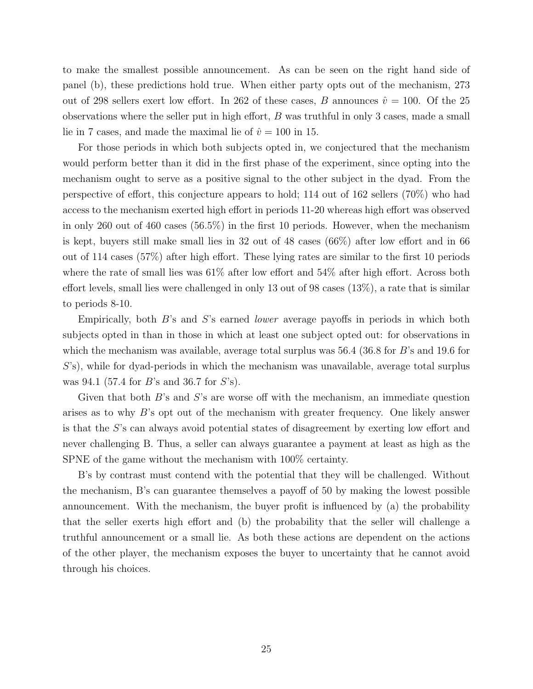to make the smallest possible announcement. As can be seen on the right hand side of panel (b), these predictions hold true. When either party opts out of the mechanism, 273 out of 298 sellers exert low effort. In 262 of these cases, B announces  $\hat{v} = 100$ . Of the 25 observations where the seller put in high effort,  $B$  was truthful in only 3 cases, made a small lie in 7 cases, and made the maximal lie of  $\hat{v} = 100$  in 15.

For those periods in which both subjects opted in, we conjectured that the mechanism would perform better than it did in the first phase of the experiment, since opting into the mechanism ought to serve as a positive signal to the other subject in the dyad. From the perspective of effort, this conjecture appears to hold; 114 out of 162 sellers (70%) who had access to the mechanism exerted high effort in periods 11-20 whereas high effort was observed in only 260 out of 460 cases (56.5%) in the first 10 periods. However, when the mechanism is kept, buyers still make small lies in 32 out of 48 cases (66%) after low effort and in 66 out of 114 cases (57%) after high effort. These lying rates are similar to the first 10 periods where the rate of small lies was  $61\%$  after low effort and  $54\%$  after high effort. Across both effort levels, small lies were challenged in only 13 out of 98 cases (13%), a rate that is similar to periods 8-10.

Empirically, both  $B$ 's and  $S$ 's earned *lower* average payoffs in periods in which both subjects opted in than in those in which at least one subject opted out: for observations in which the mechanism was available, average total surplus was  $56.4$  (36.8 for B's and 19.6 for S's), while for dyad-periods in which the mechanism was unavailable, average total surplus was 94.1 (57.4 for B's and 36.7 for S's).

Given that both  $B$ 's and  $S$ 's are worse off with the mechanism, an immediate question arises as to why B's opt out of the mechanism with greater frequency. One likely answer is that the S's can always avoid potential states of disagreement by exerting low effort and never challenging B. Thus, a seller can always guarantee a payment at least as high as the SPNE of the game without the mechanism with 100% certainty.

B's by contrast must contend with the potential that they will be challenged. Without the mechanism, B's can guarantee themselves a payoff of 50 by making the lowest possible announcement. With the mechanism, the buyer profit is influenced by (a) the probability that the seller exerts high effort and (b) the probability that the seller will challenge a truthful announcement or a small lie. As both these actions are dependent on the actions of the other player, the mechanism exposes the buyer to uncertainty that he cannot avoid through his choices.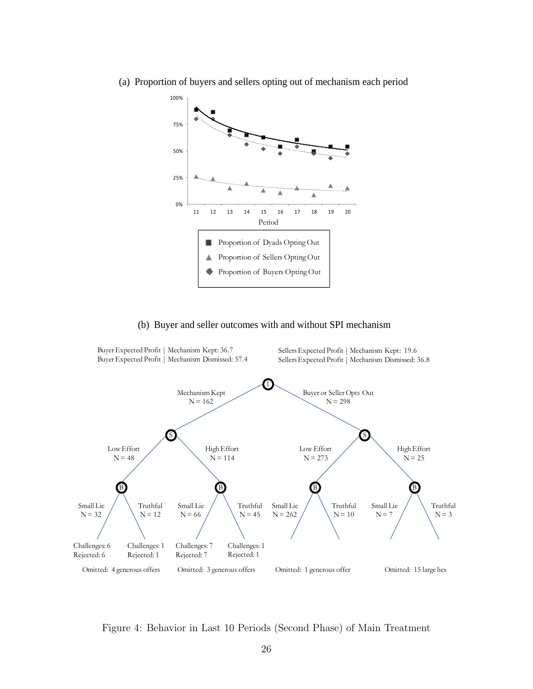

<span id="page-28-0"></span>(a) Proportion of buyers and sellers opting out of mechanism each period

#### (b) Buyer and seller outcomes with and without SPI mechanism



Figure 4: Behavior in Last 10 Periods (Second Phase) of Main Treatment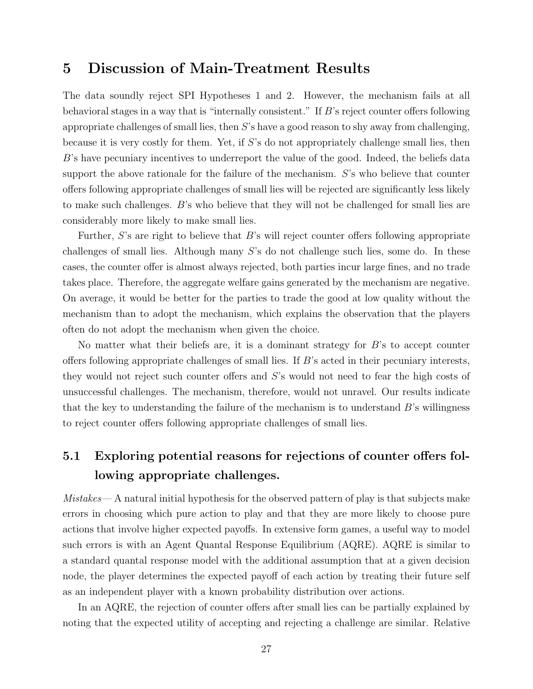# 5 Discussion of Main-Treatment Results

The data soundly reject SPI Hypotheses 1 and 2. However, the mechanism fails at all behavioral stages in a way that is "internally consistent." If  $B$ 's reject counter offers following appropriate challenges of small lies, then  $S$ 's have a good reason to shy away from challenging, because it is very costly for them. Yet, if S's do not appropriately challenge small lies, then B's have pecuniary incentives to underreport the value of the good. Indeed, the beliefs data support the above rationale for the failure of the mechanism. S's who believe that counter offers following appropriate challenges of small lies will be rejected are significantly less likely to make such challenges. B's who believe that they will not be challenged for small lies are considerably more likely to make small lies.

Further, S's are right to believe that B's will reject counter offers following appropriate challenges of small lies. Although many S's do not challenge such lies, some do. In these cases, the counter offer is almost always rejected, both parties incur large fines, and no trade takes place. Therefore, the aggregate welfare gains generated by the mechanism are negative. On average, it would be better for the parties to trade the good at low quality without the mechanism than to adopt the mechanism, which explains the observation that the players often do not adopt the mechanism when given the choice.

No matter what their beliefs are, it is a dominant strategy for  $B$ 's to accept counter offers following appropriate challenges of small lies. If B's acted in their pecuniary interests, they would not reject such counter offers and S's would not need to fear the high costs of unsuccessful challenges. The mechanism, therefore, would not unravel. Our results indicate that the key to understanding the failure of the mechanism is to understand  $B$ 's willingness to reject counter offers following appropriate challenges of small lies.

# 5.1 Exploring potential reasons for rejections of counter offers following appropriate challenges.

Mistakes— A natural initial hypothesis for the observed pattern of play is that subjects make errors in choosing which pure action to play and that they are more likely to choose pure actions that involve higher expected payoffs. In extensive form games, a useful way to model such errors is with an Agent Quantal Response Equilibrium (AQRE). AQRE is similar to a standard quantal response model with the additional assumption that at a given decision node, the player determines the expected payoff of each action by treating their future self as an independent player with a known probability distribution over actions.

In an AQRE, the rejection of counter offers after small lies can be partially explained by noting that the expected utility of accepting and rejecting a challenge are similar. Relative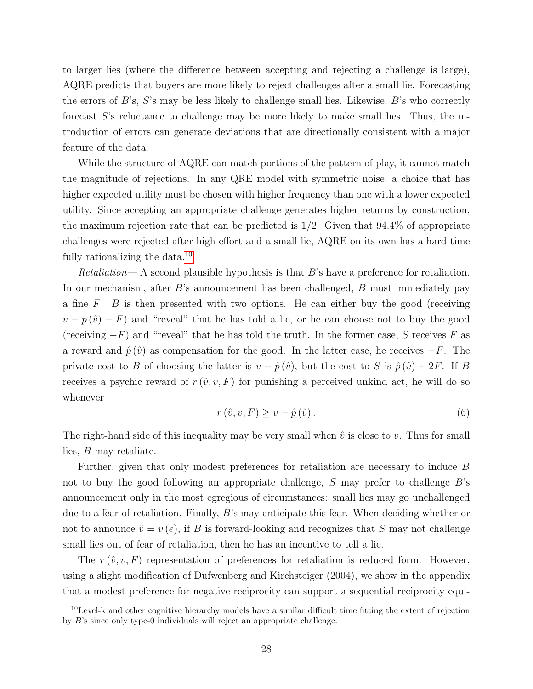to larger lies (where the difference between accepting and rejecting a challenge is large), AQRE predicts that buyers are more likely to reject challenges after a small lie. Forecasting the errors of  $B$ 's,  $S$ 's may be less likely to challenge small lies. Likewise,  $B$ 's who correctly forecast S's reluctance to challenge may be more likely to make small lies. Thus, the introduction of errors can generate deviations that are directionally consistent with a major feature of the data.

While the structure of AQRE can match portions of the pattern of play, it cannot match the magnitude of rejections. In any QRE model with symmetric noise, a choice that has higher expected utility must be chosen with higher frequency than one with a lower expected utility. Since accepting an appropriate challenge generates higher returns by construction, the maximum rejection rate that can be predicted is  $1/2$ . Given that  $94.4\%$  of appropriate challenges were rejected after high effort and a small lie, AQRE on its own has a hard time fully rationalizing the data. $^{10}$  $^{10}$  $^{10}$ 

 $Retaliation$ — A second plausible hypothesis is that  $B$ 's have a preference for retaliation. In our mechanism, after B's announcement has been challenged, B must immediately pay a fine F. B is then presented with two options. He can either buy the good (receiving  $v - \hat{p}(\hat{v}) - F$  and "reveal" that he has told a lie, or he can choose not to buy the good (receiving  $-F$ ) and "reveal" that he has told the truth. In the former case, S receives F as a reward and  $\hat{p}(\hat{v})$  as compensation for the good. In the latter case, he receives  $-F$ . The private cost to B of choosing the latter is  $v - \hat{p}(\hat{v})$ , but the cost to S is  $\hat{p}(\hat{v}) + 2F$ . If B receives a psychic reward of  $r(\hat{v}, v, F)$  for punishing a perceived unkind act, he will do so whenever

$$
r\left(\hat{v}, v, F\right) \ge v - \hat{p}\left(\hat{v}\right). \tag{6}
$$

The right-hand side of this inequality may be very small when  $\hat{v}$  is close to v. Thus for small lies, B may retaliate.

Further, given that only modest preferences for retaliation are necessary to induce B not to buy the good following an appropriate challenge,  $S$  may prefer to challenge  $B$ 's announcement only in the most egregious of circumstances: small lies may go unchallenged due to a fear of retaliation. Finally, B's may anticipate this fear. When deciding whether or not to announce  $\hat{v} = v(e)$ , if B is forward-looking and recognizes that S may not challenge small lies out of fear of retaliation, then he has an incentive to tell a lie.

The  $r(\hat{v}, v, F)$  representation of preferences for retaliation is reduced form. However, using a slight modification of Dufwenberg and Kirchsteiger (2004), we show in the appendix that a modest preference for negative reciprocity can support a sequential reciprocity equi-

<sup>10</sup>Level-k and other cognitive hierarchy models have a similar difficult time fitting the extent of rejection by B's since only type-0 individuals will reject an appropriate challenge.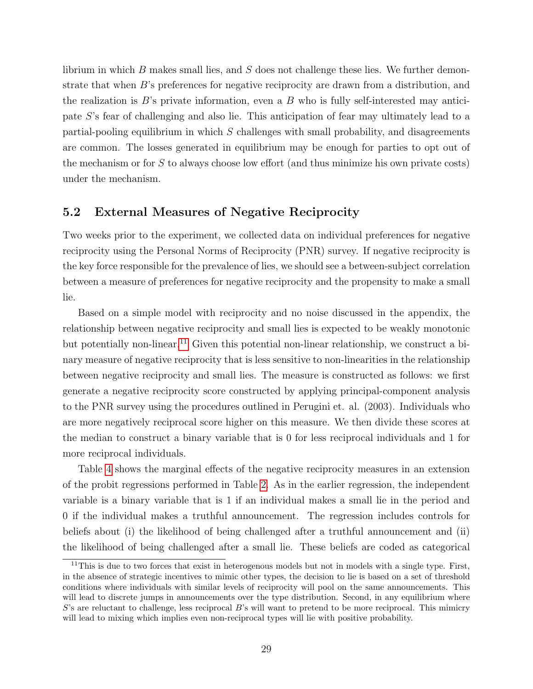librium in which  $B$  makes small lies, and  $S$  does not challenge these lies. We further demonstrate that when B's preferences for negative reciprocity are drawn from a distribution, and the realization is  $B$ 's private information, even a  $B$  who is fully self-interested may anticipate S's fear of challenging and also lie. This anticipation of fear may ultimately lead to a partial-pooling equilibrium in which S challenges with small probability, and disagreements are common. The losses generated in equilibrium may be enough for parties to opt out of the mechanism or for S to always choose low effort (and thus minimize his own private costs) under the mechanism.

#### 5.2 External Measures of Negative Reciprocity

Two weeks prior to the experiment, we collected data on individual preferences for negative reciprocity using the Personal Norms of Reciprocity (PNR) survey. If negative reciprocity is the key force responsible for the prevalence of lies, we should see a between-subject correlation between a measure of preferences for negative reciprocity and the propensity to make a small lie.

Based on a simple model with reciprocity and no noise discussed in the appendix, the relationship between negative reciprocity and small lies is expected to be weakly monotonic but potentially non-linear.<sup>[11](#page--1-0)</sup> Given this potential non-linear relationship, we construct a binary measure of negative reciprocity that is less sensitive to non-linearities in the relationship between negative reciprocity and small lies. The measure is constructed as follows: we first generate a negative reciprocity score constructed by applying principal-component analysis to the PNR survey using the procedures outlined in Perugini et. al. (2003). Individuals who are more negatively reciprocal score higher on this measure. We then divide these scores at the median to construct a binary variable that is 0 for less reciprocal individuals and 1 for more reciprocal individuals.

Table [4](#page-32-0) shows the marginal effects of the negative reciprocity measures in an extension of the probit regressions performed in Table [2.](#page-25-0) As in the earlier regression, the independent variable is a binary variable that is 1 if an individual makes a small lie in the period and 0 if the individual makes a truthful announcement. The regression includes controls for beliefs about (i) the likelihood of being challenged after a truthful announcement and (ii) the likelihood of being challenged after a small lie. These beliefs are coded as categorical

 $11$ This is due to two forces that exist in heterogenous models but not in models with a single type. First, in the absence of strategic incentives to mimic other types, the decision to lie is based on a set of threshold conditions where individuals with similar levels of reciprocity will pool on the same announcements. This will lead to discrete jumps in announcements over the type distribution. Second, in any equilibrium where  $S$ 's are reluctant to challenge, less reciprocal  $B$ 's will want to pretend to be more reciprocal. This mimicry will lead to mixing which implies even non-reciprocal types will lie with positive probability.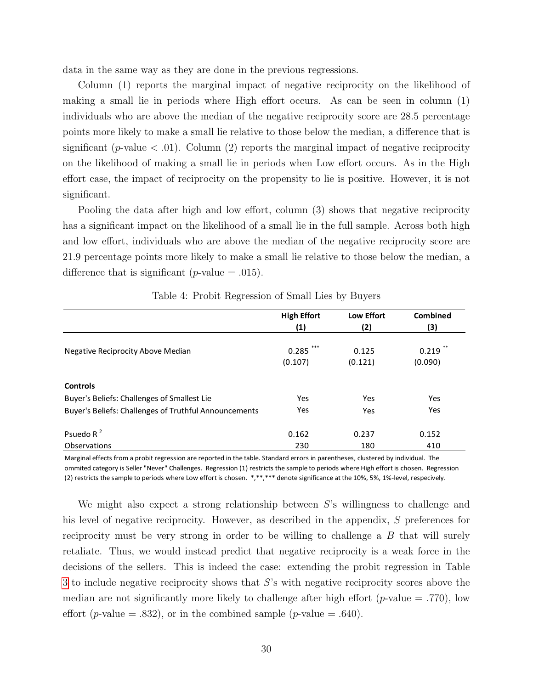data in the same way as they are done in the previous regressions.

Column (1) reports the marginal impact of negative reciprocity on the likelihood of making a small lie in periods where High effort occurs. As can be seen in column (1) individuals who are above the median of the negative reciprocity score are 28.5 percentage points more likely to make a small lie relative to those below the median, a difference that is significant (*p*-value  $\langle .01 \rangle$ ). Column (2) reports the marginal impact of negative reciprocity on the likelihood of making a small lie in periods when Low effort occurs. As in the High effort case, the impact of reciprocity on the propensity to lie is positive. However, it is not significant.

Pooling the data after high and low effort, column (3) shows that negative reciprocity has a significant impact on the likelihood of a small lie in the full sample. Across both high and low effort, individuals who are above the median of the negative reciprocity score are 21.9 percentage points more likely to make a small lie relative to those below the median, a difference that is significant (*p*-value  $= .015$ ).

<span id="page-32-0"></span>

|                                                       | <b>High Effort</b> | <b>Low Effort</b> | <b>Combined</b> |
|-------------------------------------------------------|--------------------|-------------------|-----------------|
|                                                       | (1)                | (2)               | (3)             |
|                                                       |                    |                   |                 |
| Negative Reciprocity Above Median                     | 0.285              | 0.125             | 0.219           |
|                                                       | (0.107)            | (0.121)           | (0.090)         |
| <b>Controls</b>                                       |                    |                   |                 |
| Buyer's Beliefs: Challenges of Smallest Lie           | Yes                | Yes               | Yes             |
| Buyer's Beliefs: Challenges of Truthful Announcements | Yes                | Yes               | Yes             |
| Psuedo R $2$                                          | 0.162              | 0.237             | 0.152           |
| Observations                                          | 230                | 180               | 410             |

| Table 4: Probit Regression of Small Lies by Buyers |  |  |  |
|----------------------------------------------------|--|--|--|
|----------------------------------------------------|--|--|--|

Marginal effects from a probit regression are reported in the table. Standard errors in parentheses, clustered by individual. The ommited category is Seller "Never" Challenges. Regression (1) restricts the sample to periods where High effort is chosen. Regression (2) restricts the sample to periods where Low effort is chosen. \*,\*\*,\*\*\* denote significance at the 10%, 5%, 1%‐level, respecively.

We might also expect a strong relationship between  $S$ 's willingness to challenge and his level of negative reciprocity. However, as described in the appendix, S preferences for reciprocity must be very strong in order to be willing to challenge a  $B$  that will surely retaliate. Thus, we would instead predict that negative reciprocity is a weak force in the decisions of the sellers. This is indeed the case: extending the probit regression in Table [3](#page-26-0) to include negative reciprocity shows that S's with negative reciprocity scores above the median are not significantly more likely to challenge after high effort ( $p$ -value = .770), low effort (*p*-value = .832), or in the combined sample (*p*-value = .640).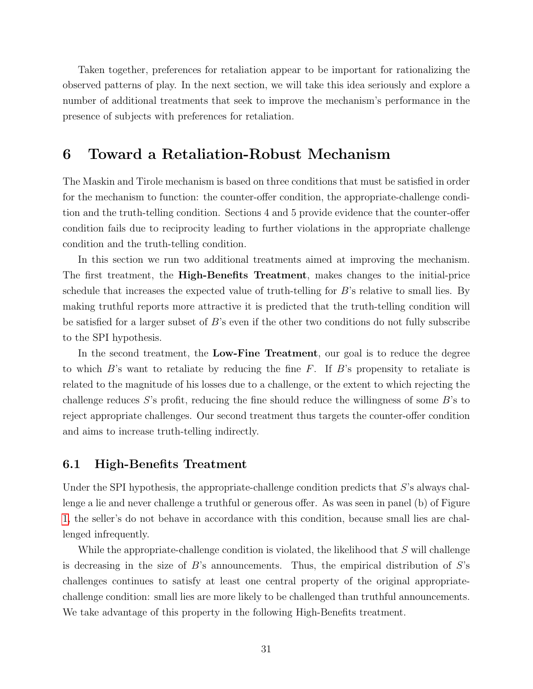Taken together, preferences for retaliation appear to be important for rationalizing the observed patterns of play. In the next section, we will take this idea seriously and explore a number of additional treatments that seek to improve the mechanism's performance in the presence of subjects with preferences for retaliation.

# 6 Toward a Retaliation-Robust Mechanism

The Maskin and Tirole mechanism is based on three conditions that must be satisfied in order for the mechanism to function: the counter-offer condition, the appropriate-challenge condition and the truth-telling condition. Sections 4 and 5 provide evidence that the counter-offer condition fails due to reciprocity leading to further violations in the appropriate challenge condition and the truth-telling condition.

In this section we run two additional treatments aimed at improving the mechanism. The first treatment, the High-Benefits Treatment, makes changes to the initial-price schedule that increases the expected value of truth-telling for B's relative to small lies. By making truthful reports more attractive it is predicted that the truth-telling condition will be satisfied for a larger subset of B's even if the other two conditions do not fully subscribe to the SPI hypothesis.

In the second treatment, the Low-Fine Treatment, our goal is to reduce the degree to which  $B$ 's want to retaliate by reducing the fine F. If  $B$ 's propensity to retaliate is related to the magnitude of his losses due to a challenge, or the extent to which rejecting the challenge reduces S's profit, reducing the fine should reduce the willingness of some  $B$ 's to reject appropriate challenges. Our second treatment thus targets the counter-offer condition and aims to increase truth-telling indirectly.

#### 6.1 High-Benefits Treatment

Under the SPI hypothesis, the appropriate-challenge condition predicts that S's always challenge a lie and never challenge a truthful or generous offer. As was seen in panel (b) of Figure [1,](#page-21-0) the seller's do not behave in accordance with this condition, because small lies are challenged infrequently.

While the appropriate-challenge condition is violated, the likelihood that  $S$  will challenge is decreasing in the size of  $B$ 's announcements. Thus, the empirical distribution of  $S$ 's challenges continues to satisfy at least one central property of the original appropriatechallenge condition: small lies are more likely to be challenged than truthful announcements. We take advantage of this property in the following High-Benefits treatment.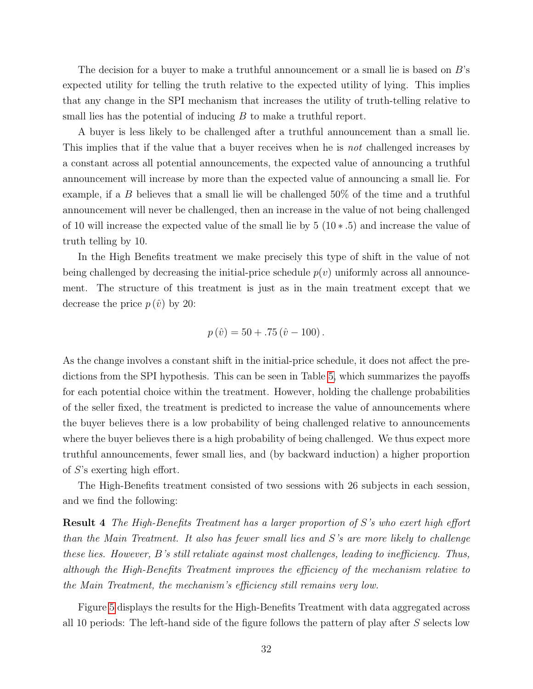The decision for a buyer to make a truthful announcement or a small lie is based on  $B$ 's expected utility for telling the truth relative to the expected utility of lying. This implies that any change in the SPI mechanism that increases the utility of truth-telling relative to small lies has the potential of inducing  $B$  to make a truthful report.

A buyer is less likely to be challenged after a truthful announcement than a small lie. This implies that if the value that a buyer receives when he is not challenged increases by a constant across all potential announcements, the expected value of announcing a truthful announcement will increase by more than the expected value of announcing a small lie. For example, if a B believes that a small lie will be challenged  $50\%$  of the time and a truthful announcement will never be challenged, then an increase in the value of not being challenged of 10 will increase the expected value of the small lie by  $5(10*.5)$  and increase the value of truth telling by 10.

In the High Benefits treatment we make precisely this type of shift in the value of not being challenged by decreasing the initial-price schedule  $p(v)$  uniformly across all announcement. The structure of this treatment is just as in the main treatment except that we decrease the price  $p(\hat{v})$  by 20:

$$
p(\hat{v}) = 50 + .75(\hat{v} - 100).
$$

As the change involves a constant shift in the initial-price schedule, it does not affect the predictions from the SPI hypothesis. This can be seen in Table [5,](#page-35-0) which summarizes the payoffs for each potential choice within the treatment. However, holding the challenge probabilities of the seller fixed, the treatment is predicted to increase the value of announcements where the buyer believes there is a low probability of being challenged relative to announcements where the buyer believes there is a high probability of being challenged. We thus expect more truthful announcements, fewer small lies, and (by backward induction) a higher proportion of S's exerting high effort.

The High-Benefits treatment consisted of two sessions with 26 subjects in each session, and we find the following:

Result 4 The High-Benefits Treatment has a larger proportion of S's who exert high effort than the Main Treatment. It also has fewer small lies and S's are more likely to challenge these lies. However, B's still retaliate against most challenges, leading to inefficiency. Thus, although the High-Benefits Treatment improves the efficiency of the mechanism relative to the Main Treatment, the mechanism's efficiency still remains very low.

Figure [5](#page-37-0) displays the results for the High-Benefits Treatment with data aggregated across all 10 periods: The left-hand side of the figure follows the pattern of play after S selects low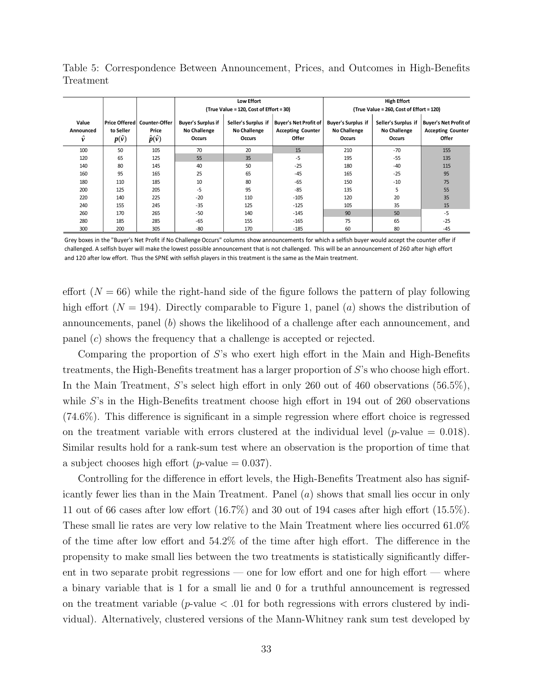|                         |                           |                                                              | Low Effort<br>(True Value = 120, Cost of Effort = 30)             |                                               |                                                                          | <b>High Effort</b><br>(True Value = 260, Cost of Effort = 120) |                                                             |                                                                   |
|-------------------------|---------------------------|--------------------------------------------------------------|-------------------------------------------------------------------|-----------------------------------------------|--------------------------------------------------------------------------|----------------------------------------------------------------|-------------------------------------------------------------|-------------------------------------------------------------------|
| Value<br>Announced<br>v | to Seller<br>$p(\hat{v})$ | Price Offered   Counter-Offer<br>Price<br>$\hat{p}(\hat{v})$ | <b>Buyer's Surplus if</b><br><b>No Challenge</b><br><b>Occurs</b> | Seller's Surplus if<br>No Challenge<br>Occurs | <b>Buyer's Net Profit of</b><br><b>Accepting Counter</b><br><b>Offer</b> | <b>Buyer's Surplus if</b><br><b>No Challenge</b><br>Occurs     | Seller's Surplus if<br><b>No Challenge</b><br><b>Occurs</b> | <b>Buyer's Net Profit of</b><br><b>Accepting Counter</b><br>Offer |
| 100                     | 50                        | 105                                                          | 70                                                                | 20                                            | 15                                                                       | 210                                                            | $-70$                                                       | 155                                                               |
| 120                     | 65                        | 125                                                          | 55                                                                | 35                                            | $-5$                                                                     | 195                                                            | $-55$                                                       | 135                                                               |
| 140                     | 80                        | 145                                                          | 40                                                                | 50                                            | $-25$                                                                    | 180                                                            | $-40$                                                       | 115                                                               |
| 160                     | 95                        | 165                                                          | 25                                                                | 65                                            | $-45$                                                                    | 165                                                            | $-25$                                                       | 95                                                                |
| 180                     | 110                       | 185                                                          | 10                                                                | 80                                            | $-65$                                                                    | 150                                                            | $-10$                                                       | 75                                                                |
| 200                     | 125                       | 205                                                          | $-5$                                                              | 95                                            | $-85$                                                                    | 135                                                            | 5                                                           | 55                                                                |
| 220                     | 140                       | 225                                                          | $-20$                                                             | 110                                           | $-105$                                                                   | 120                                                            | 20                                                          | 35                                                                |
| 240                     | 155                       | 245                                                          | $-35$                                                             | 125                                           | $-125$                                                                   | 105                                                            | 35                                                          | 15                                                                |
| 260                     | 170                       | 265                                                          | $-50$                                                             | 140                                           | $-145$                                                                   | 90                                                             | 50                                                          | $-5$                                                              |
| 280                     | 185                       | 285                                                          | $-65$                                                             | 155                                           | $-165$                                                                   | 75                                                             | 65                                                          | $-25$                                                             |
| 300                     | 200                       | 305                                                          | $-80$                                                             | 170                                           | $-185$                                                                   | 60                                                             | 80                                                          | $-45$                                                             |

<span id="page-35-0"></span>Table 5: Correspondence Between Announcement, Prices, and Outcomes in High-Benefits Treatment

Grey boxes in the "Buyer's Net Profit if No Challenge Occurs" columns show announcements for which a selfish buyer would accept the counter offer if challenged. A selfish buyer will make the lowest possible announcement that is not challenged. This will be an announcement of 260 after high effort and 120 after low effort. Thus the SPNE with selfish players in this treatment is the same as the Main treatment.

effort  $(N = 66)$  while the right-hand side of the figure follows the pattern of play following high effort  $(N = 194)$ . Directly comparable to Figure 1, panel (a) shows the distribution of announcements, panel (b) shows the likelihood of a challenge after each announcement, and panel (c) shows the frequency that a challenge is accepted or rejected.

Comparing the proportion of S's who exert high effort in the Main and High-Benefits treatments, the High-Benefits treatment has a larger proportion of S's who choose high effort. In the Main Treatment, S's select high effort in only 260 out of 460 observations (56.5%), while S's in the High-Benefits treatment choose high effort in 194 out of 260 observations (74.6%). This difference is significant in a simple regression where effort choice is regressed on the treatment variable with errors clustered at the individual level  $(p$ -value = 0.018). Similar results hold for a rank-sum test where an observation is the proportion of time that a subject chooses high effort (*p*-value  $= 0.037$ ).

Controlling for the difference in effort levels, the High-Benefits Treatment also has significantly fewer lies than in the Main Treatment. Panel (a) shows that small lies occur in only 11 out of 66 cases after low effort (16.7%) and 30 out of 194 cases after high effort (15.5%). These small lie rates are very low relative to the Main Treatment where lies occurred 61.0% of the time after low effort and 54.2% of the time after high effort. The difference in the propensity to make small lies between the two treatments is statistically significantly different in two separate probit regressions — one for low effort and one for high effort — where a binary variable that is 1 for a small lie and 0 for a truthful announcement is regressed on the treatment variable ( $p$ -value  $\lt$  0.01 for both regressions with errors clustered by individual). Alternatively, clustered versions of the Mann-Whitney rank sum test developed by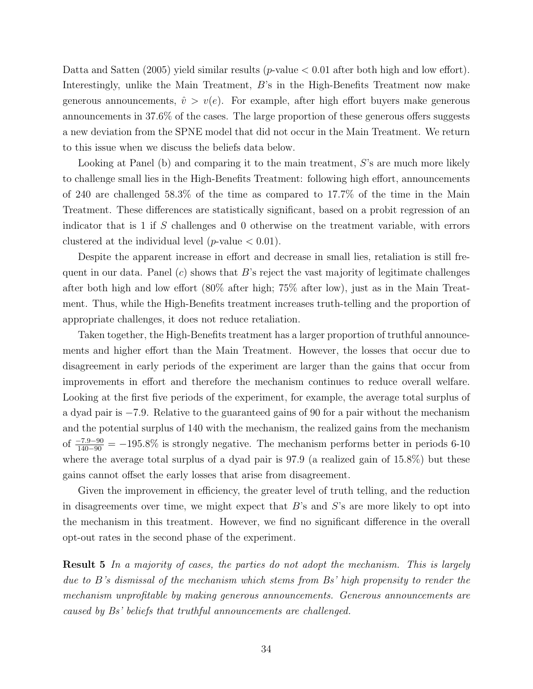Datta and Satten (2005) yield similar results (*p*-value  $< 0.01$  after both high and low effort). Interestingly, unlike the Main Treatment, B's in the High-Benefits Treatment now make generous announcements,  $\hat{v} > v(e)$ . For example, after high effort buyers make generous announcements in 37.6% of the cases. The large proportion of these generous offers suggests a new deviation from the SPNE model that did not occur in the Main Treatment. We return to this issue when we discuss the beliefs data below.

Looking at Panel (b) and comparing it to the main treatment,  $S$ 's are much more likely to challenge small lies in the High-Benefits Treatment: following high effort, announcements of 240 are challenged 58.3% of the time as compared to 17.7% of the time in the Main Treatment. These differences are statistically significant, based on a probit regression of an indicator that is 1 if S challenges and 0 otherwise on the treatment variable, with errors clustered at the individual level (*p*-value  $< 0.01$ ).

Despite the apparent increase in effort and decrease in small lies, retaliation is still frequent in our data. Panel  $(c)$  shows that B's reject the vast majority of legitimate challenges after both high and low effort (80% after high; 75% after low), just as in the Main Treatment. Thus, while the High-Benefits treatment increases truth-telling and the proportion of appropriate challenges, it does not reduce retaliation.

Taken together, the High-Benefits treatment has a larger proportion of truthful announcements and higher effort than the Main Treatment. However, the losses that occur due to disagreement in early periods of the experiment are larger than the gains that occur from improvements in effort and therefore the mechanism continues to reduce overall welfare. Looking at the first five periods of the experiment, for example, the average total surplus of a dyad pair is −7.9. Relative to the guaranteed gains of 90 for a pair without the mechanism and the potential surplus of 140 with the mechanism, the realized gains from the mechanism of  $\frac{-7.9-90}{140-90} = -195.8\%$  is strongly negative. The mechanism performs better in periods 6-10 where the average total surplus of a dyad pair is 97.9 (a realized gain of 15.8%) but these gains cannot offset the early losses that arise from disagreement.

Given the improvement in efficiency, the greater level of truth telling, and the reduction in disagreements over time, we might expect that  $B$ 's and  $S$ 's are more likely to opt into the mechanism in this treatment. However, we find no significant difference in the overall opt-out rates in the second phase of the experiment.

Result 5 In a majority of cases, the parties do not adopt the mechanism. This is largely due to B's dismissal of the mechanism which stems from Bs' high propensity to render the mechanism unprofitable by making generous announcements. Generous announcements are caused by Bs' beliefs that truthful announcements are challenged.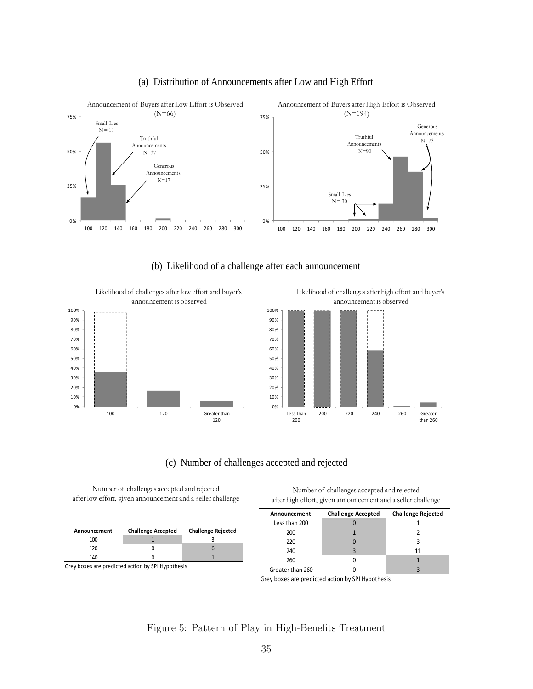<span id="page-37-0"></span>

#### (a) Distribution of Announcements after Low and High Effort

(b) Likelihood of a challenge after each announcement

40% 50% 60% 70% 80% 90% 100% Likelihood of challenges after low effort and buyer's announcement is observed 0% 10% 20% 30% 100 120 Greater than 120

Likelihood of challenges after high effort and buyer's announcement is observed



#### (c) Number of challenges accepted and rejected (c) Number of challenges accepted and

Number of challenges accepted and rejected after low effort, given announcement and a seller challenge

| Announcement | <b>Challenge Accepted</b> | <b>Challenge Rejected</b> |
|--------------|---------------------------|---------------------------|
| 100          |                           |                           |
| 120          |                           |                           |
| 140          |                           |                           |

Grey boxes are predicted action by SPI Hypothesis

Number of challenges accepted and rejected after high effort, given announcement and a seller challenge

| Announcement     | <b>Challenge Accepted</b> | <b>Challenge Rejected</b> |
|------------------|---------------------------|---------------------------|
| Less than 200    |                           |                           |
| 200              |                           |                           |
| 220              |                           |                           |
| 240              |                           | 11                        |
| 260              |                           |                           |
| Greater than 260 |                           |                           |

Grey boxes are predicted action by SPI Hypothesis

#### Figure 5: Pattern of Play in High-Benefits Treatment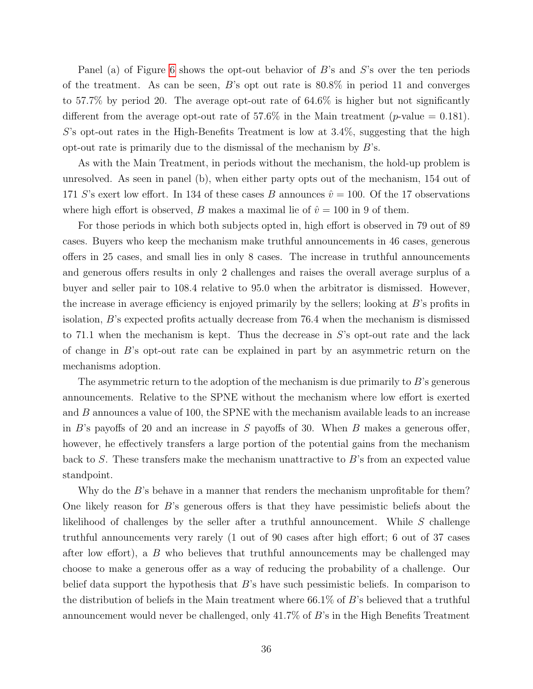Panel (a) of Figure [6](#page-39-0) shows the opt-out behavior of B's and S's over the ten periods of the treatment. As can be seen, B's opt out rate is 80.8% in period 11 and converges to 57.7% by period 20. The average opt-out rate of 64.6% is higher but not significantly different from the average opt-out rate of 57.6% in the Main treatment (*p*-value = 0.181).  $S$ 's opt-out rates in the High-Benefits Treatment is low at 3.4%, suggesting that the high opt-out rate is primarily due to the dismissal of the mechanism by  $B$ 's.

As with the Main Treatment, in periods without the mechanism, the hold-up problem is unresolved. As seen in panel (b), when either party opts out of the mechanism, 154 out of 171 S's exert low effort. In 134 of these cases B announces  $\hat{v} = 100$ . Of the 17 observations where high effort is observed, B makes a maximal lie of  $\hat{v} = 100$  in 9 of them.

For those periods in which both subjects opted in, high effort is observed in 79 out of 89 cases. Buyers who keep the mechanism make truthful announcements in 46 cases, generous offers in 25 cases, and small lies in only 8 cases. The increase in truthful announcements and generous offers results in only 2 challenges and raises the overall average surplus of a buyer and seller pair to 108.4 relative to 95.0 when the arbitrator is dismissed. However, the increase in average efficiency is enjoyed primarily by the sellers; looking at B's profits in isolation, B's expected profits actually decrease from 76.4 when the mechanism is dismissed to 71.1 when the mechanism is kept. Thus the decrease in  $S$ 's opt-out rate and the lack of change in B's opt-out rate can be explained in part by an asymmetric return on the mechanisms adoption.

The asymmetric return to the adoption of the mechanism is due primarily to  $B$ 's generous announcements. Relative to the SPNE without the mechanism where low effort is exerted and B announces a value of 100, the SPNE with the mechanism available leads to an increase in  $B$ 's payoffs of 20 and an increase in S payoffs of 30. When B makes a generous offer, however, he effectively transfers a large portion of the potential gains from the mechanism back to S. These transfers make the mechanism unattractive to B's from an expected value standpoint.

Why do the  $B$ 's behave in a manner that renders the mechanism unprofitable for them? One likely reason for  $B$ 's generous offers is that they have pessimistic beliefs about the likelihood of challenges by the seller after a truthful announcement. While S challenge truthful announcements very rarely (1 out of 90 cases after high effort; 6 out of 37 cases after low effort), a B who believes that truthful announcements may be challenged may choose to make a generous offer as a way of reducing the probability of a challenge. Our belief data support the hypothesis that  $B$ 's have such pessimistic beliefs. In comparison to the distribution of beliefs in the Main treatment where 66.1% of B's believed that a truthful announcement would never be challenged, only 41.7% of B's in the High Benefits Treatment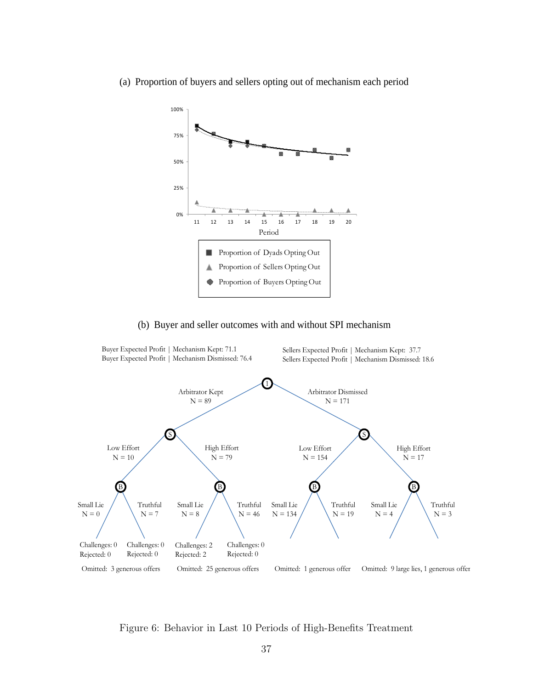

<span id="page-39-0"></span>(a) Proportion of buyers and sellers opting out of mechanism each period

#### (b) Buyer and seller outcomes with and without SPI mechanism



Figure 6: Behavior in Last 10 Periods of High-Benefits Treatment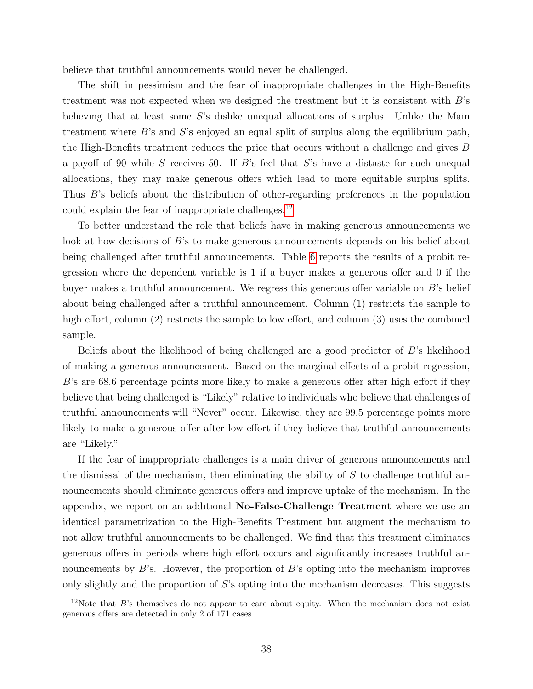believe that truthful announcements would never be challenged.

The shift in pessimism and the fear of inappropriate challenges in the High-Benefits treatment was not expected when we designed the treatment but it is consistent with  $B$ 's believing that at least some S's dislike unequal allocations of surplus. Unlike the Main treatment where B's and S's enjoyed an equal split of surplus along the equilibrium path, the High-Benefits treatment reduces the price that occurs without a challenge and gives B a payoff of 90 while S receives 50. If B's feel that S's have a distaste for such unequal allocations, they may make generous offers which lead to more equitable surplus splits. Thus B's beliefs about the distribution of other-regarding preferences in the population could explain the fear of inappropriate challenges.[12](#page--1-0)

To better understand the role that beliefs have in making generous announcements we look at how decisions of B's to make generous announcements depends on his belief about being challenged after truthful announcements. Table [6](#page-41-0) reports the results of a probit regression where the dependent variable is 1 if a buyer makes a generous offer and 0 if the buyer makes a truthful announcement. We regress this generous offer variable on B's belief about being challenged after a truthful announcement. Column (1) restricts the sample to high effort, column (2) restricts the sample to low effort, and column (3) uses the combined sample.

Beliefs about the likelihood of being challenged are a good predictor of B's likelihood of making a generous announcement. Based on the marginal effects of a probit regression, B's are 68.6 percentage points more likely to make a generous offer after high effort if they believe that being challenged is "Likely" relative to individuals who believe that challenges of truthful announcements will "Never" occur. Likewise, they are 99.5 percentage points more likely to make a generous offer after low effort if they believe that truthful announcements are "Likely."

If the fear of inappropriate challenges is a main driver of generous announcements and the dismissal of the mechanism, then eliminating the ability of  $S$  to challenge truthful announcements should eliminate generous offers and improve uptake of the mechanism. In the appendix, we report on an additional No-False-Challenge Treatment where we use an identical parametrization to the High-Benefits Treatment but augment the mechanism to not allow truthful announcements to be challenged. We find that this treatment eliminates generous offers in periods where high effort occurs and significantly increases truthful announcements by  $B$ 's. However, the proportion of  $B$ 's opting into the mechanism improves only slightly and the proportion of S's opting into the mechanism decreases. This suggests

 $12$ Note that  $B$ 's themselves do not appear to care about equity. When the mechanism does not exist generous offers are detected in only 2 of 171 cases.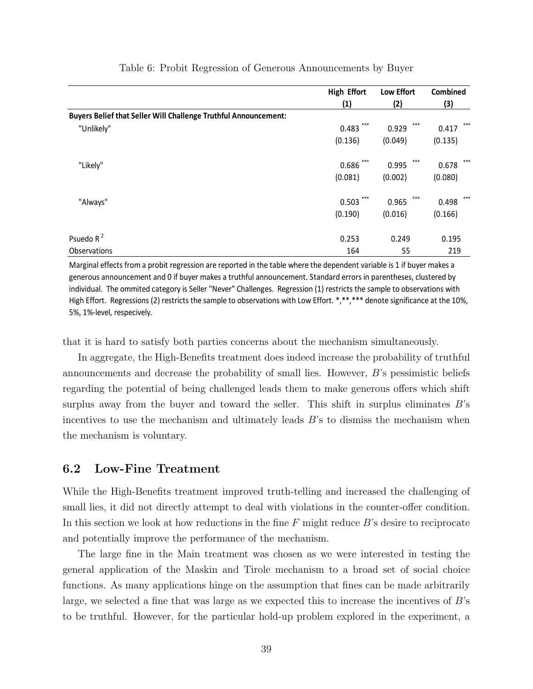<span id="page-41-0"></span>

|                                                                        | <b>High Effort</b> | <b>Low Effort</b> | Combined     |
|------------------------------------------------------------------------|--------------------|-------------------|--------------|
|                                                                        | (1)                | (2)               | (3)          |
| <b>Buyers Belief that Seller Will Challenge Truthful Announcement:</b> |                    |                   |              |
| "Unlikely"                                                             | ***<br>0.483       | ***<br>0.929      | ***<br>0.417 |
|                                                                        | (0.136)            | (0.049)           | (0.135)      |
| "Likely"                                                               | ***<br>0.686       | ***<br>0.995      | ***<br>0.678 |
|                                                                        | (0.081)            | (0.002)           | (0.080)      |
| "Always"                                                               | ***<br>0.503       | ***<br>0.965      | ***<br>0.498 |
|                                                                        | (0.190)            | (0.016)           | (0.166)      |
| Psuedo R <sup>2</sup>                                                  | 0.253              | 0.249             | 0.195        |
| Observations                                                           | 164                | 55                | 219          |

Table 6: Probit Regression of Generous Announcements by Buyer

Marginal effects from a probit regression are reported in the table where the dependent variable is 1 if buyer makes a generous announcement and 0 if buyer makes a truthful announcement. Standard errors in parentheses, clustered by individual. The ommited category is Seller "Never" Challenges. Regression (1) restricts the sample to observations with High Effort. Regressions (2) restricts the sample to observations with Low Effort. \*,\*\*,\*\*\* denote significance at the 10%, 5%, 1%‐level, respecively.

that it is hard to satisfy both parties concerns about the mechanism simultaneously.

In aggregate, the High-Benefits treatment does indeed increase the probability of truthful announcements and decrease the probability of small lies. However, B's pessimistic beliefs regarding the potential of being challenged leads them to make generous offers which shift surplus away from the buyer and toward the seller. This shift in surplus eliminates  $B$ 's incentives to use the mechanism and ultimately leads  $B$ 's to dismiss the mechanism when the mechanism is voluntary.

#### 6.2 Low-Fine Treatment

While the High-Benefits treatment improved truth-telling and increased the challenging of small lies, it did not directly attempt to deal with violations in the counter-offer condition. In this section we look at how reductions in the fine  $F$  might reduce  $B$ 's desire to reciprocate and potentially improve the performance of the mechanism.

The large fine in the Main treatment was chosen as we were interested in testing the general application of the Maskin and Tirole mechanism to a broad set of social choice functions. As many applications hinge on the assumption that fines can be made arbitrarily large, we selected a fine that was large as we expected this to increase the incentives of  $B$ 's to be truthful. However, for the particular hold-up problem explored in the experiment, a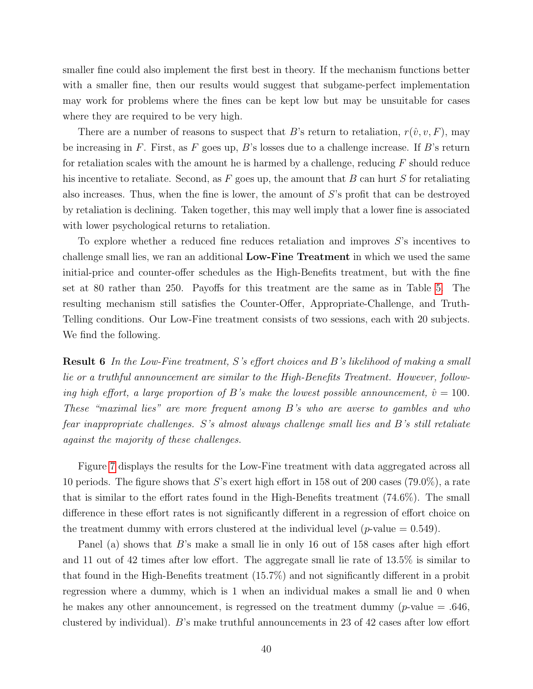smaller fine could also implement the first best in theory. If the mechanism functions better with a smaller fine, then our results would suggest that subgame-perfect implementation may work for problems where the fines can be kept low but may be unsuitable for cases where they are required to be very high.

There are a number of reasons to suspect that B's return to retaliation,  $r(\hat{v}, v, F)$ , may be increasing in F. First, as F goes up, B's losses due to a challenge increase. If B's return for retaliation scales with the amount he is harmed by a challenge, reducing  $F$  should reduce his incentive to retaliate. Second, as  $F$  goes up, the amount that  $B$  can hurt  $S$  for retaliating also increases. Thus, when the fine is lower, the amount of S's profit that can be destroyed by retaliation is declining. Taken together, this may well imply that a lower fine is associated with lower psychological returns to retaliation.

To explore whether a reduced fine reduces retaliation and improves S's incentives to challenge small lies, we ran an additional Low-Fine Treatment in which we used the same initial-price and counter-offer schedules as the High-Benefits treatment, but with the fine set at 80 rather than 250. Payoffs for this treatment are the same as in Table [5.](#page-35-0) The resulting mechanism still satisfies the Counter-Offer, Appropriate-Challenge, and Truth-Telling conditions. Our Low-Fine treatment consists of two sessions, each with 20 subjects. We find the following.

Result 6 In the Low-Fine treatment, S's effort choices and B's likelihood of making a small lie or a truthful announcement are similar to the High-Benefits Treatment. However, following high effort, a large proportion of B's make the lowest possible announcement,  $\hat{v} = 100$ . These "maximal lies" are more frequent among B's who are averse to gambles and who fear inappropriate challenges. S's almost always challenge small lies and B's still retaliate against the majority of these challenges.

Figure [7](#page-44-0) displays the results for the Low-Fine treatment with data aggregated across all 10 periods. The figure shows that S's exert high effort in 158 out of 200 cases (79.0%), a rate that is similar to the effort rates found in the High-Benefits treatment (74.6%). The small difference in these effort rates is not significantly different in a regression of effort choice on the treatment dummy with errors clustered at the individual level ( $p$ -value = 0.549).

Panel (a) shows that B's make a small lie in only 16 out of 158 cases after high effort and 11 out of 42 times after low effort. The aggregate small lie rate of 13.5% is similar to that found in the High-Benefits treatment (15.7%) and not significantly different in a probit regression where a dummy, which is 1 when an individual makes a small lie and 0 when he makes any other announcement, is regressed on the treatment dummy ( $p$ -value = .646, clustered by individual). B's make truthful announcements in 23 of 42 cases after low effort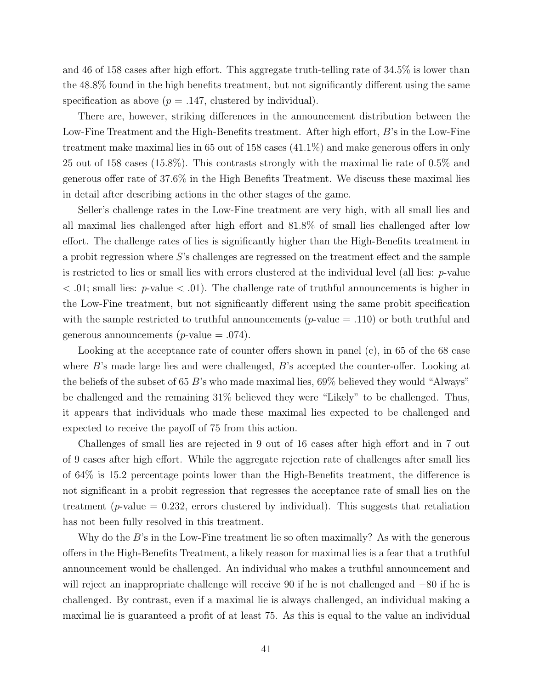and 46 of 158 cases after high effort. This aggregate truth-telling rate of 34.5% is lower than the 48.8% found in the high benefits treatment, but not significantly different using the same specification as above ( $p = .147$ , clustered by individual).

There are, however, striking differences in the announcement distribution between the Low-Fine Treatment and the High-Benefits treatment. After high effort, B's in the Low-Fine treatment make maximal lies in 65 out of 158 cases (41.1%) and make generous offers in only 25 out of 158 cases (15.8%). This contrasts strongly with the maximal lie rate of 0.5% and generous offer rate of 37.6% in the High Benefits Treatment. We discuss these maximal lies in detail after describing actions in the other stages of the game.

Seller's challenge rates in the Low-Fine treatment are very high, with all small lies and all maximal lies challenged after high effort and 81.8% of small lies challenged after low effort. The challenge rates of lies is significantly higher than the High-Benefits treatment in a probit regression where S's challenges are regressed on the treatment effect and the sample is restricted to lies or small lies with errors clustered at the individual level (all lies:  $p$ -value  $< .01$ ; small lies: p-value  $< .01$ ). The challenge rate of truthful announcements is higher in the Low-Fine treatment, but not significantly different using the same probit specification with the sample restricted to truthful announcements ( $p$ -value  $=$  .110) or both truthful and generous announcements ( $p$ -value = .074).

Looking at the acceptance rate of counter offers shown in panel (c), in 65 of the 68 case where B's made large lies and were challenged, B's accepted the counter-offer. Looking at the beliefs of the subset of 65 B's who made maximal lies, 69% believed they would "Always" be challenged and the remaining 31% believed they were "Likely" to be challenged. Thus, it appears that individuals who made these maximal lies expected to be challenged and expected to receive the payoff of 75 from this action.

Challenges of small lies are rejected in 9 out of 16 cases after high effort and in 7 out of 9 cases after high effort. While the aggregate rejection rate of challenges after small lies of 64% is 15.2 percentage points lower than the High-Benefits treatment, the difference is not significant in a probit regression that regresses the acceptance rate of small lies on the treatment (*p*-value  $= 0.232$ , errors clustered by individual). This suggests that retaliation has not been fully resolved in this treatment.

Why do the  $B$ 's in the Low-Fine treatment lie so often maximally? As with the generous offers in the High-Benefits Treatment, a likely reason for maximal lies is a fear that a truthful announcement would be challenged. An individual who makes a truthful announcement and will reject an inappropriate challenge will receive 90 if he is not challenged and −80 if he is challenged. By contrast, even if a maximal lie is always challenged, an individual making a maximal lie is guaranteed a profit of at least 75. As this is equal to the value an individual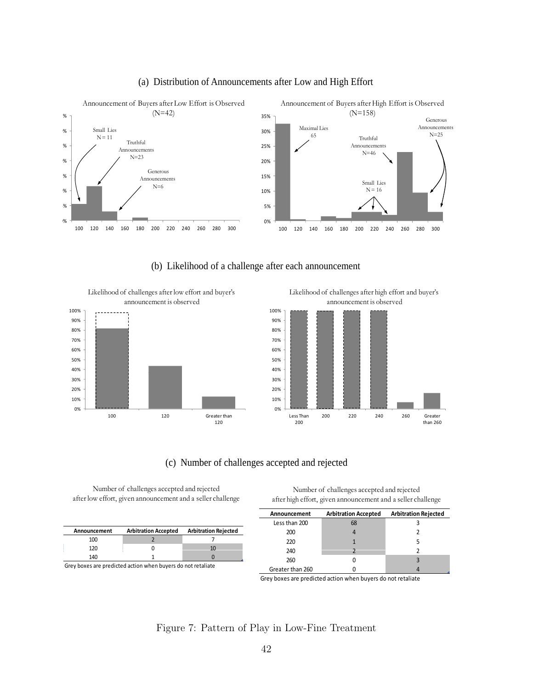<span id="page-44-0"></span>

#### (a) Distribution of Announcements after Low and High Effort

(b) Likelihood of a challenge after each announcement



40% 50% 60% 70% 80% 90% 100% announcement is observed 0% 10% 20% 30% Less Than 200 200 220 240 260 Greater than 260

Likelihood of challenges after high effort and buyer's

#### (c) Number of challenges accepted and rejected (c) Number of challenges accepted and

Number of challenges accepted and rejected after low effort, given announcement and a seller challenge

| Announcement | <b>Arbitration Accepted</b> | <b>Arbitration Rejected</b> |
|--------------|-----------------------------|-----------------------------|
| 100          |                             |                             |
| 120          |                             | ш                           |
| 140          |                             |                             |

Grey boxes are predicted action when buyers do not retaliate

Number of challenges accepted and rejected after high effort, given announcement and a seller challenge

| Announcement     | <b>Arbitration Accepted</b> | <b>Arbitration Rejected</b> |
|------------------|-----------------------------|-----------------------------|
| Less than 200    | 68                          |                             |
| 200              |                             |                             |
| 220              |                             |                             |
| 240              |                             |                             |
| 260              |                             |                             |
| Greater than 260 |                             |                             |

Grey boxes are predicted action when buyers do not retaliate

#### Figure 7: Pattern of Play in Low-Fine Treatment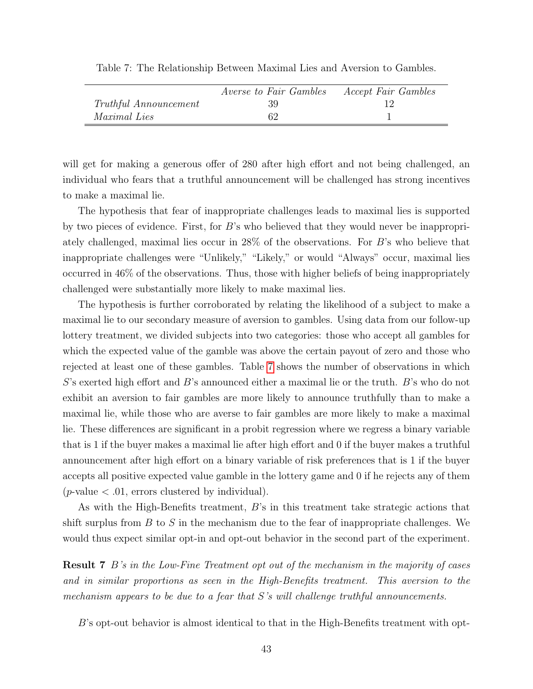|                       | <i>Averse to Fair Gambles</i> | <i>Accept Fair Gambles</i> |
|-----------------------|-------------------------------|----------------------------|
| Truthful Announcement | -39.                          |                            |
| <i>Maximal Lies</i>   | 62                            |                            |

<span id="page-45-0"></span>Table 7: The Relationship Between Maximal Lies and Aversion to Gambles.

will get for making a generous offer of 280 after high effort and not being challenged, an individual who fears that a truthful announcement will be challenged has strong incentives to make a maximal lie.

The hypothesis that fear of inappropriate challenges leads to maximal lies is supported by two pieces of evidence. First, for  $B$ 's who believed that they would never be inappropriately challenged, maximal lies occur in 28% of the observations. For B's who believe that inappropriate challenges were "Unlikely," "Likely," or would "Always" occur, maximal lies occurred in 46% of the observations. Thus, those with higher beliefs of being inappropriately challenged were substantially more likely to make maximal lies.

The hypothesis is further corroborated by relating the likelihood of a subject to make a maximal lie to our secondary measure of aversion to gambles. Using data from our follow-up lottery treatment, we divided subjects into two categories: those who accept all gambles for which the expected value of the gamble was above the certain payout of zero and those who rejected at least one of these gambles. Table [7](#page-45-0) shows the number of observations in which S's exerted high effort and B's announced either a maximal lie or the truth. B's who do not exhibit an aversion to fair gambles are more likely to announce truthfully than to make a maximal lie, while those who are averse to fair gambles are more likely to make a maximal lie. These differences are significant in a probit regression where we regress a binary variable that is 1 if the buyer makes a maximal lie after high effort and 0 if the buyer makes a truthful announcement after high effort on a binary variable of risk preferences that is 1 if the buyer accepts all positive expected value gamble in the lottery game and 0 if he rejects any of them  $(p$ -value  $< .01$ , errors clustered by individual).

As with the High-Benefits treatment,  $B$ 's in this treatment take strategic actions that shift surplus from  $B$  to  $S$  in the mechanism due to the fear of inappropriate challenges. We would thus expect similar opt-in and opt-out behavior in the second part of the experiment.

**Result 7** B's in the Low-Fine Treatment opt out of the mechanism in the majority of cases and in similar proportions as seen in the High-Benefits treatment. This aversion to the mechanism appears to be due to a fear that  $S$ 's will challenge truthful announcements.

 $B$ 's opt-out behavior is almost identical to that in the High-Benefits treatment with opt-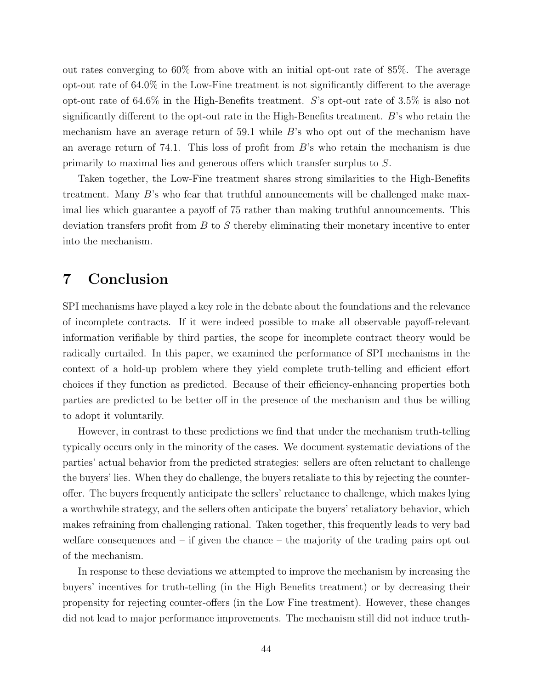out rates converging to 60% from above with an initial opt-out rate of 85%. The average opt-out rate of 64.0% in the Low-Fine treatment is not significantly different to the average opt-out rate of 64.6% in the High-Benefits treatment. S's opt-out rate of 3.5% is also not significantly different to the opt-out rate in the High-Benefits treatment.  $B$ 's who retain the mechanism have an average return of 59.1 while B's who opt out of the mechanism have an average return of 74.1. This loss of profit from  $B$ 's who retain the mechanism is due primarily to maximal lies and generous offers which transfer surplus to S.

Taken together, the Low-Fine treatment shares strong similarities to the High-Benefits treatment. Many  $B$ 's who fear that truthful announcements will be challenged make maximal lies which guarantee a payoff of 75 rather than making truthful announcements. This deviation transfers profit from  $B$  to  $S$  thereby eliminating their monetary incentive to enter into the mechanism.

# 7 Conclusion

SPI mechanisms have played a key role in the debate about the foundations and the relevance of incomplete contracts. If it were indeed possible to make all observable payoff-relevant information verifiable by third parties, the scope for incomplete contract theory would be radically curtailed. In this paper, we examined the performance of SPI mechanisms in the context of a hold-up problem where they yield complete truth-telling and efficient effort choices if they function as predicted. Because of their efficiency-enhancing properties both parties are predicted to be better off in the presence of the mechanism and thus be willing to adopt it voluntarily.

However, in contrast to these predictions we find that under the mechanism truth-telling typically occurs only in the minority of the cases. We document systematic deviations of the parties' actual behavior from the predicted strategies: sellers are often reluctant to challenge the buyers' lies. When they do challenge, the buyers retaliate to this by rejecting the counteroffer. The buyers frequently anticipate the sellers' reluctance to challenge, which makes lying a worthwhile strategy, and the sellers often anticipate the buyers' retaliatory behavior, which makes refraining from challenging rational. Taken together, this frequently leads to very bad welfare consequences and  $-$  if given the chance  $-$  the majority of the trading pairs opt out of the mechanism.

In response to these deviations we attempted to improve the mechanism by increasing the buyers' incentives for truth-telling (in the High Benefits treatment) or by decreasing their propensity for rejecting counter-offers (in the Low Fine treatment). However, these changes did not lead to major performance improvements. The mechanism still did not induce truth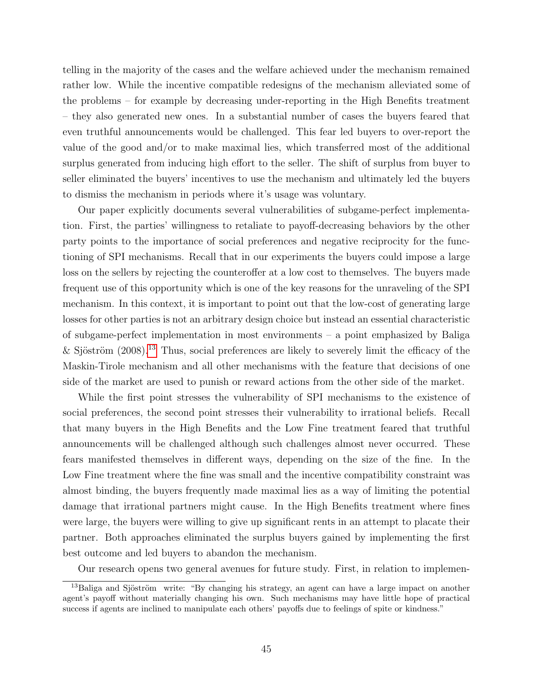telling in the majority of the cases and the welfare achieved under the mechanism remained rather low. While the incentive compatible redesigns of the mechanism alleviated some of the problems – for example by decreasing under-reporting in the High Benefits treatment – they also generated new ones. In a substantial number of cases the buyers feared that even truthful announcements would be challenged. This fear led buyers to over-report the value of the good and/or to make maximal lies, which transferred most of the additional surplus generated from inducing high effort to the seller. The shift of surplus from buyer to seller eliminated the buyers' incentives to use the mechanism and ultimately led the buyers to dismiss the mechanism in periods where it's usage was voluntary.

Our paper explicitly documents several vulnerabilities of subgame-perfect implementation. First, the parties' willingness to retaliate to payoff-decreasing behaviors by the other party points to the importance of social preferences and negative reciprocity for the functioning of SPI mechanisms. Recall that in our experiments the buyers could impose a large loss on the sellers by rejecting the counteroffer at a low cost to themselves. The buyers made frequent use of this opportunity which is one of the key reasons for the unraveling of the SPI mechanism. In this context, it is important to point out that the low-cost of generating large losses for other parties is not an arbitrary design choice but instead an essential characteristic of subgame-perfect implementation in most environments – a point emphasized by Baliga & Sjöström  $(2008).^{13}$  $(2008).^{13}$  $(2008).^{13}$  Thus, social preferences are likely to severely limit the efficacy of the Maskin-Tirole mechanism and all other mechanisms with the feature that decisions of one side of the market are used to punish or reward actions from the other side of the market.

While the first point stresses the vulnerability of SPI mechanisms to the existence of social preferences, the second point stresses their vulnerability to irrational beliefs. Recall that many buyers in the High Benefits and the Low Fine treatment feared that truthful announcements will be challenged although such challenges almost never occurred. These fears manifested themselves in different ways, depending on the size of the fine. In the Low Fine treatment where the fine was small and the incentive compatibility constraint was almost binding, the buyers frequently made maximal lies as a way of limiting the potential damage that irrational partners might cause. In the High Benefits treatment where fines were large, the buyers were willing to give up significant rents in an attempt to placate their partner. Both approaches eliminated the surplus buyers gained by implementing the first best outcome and led buyers to abandon the mechanism.

Our research opens two general avenues for future study. First, in relation to implemen-

<sup>&</sup>lt;sup>13</sup>Baliga and Sjöström write: "By changing his strategy, an agent can have a large impact on another agent's payoff without materially changing his own. Such mechanisms may have little hope of practical success if agents are inclined to manipulate each others' payoffs due to feelings of spite or kindness."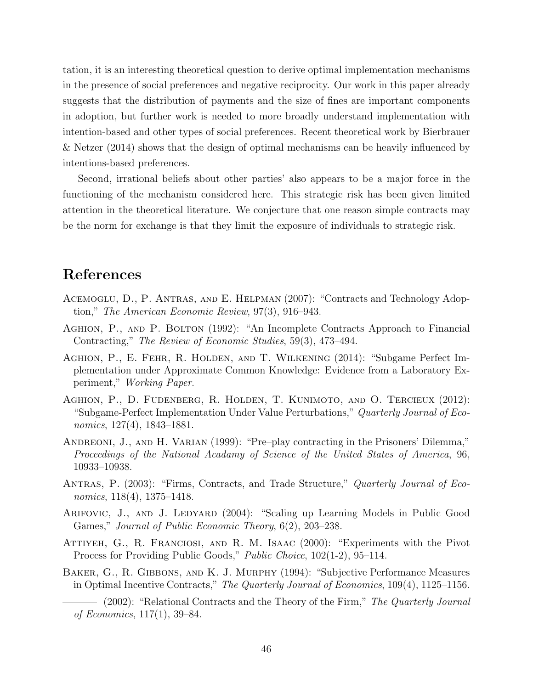tation, it is an interesting theoretical question to derive optimal implementation mechanisms in the presence of social preferences and negative reciprocity. Our work in this paper already suggests that the distribution of payments and the size of fines are important components in adoption, but further work is needed to more broadly understand implementation with intention-based and other types of social preferences. Recent theoretical work by Bierbrauer & Netzer (2014) shows that the design of optimal mechanisms can be heavily influenced by intentions-based preferences.

Second, irrational beliefs about other parties' also appears to be a major force in the functioning of the mechanism considered here. This strategic risk has been given limited attention in the theoretical literature. We conjecture that one reason simple contracts may be the norm for exchange is that they limit the exposure of individuals to strategic risk.

# References

- Acemoglu, D., P. Antras, and E. Helpman (2007): "Contracts and Technology Adoption," The American Economic Review, 97(3), 916–943.
- Aghion, P., and P. Bolton (1992): "An Incomplete Contracts Approach to Financial Contracting," The Review of Economic Studies, 59(3), 473–494.
- Aghion, P., E. Fehr, R. Holden, and T. Wilkening (2014): "Subgame Perfect Implementation under Approximate Common Knowledge: Evidence from a Laboratory Experiment," Working Paper.
- Aghion, P., D. Fudenberg, R. Holden, T. Kunimoto, and O. Tercieux (2012): "Subgame-Perfect Implementation Under Value Perturbations," Quarterly Journal of Economics, 127(4), 1843–1881.
- ANDREONI, J., AND H. VARIAN (1999): "Pre–play contracting in the Prisoners' Dilemma," Proceedings of the National Acadamy of Science of the United States of America, 96, 10933–10938.
- ANTRAS, P. (2003): "Firms, Contracts, and Trade Structure," Quarterly Journal of Economics, 118(4), 1375–1418.
- ARIFOVIC, J., AND J. LEDYARD (2004): "Scaling up Learning Models in Public Good Games," Journal of Public Economic Theory, 6(2), 203–238.
- Attiyeh, G., R. Franciosi, and R. M. Isaac (2000): "Experiments with the Pivot Process for Providing Public Goods," Public Choice, 102(1-2), 95–114.
- Baker, G., R. Gibbons, and K. J. Murphy (1994): "Subjective Performance Measures in Optimal Incentive Contracts," The Quarterly Journal of Economics, 109(4), 1125–1156.

<sup>- (2002): &</sup>quot;Relational Contracts and the Theory of the Firm," The Quarterly Journal of Economics, 117(1), 39–84.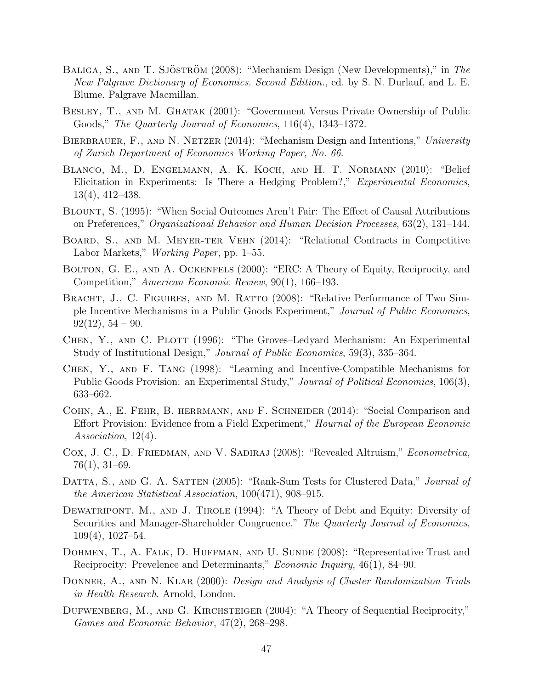- BALIGA, S., AND T. SJÖSTRÖM (2008): "Mechanism Design (New Developments)," in The New Palgrave Dictionary of Economics. Second Edition., ed. by S. N. Durlauf, and L. E. Blume. Palgrave Macmillan.
- Besley, T., and M. Ghatak (2001): "Government Versus Private Ownership of Public Goods," The Quarterly Journal of Economics, 116(4), 1343–1372.
- BIERBRAUER, F., AND N. NETZER (2014): "Mechanism Design and Intentions," University of Zurich Department of Economics Working Paper, No. 66.
- Blanco, M., D. Engelmann, A. K. Koch, and H. T. Normann (2010): "Belief Elicitation in Experiments: Is There a Hedging Problem?," Experimental Economics, 13(4), 412–438.
- Blount, S. (1995): "When Social Outcomes Aren't Fair: The Effect of Causal Attributions on Preferences," Organizational Behavior and Human Decision Processes, 63(2), 131–144.
- Board, S., and M. Meyer-ter Vehn (2014): "Relational Contracts in Competitive Labor Markets," Working Paper, pp. 1–55.
- BOLTON, G. E., AND A. OCKENFELS (2000): "ERC: A Theory of Equity, Reciprocity, and Competition," American Economic Review, 90(1), 166–193.
- BRACHT, J., C. FIGUIRES, AND M. RATTO (2008): "Relative Performance of Two Simple Incentive Mechanisms in a Public Goods Experiment," Journal of Public Economics,  $92(12), 54 - 90.$
- CHEN, Y., AND C. PLOTT (1996): "The Groves–Ledyard Mechanism: An Experimental Study of Institutional Design," Journal of Public Economics, 59(3), 335–364.
- Chen, Y., and F. Tang (1998): "Learning and Incentive-Compatible Mechanisms for Public Goods Provision: an Experimental Study," Journal of Political Economics, 106(3), 633–662.
- Cohn, A., E. Fehr, B. herrmann, and F. Schneider (2014): "Social Comparison and Effort Provision: Evidence from a Field Experiment," Hournal of the European Economic Association, 12(4).
- COX, J. C., D. FRIEDMAN, AND V. SADIRAJ (2008): "Revealed Altruism," *Econometrica*, 76(1), 31–69.
- DATTA, S., AND G. A. SATTEN (2005): "Rank-Sum Tests for Clustered Data," Journal of the American Statistical Association, 100(471), 908–915.
- DEWATRIPONT, M., AND J. TIROLE (1994): "A Theory of Debt and Equity: Diversity of Securities and Manager-Shareholder Congruence," The Quarterly Journal of Economics, 109(4), 1027–54.
- DOHMEN, T., A. FALK, D. HUFFMAN, AND U. SUNDE (2008): "Representative Trust and Reciprocity: Prevelence and Determinants," Economic Inquiry, 46(1), 84–90.
- DONNER, A., AND N. KLAR (2000): *Design and Analysis of Cluster Randomization Trials* in Health Research. Arnold, London.
- DUFWENBERG, M., AND G. KIRCHSTEIGER (2004): "A Theory of Sequential Reciprocity," Games and Economic Behavior, 47(2), 268–298.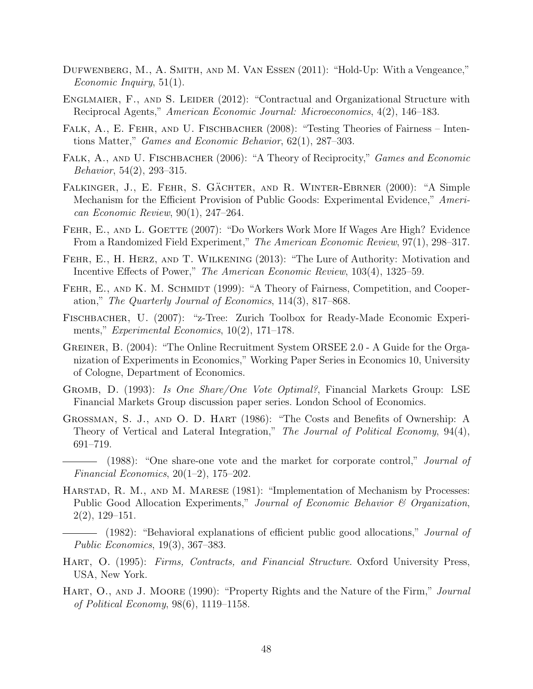- Dufwenberg, M., A. Smith, and M. Van Essen (2011): "Hold-Up: With a Vengeance," Economic Inquiry, 51(1).
- ENGLMAIER, F., AND S. LEIDER (2012): "Contractual and Organizational Structure with Reciprocal Agents," American Economic Journal: Microeconomics, 4(2), 146–183.
- FALK, A., E. FEHR, AND U. FISCHBACHER (2008): "Testing Theories of Fairness Intentions Matter," Games and Economic Behavior, 62(1), 287–303.
- FALK, A., AND U. FISCHBACHER (2006): "A Theory of Reciprocity," Games and Economic Behavior, 54(2), 293–315.
- FALKINGER, J., E. FEHR, S. GÄCHTER, AND R. WINTER-EBRNER (2000): "A Simple Mechanism for the Efficient Provision of Public Goods: Experimental Evidence," American Economic Review, 90(1), 247–264.
- FEHR, E., AND L. GOETTE (2007): "Do Workers Work More If Wages Are High? Evidence From a Randomized Field Experiment," The American Economic Review, 97(1), 298–317.
- Fehr, E., H. Herz, and T. Wilkening (2013): "The Lure of Authority: Motivation and Incentive Effects of Power," The American Economic Review, 103(4), 1325–59.
- FEHR, E., AND K. M. SCHMIDT (1999): "A Theory of Fairness, Competition, and Cooperation," The Quarterly Journal of Economics, 114(3), 817–868.
- Fischbacher, U. (2007): "z-Tree: Zurich Toolbox for Ready-Made Economic Experiments," Experimental Economics, 10(2), 171–178.
- Greiner, B. (2004): "The Online Recruitment System ORSEE 2.0 A Guide for the Organization of Experiments in Economics," Working Paper Series in Economics 10, University of Cologne, Department of Economics.
- Gromb, D. (1993): Is One Share/One Vote Optimal?, Financial Markets Group: LSE Financial Markets Group discussion paper series. London School of Economics.
- Grossman, S. J., and O. D. Hart (1986): "The Costs and Benefits of Ownership: A Theory of Vertical and Lateral Integration," The Journal of Political Economy, 94(4), 691–719.
- (1988): "One share-one vote and the market for corporate control," Journal of Financial Economics, 20(1–2), 175–202.
- HARSTAD, R. M., AND M. MARESE (1981): "Implementation of Mechanism by Processes: Public Good Allocation Experiments," Journal of Economic Behavior & Organization, 2(2), 129–151.
- (1982): "Behavioral explanations of efficient public good allocations," Journal of Public Economics, 19(3), 367–383.
- HART, O. (1995): Firms, Contracts, and Financial Structure. Oxford University Press, USA, New York.
- HART, O., AND J. MOORE (1990): "Property Rights and the Nature of the Firm," Journal of Political Economy, 98(6), 1119–1158.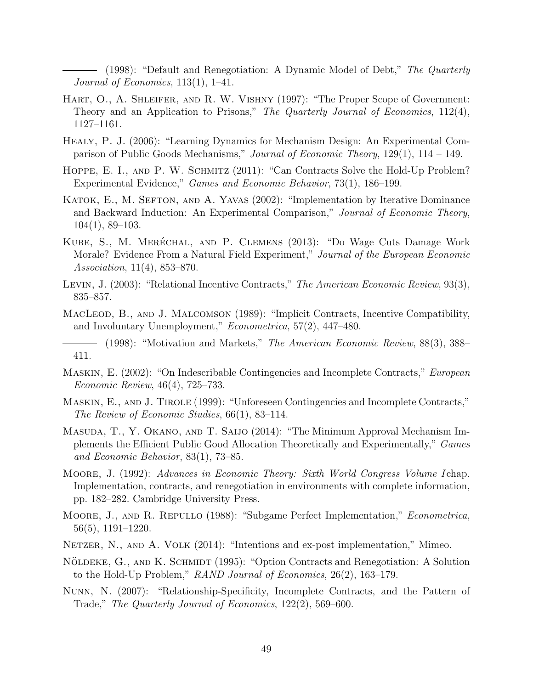(1998): "Default and Renegotiation: A Dynamic Model of Debt," The Quarterly Journal of Economics,  $113(1)$ ,  $1-41$ .

- HART, O., A. SHLEIFER, AND R. W. VISHNY (1997): "The Proper Scope of Government: Theory and an Application to Prisons," The Quarterly Journal of Economics, 112(4), 1127–1161.
- Healy, P. J. (2006): "Learning Dynamics for Mechanism Design: An Experimental Comparison of Public Goods Mechanisms," Journal of Economic Theory, 129(1), 114 – 149.
- HOPPE, E. I., AND P. W. SCHMITZ (2011): "Can Contracts Solve the Hold-Up Problem? Experimental Evidence," Games and Economic Behavior, 73(1), 186–199.
- KATOK, E., M. SEFTON, AND A. YAVAS (2002): "Implementation by Iterative Dominance and Backward Induction: An Experimental Comparison," Journal of Economic Theory, 104(1), 89–103.
- KUBE, S., M. MERÉCHAL, AND P. CLEMENS (2013): "Do Wage Cuts Damage Work Morale? Evidence From a Natural Field Experiment," Journal of the European Economic Association, 11(4), 853–870.
- LEVIN, J. (2003): "Relational Incentive Contracts," The American Economic Review, 93(3), 835–857.
- MacLeod, B., and J. Malcomson (1989): "Implicit Contracts, Incentive Compatibility, and Involuntary Unemployment," Econometrica, 57(2), 447–480.
- (1998): "Motivation and Markets," The American Economic Review, 88(3), 388– 411.
- Maskin, E. (2002): "On Indescribable Contingencies and Incomplete Contracts," European Economic Review, 46(4), 725–733.
- MASKIN, E., AND J. TIROLE (1999): "Unforeseen Contingencies and Incomplete Contracts," The Review of Economic Studies, 66(1), 83–114.
- Masuda, T., Y. Okano, and T. Saijo (2014): "The Minimum Approval Mechanism Implements the Efficient Public Good Allocation Theoretically and Experimentally," Games and Economic Behavior, 83(1), 73–85.
- MOORE, J. (1992): Advances in Economic Theory: Sixth World Congress Volume I chap. Implementation, contracts, and renegotiation in environments with complete information, pp. 182–282. Cambridge University Press.
- Moore, J., and R. Repullo (1988): "Subgame Perfect Implementation," Econometrica, 56(5), 1191–1220.
- NETZER, N., AND A. VOLK (2014): "Intentions and ex-post implementation," Mimeo.
- NÖLDEKE, G., AND K. SCHMIDT (1995): "Option Contracts and Renegotiation: A Solution to the Hold-Up Problem," RAND Journal of Economics, 26(2), 163–179.
- Nunn, N. (2007): "Relationship-Specificity, Incomplete Contracts, and the Pattern of Trade," The Quarterly Journal of Economics, 122(2), 569–600.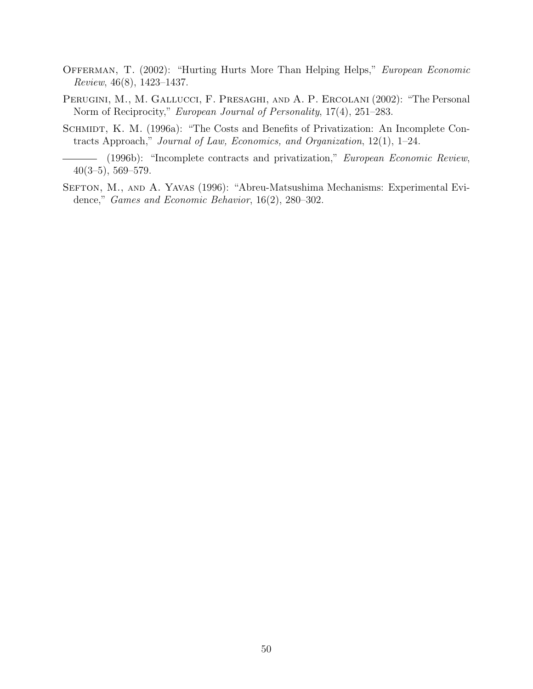- OFFERMAN, T. (2002): "Hurting Hurts More Than Helping Helps," European Economic Review, 46(8), 1423–1437.
- PERUGINI, M., M. GALLUCCI, F. PRESAGHI, AND A. P. ERCOLANI (2002): "The Personal Norm of Reciprocity," European Journal of Personality, 17(4), 251–283.
- SCHMIDT, K. M. (1996a): "The Costs and Benefits of Privatization: An Incomplete Contracts Approach," Journal of Law, Economics, and Organization, 12(1), 1–24.
- (1996b): "Incomplete contracts and privatization," European Economic Review, 40(3–5), 569–579.
- SEFTON, M., AND A. YAVAS (1996): "Abreu-Matsushima Mechanisms: Experimental Evidence," Games and Economic Behavior, 16(2), 280–302.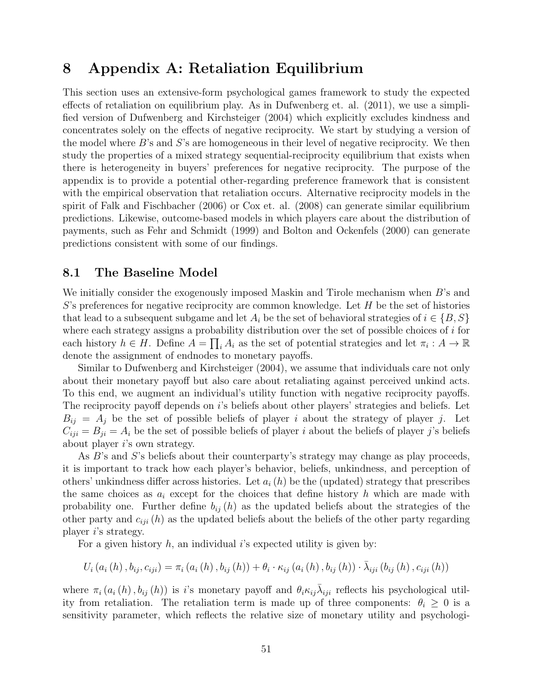# 8 Appendix A: Retaliation Equilibrium

This section uses an extensive-form psychological games framework to study the expected effects of retaliation on equilibrium play. As in Dufwenberg et. al. (2011), we use a simplified version of Dufwenberg and Kirchsteiger (2004) which explicitly excludes kindness and concentrates solely on the effects of negative reciprocity. We start by studying a version of the model where B's and S's are homogeneous in their level of negative reciprocity. We then study the properties of a mixed strategy sequential-reciprocity equilibrium that exists when there is heterogeneity in buyers' preferences for negative reciprocity. The purpose of the appendix is to provide a potential other-regarding preference framework that is consistent with the empirical observation that retaliation occurs. Alternative reciprocity models in the spirit of Falk and Fischbacher (2006) or Cox et. al. (2008) can generate similar equilibrium predictions. Likewise, outcome-based models in which players care about the distribution of payments, such as Fehr and Schmidt (1999) and Bolton and Ockenfels (2000) can generate predictions consistent with some of our findings.

#### 8.1 The Baseline Model

We initially consider the exogenously imposed Maskin and Tirole mechanism when B's and  $S$ 's preferences for negative reciprocity are common knowledge. Let  $H$  be the set of histories that lead to a subsequent subgame and let  $A_i$  be the set of behavioral strategies of  $i \in \{B, S\}$ where each strategy assigns a probability distribution over the set of possible choices of  $i$  for each history  $h \in H$ . Define  $A = \prod_i A_i$  as the set of potential strategies and let  $\pi_i : A \to \mathbb{R}$ denote the assignment of endnodes to monetary payoffs.

Similar to Dufwenberg and Kirchsteiger (2004), we assume that individuals care not only about their monetary payoff but also care about retaliating against perceived unkind acts. To this end, we augment an individual's utility function with negative reciprocity payoffs. The reciprocity payoff depends on i's beliefs about other players' strategies and beliefs. Let  $B_{ij} = A_j$  be the set of possible beliefs of player i about the strategy of player j. Let  $C_{iji} = B_{ji} = A_i$  be the set of possible beliefs of player i about the beliefs of player j's beliefs about player i's own strategy.

As B's and S's beliefs about their counterparty's strategy may change as play proceeds, it is important to track how each player's behavior, beliefs, unkindness, and perception of others' unkindness differ across histories. Let  $a_i(h)$  be the (updated) strategy that prescribes the same choices as  $a_i$  except for the choices that define history h which are made with probability one. Further define  $b_{ij}(h)$  as the updated beliefs about the strategies of the other party and  $c_{ij}$  (h) as the updated beliefs about the beliefs of the other party regarding player i's strategy.

For a given history  $h$ , an individual i's expected utility is given by:

$$
U_{i}(a_{i}(h), b_{ij}, c_{iji}) = \pi_{i}(a_{i}(h), b_{ij}(h)) + \theta_{i} \cdot \kappa_{ij}(a_{i}(h), b_{ij}(h)) \cdot \bar{\lambda}_{iji}(b_{ij}(h), c_{iji}(h))
$$

where  $\pi_i(a_i(h), b_{ij}(h))$  is is monetary payoff and  $\theta_i \kappa_{ij} \bar{\lambda}_{ij}$  reflects his psychological utility from retaliation. The retaliation term is made up of three components:  $\theta_i \geq 0$  is a sensitivity parameter, which reflects the relative size of monetary utility and psychologi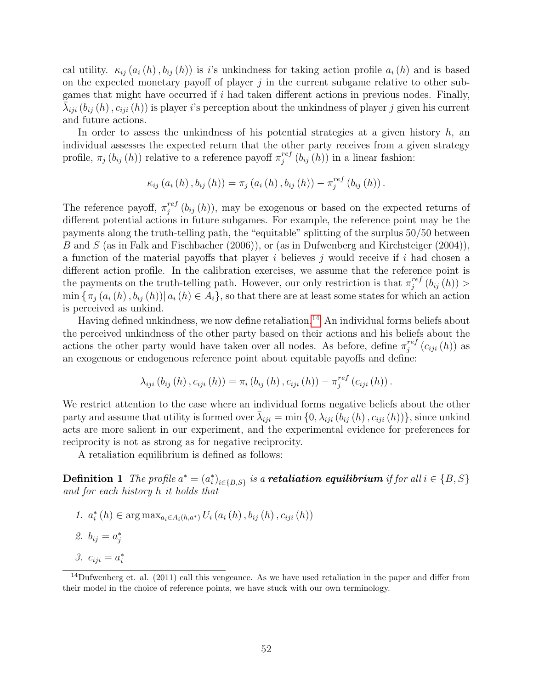cal utility.  $\kappa_{ij}$   $(a_i(h), b_{ij}(h))$  is i's unkindness for taking action profile  $a_i(h)$  and is based on the expected monetary payoff of player  $j$  in the current subgame relative to other subgames that might have occurred if  $i$  had taken different actions in previous nodes. Finally,  $\bar{\lambda}_{iji}$   $(b_{ij}(h), c_{iji}(h))$  is player *i*'s perception about the unkindness of player *j* given his current and future actions.

In order to assess the unkindness of his potential strategies at a given history  $h$ , and individual assesses the expected return that the other party receives from a given strategy profile,  $\pi_j(b_{ij}(h))$  relative to a reference payoff  $\pi_i^{ref}$  $j^{ref}(b_{ij}(h))$  in a linear fashion:

$$
\kappa_{ij}(a_i(h), b_{ij}(h)) = \pi_j(a_i(h), b_{ij}(h)) - \pi_j^{ref}(b_{ij}(h)).
$$

The reference payoff,  $\pi_i^{ref}$  $j_j^{ref}(b_{ij}(h))$ , may be exogenous or based on the expected returns of different potential actions in future subgames. For example, the reference point may be the payments along the truth-telling path, the "equitable" splitting of the surplus 50/50 between B and S (as in Falk and Fischbacher (2006)), or (as in Dufwenberg and Kirchsteiger (2004)), a function of the material payoffs that player i believes j would receive if i had chosen a different action profile. In the calibration exercises, we assume that the reference point is the payments on the truth-telling path. However, our only restriction is that  $\pi_i^{ref}$  $j^{ref}\left( b_{ij}\left( h\right) \right) >$  $\min \{\pi_j(a_i(h), b_{ij}(h)) | a_i(h) \in A_i\}$ , so that there are at least some states for which an action is perceived as unkind.

Having defined unkindness, we now define retaliation.<sup>[14](#page--1-0)</sup> An individual forms beliefs about the perceived unkindness of the other party based on their actions and his beliefs about the actions the other party would have taken over all nodes. As before, define  $\pi_i^{ref}$  $j^{ref}\left( {c_{iji}\left( h \right)} \right)$  as an exogenous or endogenous reference point about equitable payoffs and define:

$$
\lambda_{iji} (b_{ij} (h), c_{iji} (h)) = \pi_i (b_{ij} (h), c_{iji} (h)) - \pi_j^{ref} (c_{iji} (h)).
$$

We restrict attention to the case where an individual forms negative beliefs about the other party and assume that utility is formed over  $\bar{\lambda}_{iji} = \min\{0, \lambda_{iji}(\bar{b}_{ij}(h), c_{iji}(h))\}$ , since unkind acts are more salient in our experiment, and the experimental evidence for preferences for reciprocity is not as strong as for negative reciprocity.

A retaliation equilibrium is defined as follows:

**Definition 1** The profile  $a^* = (a_i^*)_{i \in \{B,S\}}$  is a **retaliation equilibrium** if for all  $i \in \{B,S\}$ and for each history h it holds that

- 1.  $a_i^*(h) \in \arg \max_{a_i \in A_i(h, a^*)} U_i(a_i(h), b_{ij}(h), c_{iji}(h))$
- 2.  $b_{ij} = a_j^*$
- 3.  $c_{iji} = a_i^*$

<sup>&</sup>lt;sup>14</sup>Dufwenberg et. al. (2011) call this vengeance. As we have used retaliation in the paper and differ from their model in the choice of reference points, we have stuck with our own terminology.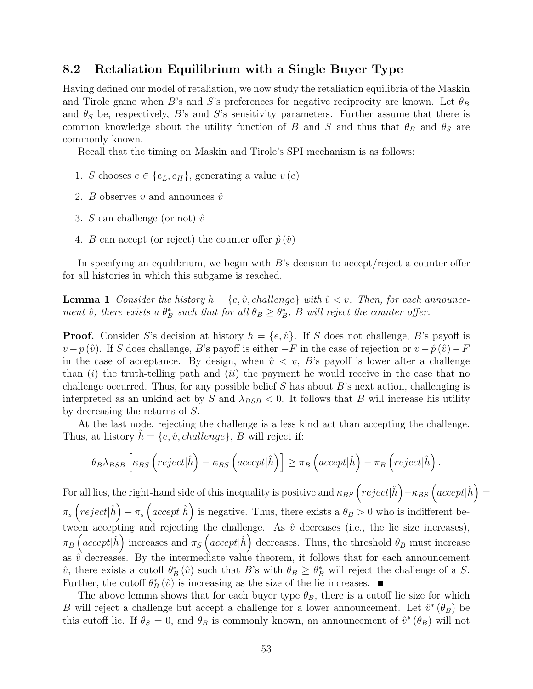#### 8.2 Retaliation Equilibrium with a Single Buyer Type

Having defined our model of retaliation, we now study the retaliation equilibria of the Maskin and Tirole game when B's and S's preferences for negative reciprocity are known. Let  $\theta_B$ and  $\theta_S$  be, respectively, B's and S's sensitivity parameters. Further assume that there is common knowledge about the utility function of B and S and thus that  $\theta_B$  and  $\theta_S$  are commonly known.

Recall that the timing on Maskin and Tirole's SPI mechanism is as follows:

- 1. S chooses  $e \in \{e_L, e_H\}$ , generating a value  $v(e)$
- 2. *B* observes *v* and announces  $\hat{v}$
- 3. S can challenge (or not)  $\hat{v}$
- 4. B can accept (or reject) the counter offer  $\hat{p}(\hat{v})$

In specifying an equilibrium, we begin with B's decision to accept/reject a counter offer for all histories in which this subgame is reached.

**Lemma 1** Consider the history  $h = \{e, \hat{v}, \text{challenge}\}\$  with  $\hat{v} < v$ . Then, for each announcement  $\hat{v}$ , there exists a  $\theta_B^*$  such that for all  $\theta_B \ge \theta_B^*$ , B will reject the counter offer.

**Proof.** Consider S's decision at history  $h = \{e, \hat{v}\}\$ . If S does not challenge, B's payoff is  $v - p(\hat{v})$ . If S does challenge, B's payoff is either  $-F$  in the case of rejection or  $v - \hat{p}(\hat{v}) - F$ in the case of acceptance. By design, when  $\hat{v} \lt v$ , B's payoff is lower after a challenge than  $(i)$  the truth-telling path and  $(ii)$  the payment he would receive in the case that no challenge occurred. Thus, for any possible belief  $S$  has about  $B$ 's next action, challenging is interpreted as an unkind act by S and  $\lambda_{BSB} < 0$ . It follows that B will increase his utility by decreasing the returns of S.

At the last node, rejecting the challenge is a less kind act than accepting the challenge. Thus, at history  $h = \{e, \hat{v}, challenge\}$ , B will reject if:

$$
\theta_B \lambda_{BSB} \left[ \kappa_{BS} \left( \text{reject} | \hat{h} \right) - \kappa_{BS} \left( \text{accept} | \hat{h} \right) \right] \geq \pi_B \left( \text{accept} | \hat{h} \right) - \pi_B \left( \text{reject} | \hat{h} \right).
$$

For all lies, the right-hand side of this inequality is positive and  $\kappa_{BS}\left(reject|\hat{h}\right)-\kappa_{BS}\left(accept|\hat{h}\right)=$  $\pi_s\left(reject|\hat{h}\right)-\pi_s\left(accept|\hat{h}\right)$  is negative. Thus, there exists a  $\theta_B>0$  who is indifferent between accepting and rejecting the challenge. As  $\hat{v}$  decreases (i.e., the lie size increases),  $\pi_B\left(accept|\hat{h}\right)$  increases and  $\pi_S\left(accept|\hat{h}\right)$  decreases. Thus, the threshold  $\theta_B$  must increase as  $\hat{v}$  decreases. By the intermediate value theorem, it follows that for each announcement  $\hat{v}$ , there exists a cutoff  $\theta_B^*(\hat{v})$  such that B's with  $\theta_B \ge \theta_B^*$  will reject the challenge of a S. Further, the cutoff  $\theta_B^* (\hat{v})$  is increasing as the size of the lie increases.

The above lemma shows that for each buyer type  $\theta_B$ , there is a cutoff lie size for which B will reject a challenge but accept a challenge for a lower announcement. Let  $\hat{v}^*(\theta_B)$  be this cutoff lie. If  $\theta_S = 0$ , and  $\theta_B$  is commonly known, an announcement of  $\hat{v}^*(\theta_B)$  will not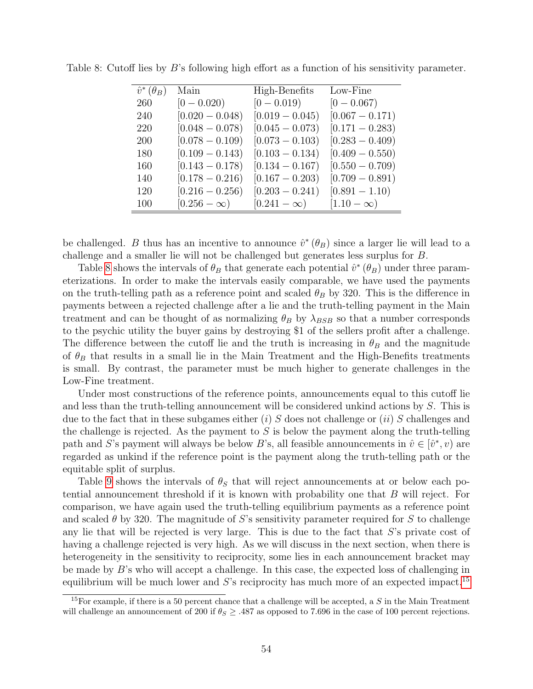| $\hat{v}^*(\theta_B)$ | Main               | High-Benefits      | Low-Fine          |
|-----------------------|--------------------|--------------------|-------------------|
| 260                   | $[0 - 0.020)$      | $[0 - 0.019]$      | $[0 - 0.067)$     |
| 240                   | $[0.020 - 0.048]$  | $[0.019 - 0.045]$  | $[0.067 - 0.171)$ |
| 220                   | $[0.048 - 0.078)$  | $[0.045 - 0.073]$  | $[0.171 - 0.283]$ |
| 200                   | $[0.078 - 0.109]$  | $[0.073 - 0.103]$  | $[0.283 - 0.409]$ |
| 180                   | $[0.109 - 0.143]$  | $[0.103 - 0.134]$  | $[0.409 - 0.550)$ |
| 160                   | $[0.143 - 0.178]$  | $[0.134 - 0.167]$  | $[0.550 - 0.709]$ |
| 140                   | $[0.178 - 0.216]$  | $[0.167 - 0.203]$  | $[0.709 - 0.891)$ |
| 120                   | $[0.216 - 0.256]$  | $[0.203 - 0.241)$  | $[0.891 - 1.10]$  |
| 100                   | $[0.256 - \infty)$ | $[0.241 - \infty)$ | $[1.10-\infty)$   |

<span id="page-56-0"></span>Table 8: Cutoff lies by B's following high effort as a function of his sensitivity parameter.

be challenged. B thus has an incentive to announce  $\hat{v}^*(\theta_B)$  since a larger lie will lead to a challenge and a smaller lie will not be challenged but generates less surplus for B.

Table [8](#page-56-0) shows the intervals of  $\theta_B$  that generate each potential  $\hat{v}^*(\theta_B)$  under three parameterizations. In order to make the intervals easily comparable, we have used the payments on the truth-telling path as a reference point and scaled  $\theta_B$  by 320. This is the difference in payments between a rejected challenge after a lie and the truth-telling payment in the Main treatment and can be thought of as normalizing  $\theta_B$  by  $\lambda_{BSB}$  so that a number corresponds to the psychic utility the buyer gains by destroying \$1 of the sellers profit after a challenge. The difference between the cutoff lie and the truth is increasing in  $\theta_B$  and the magnitude of  $\theta_B$  that results in a small lie in the Main Treatment and the High-Benefits treatments is small. By contrast, the parameter must be much higher to generate challenges in the Low-Fine treatment.

Under most constructions of the reference points, announcements equal to this cutoff lie and less than the truth-telling announcement will be considered unkind actions by S. This is due to the fact that in these subgames either (i) S does not challenge or (ii) S challenges and the challenge is rejected. As the payment to  $S$  is below the payment along the truth-telling path and S's payment will always be below B's, all feasible announcements in  $\hat{v} \in [\hat{v}^*, v)$  are regarded as unkind if the reference point is the payment along the truth-telling path or the equitable split of surplus.

Table [9](#page-57-0) shows the intervals of  $\theta_{\mathcal{S}}$  that will reject announcements at or below each potential announcement threshold if it is known with probability one that B will reject. For comparison, we have again used the truth-telling equilibrium payments as a reference point and scaled  $\theta$  by 320. The magnitude of S's sensitivity parameter required for S to challenge any lie that will be rejected is very large. This is due to the fact that S's private cost of having a challenge rejected is very high. As we will discuss in the next section, when there is heterogeneity in the sensitivity to reciprocity, some lies in each announcement bracket may be made by  $B$ 's who will accept a challenge. In this case, the expected loss of challenging in equilibrium will be much lower and  $S$ 's reciprocity has much more of an expected impact.<sup>[15](#page--1-0)</sup>

<sup>&</sup>lt;sup>15</sup>For example, if there is a 50 percent chance that a challenge will be accepted, a  $S$  in the Main Treatment will challenge an announcement of 200 if  $\theta_S \geq .487$  as opposed to 7.696 in the case of 100 percent rejections.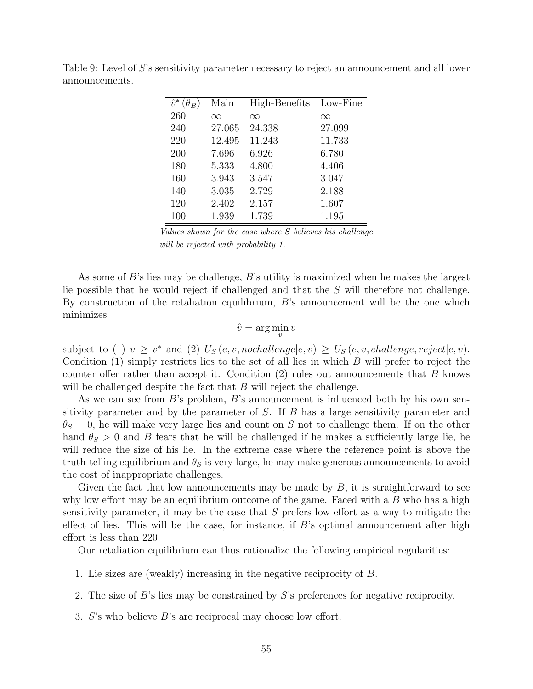| $\hat{v}^*(\theta_B)$ | Main     | High-Benefits | Low-Fine |
|-----------------------|----------|---------------|----------|
| 260                   | $\infty$ | $\infty$      | $\infty$ |
| 240                   | 27.065   | 24.338        | 27.099   |
| 220                   | 12.495   | 11.243        | 11.733   |
| 200                   | 7.696    | 6.926         | 6.780    |
| 180                   | 5.333    | 4.800         | 4.406    |
| 160                   | 3.943    | 3.547         | 3.047    |
| 140                   | 3.035    | 2.729         | 2.188    |
| 120                   | 2.402    | 2.157         | 1.607    |
| 100                   | 1.939    | 1.739         | 1.195    |
|                       |          |               |          |

<span id="page-57-0"></span>Table 9: Level of S's sensitivity parameter necessary to reject an announcement and all lower announcements.

Values shown for the case where S believes his challenge will be rejected with probability 1.

As some of B's lies may be challenge, B's utility is maximized when he makes the largest lie possible that he would reject if challenged and that the S will therefore not challenge. By construction of the retaliation equilibrium,  $B$ 's announcement will be the one which minimizes

$$
\hat{v} = \arg\min_v v
$$

subject to (1)  $v \geq v^*$  and (2)  $U_s(e, v, \text{nochallenge}|e, v) \geq U_s(e, v, \text{challenge}, \text{reject}|e, v)$ . Condition  $(1)$  simply restricts lies to the set of all lies in which B will prefer to reject the counter offer rather than accept it. Condition  $(2)$  rules out announcements that B knows will be challenged despite the fact that  $B$  will reject the challenge.

As we can see from  $B$ 's problem,  $B$ 's announcement is influenced both by his own sensitivity parameter and by the parameter of  $S$ . If  $B$  has a large sensitivity parameter and  $\theta_S = 0$ , he will make very large lies and count on S not to challenge them. If on the other hand  $\theta_{\rm S} > 0$  and B fears that he will be challenged if he makes a sufficiently large lie, he will reduce the size of his lie. In the extreme case where the reference point is above the truth-telling equilibrium and  $\theta_S$  is very large, he may make generous announcements to avoid the cost of inappropriate challenges.

Given the fact that low announcements may be made by  $B$ , it is straightforward to see why low effort may be an equilibrium outcome of the game. Faced with a  $B$  who has a high sensitivity parameter, it may be the case that S prefers low effort as a way to mitigate the effect of lies. This will be the case, for instance, if  $B$ 's optimal announcement after high effort is less than 220.

Our retaliation equilibrium can thus rationalize the following empirical regularities:

- 1. Lie sizes are (weakly) increasing in the negative reciprocity of B.
- 2. The size of B's lies may be constrained by S's preferences for negative reciprocity.
- 3. S's who believe B's are reciprocal may choose low effort.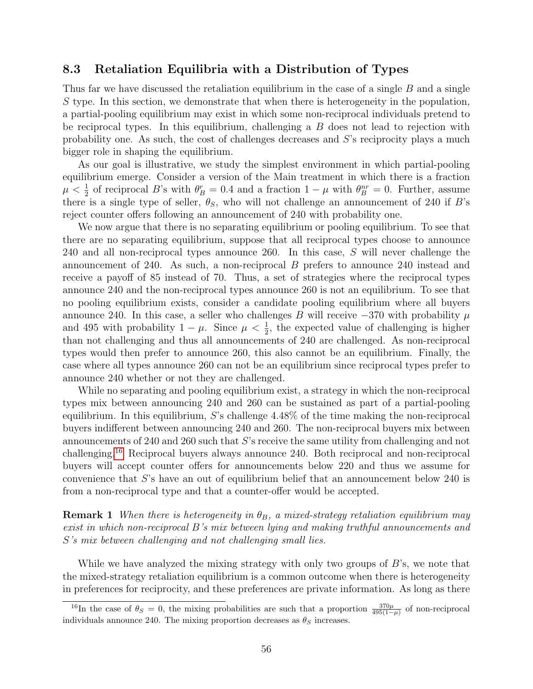#### 8.3 Retaliation Equilibria with a Distribution of Types

Thus far we have discussed the retaliation equilibrium in the case of a single B and a single S type. In this section, we demonstrate that when there is heterogeneity in the population, a partial-pooling equilibrium may exist in which some non-reciprocal individuals pretend to be reciprocal types. In this equilibrium, challenging a  $B$  does not lead to rejection with probability one. As such, the cost of challenges decreases and S's reciprocity plays a much bigger role in shaping the equilibrium.

As our goal is illustrative, we study the simplest environment in which partial-pooling equilibrium emerge. Consider a version of the Main treatment in which there is a fraction  $\mu < \frac{1}{2}$  of reciprocal B's with  $\theta_B^r = 0.4$  and a fraction  $1 - \mu$  with  $\theta_B^{nr} = 0$ . Further, assume there is a single type of seller,  $\theta_{S}$ , who will not challenge an announcement of 240 if B's reject counter offers following an announcement of 240 with probability one.

We now argue that there is no separating equilibrium or pooling equilibrium. To see that there are no separating equilibrium, suppose that all reciprocal types choose to announce 240 and all non-reciprocal types announce 260. In this case, S will never challenge the announcement of 240. As such, a non-reciprocal B prefers to announce 240 instead and receive a payoff of 85 instead of 70. Thus, a set of strategies where the reciprocal types announce 240 and the non-reciprocal types announce 260 is not an equilibrium. To see that no pooling equilibrium exists, consider a candidate pooling equilibrium where all buyers announce 240. In this case, a seller who challenges B will receive  $-370$  with probability  $\mu$ and 495 with probability  $1 - \mu$ . Since  $\mu < \frac{1}{2}$ , the expected value of challenging is higher than not challenging and thus all announcements of 240 are challenged. As non-reciprocal types would then prefer to announce 260, this also cannot be an equilibrium. Finally, the case where all types announce 260 can not be an equilibrium since reciprocal types prefer to announce 240 whether or not they are challenged.

While no separating and pooling equilibrium exist, a strategy in which the non-reciprocal types mix between announcing 240 and 260 can be sustained as part of a partial-pooling equilibrium. In this equilibrium, S's challenge  $4.48\%$  of the time making the non-reciprocal buyers indifferent between announcing 240 and 260. The non-reciprocal buyers mix between announcements of 240 and 260 such that S's receive the same utility from challenging and not challenging.[16](#page--1-0) Reciprocal buyers always announce 240. Both reciprocal and non-reciprocal buyers will accept counter offers for announcements below 220 and thus we assume for convenience that S's have an out of equilibrium belief that an announcement below 240 is from a non-reciprocal type and that a counter-offer would be accepted.

**Remark 1** When there is heterogeneity in  $\theta_B$ , a mixed-strategy retaliation equilibrium may exist in which non-reciprocal B's mix between lying and making truthful announcements and S's mix between challenging and not challenging small lies.

While we have analyzed the mixing strategy with only two groups of  $B$ 's, we note that the mixed-strategy retaliation equilibrium is a common outcome when there is heterogeneity in preferences for reciprocity, and these preferences are private information. As long as there

<sup>&</sup>lt;sup>16</sup>In the case of  $\theta_S = 0$ , the mixing probabilities are such that a proportion  $\frac{370\mu}{495(1-\mu)}$  of non-reciprocal individuals announce 240. The mixing proportion decreases as  $\theta_S$  increases.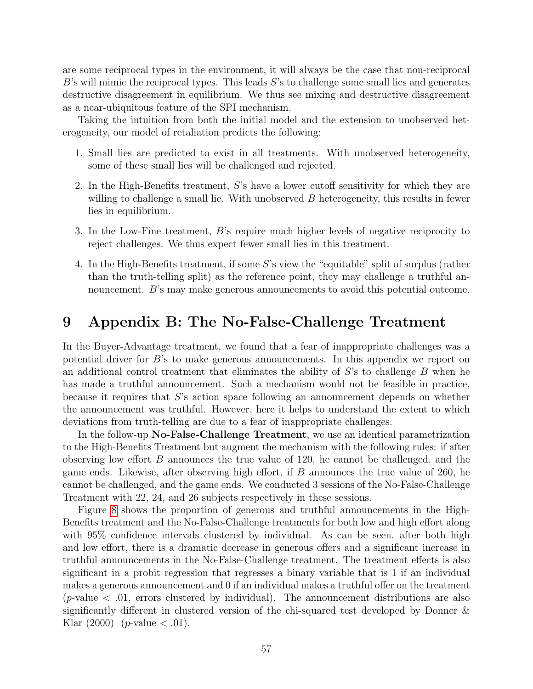are some reciprocal types in the environment, it will always be the case that non-reciprocal  $B$ 's will mimic the reciprocal types. This leads  $S$ 's to challenge some small lies and generates destructive disagreement in equilibrium. We thus see mixing and destructive disagreement as a near-ubiquitous feature of the SPI mechanism.

Taking the intuition from both the initial model and the extension to unobserved heterogeneity, our model of retaliation predicts the following:

- 1. Small lies are predicted to exist in all treatments. With unobserved heterogeneity, some of these small lies will be challenged and rejected.
- 2. In the High-Benefits treatment, S's have a lower cutoff sensitivity for which they are willing to challenge a small lie. With unobserved  $B$  heterogeneity, this results in fewer lies in equilibrium.
- 3. In the Low-Fine treatment, B's require much higher levels of negative reciprocity to reject challenges. We thus expect fewer small lies in this treatment.
- 4. In the High-Benefits treatment, if some S's view the "equitable" split of surplus (rather than the truth-telling split) as the reference point, they may challenge a truthful announcement. B's may make generous announcements to avoid this potential outcome.

# 9 Appendix B: The No-False-Challenge Treatment

In the Buyer-Advantage treatment, we found that a fear of inappropriate challenges was a potential driver for  $B$ 's to make generous announcements. In this appendix we report on an additional control treatment that eliminates the ability of  $S$ 's to challenge  $B$  when he has made a truthful announcement. Such a mechanism would not be feasible in practice, because it requires that S's action space following an announcement depends on whether the announcement was truthful. However, here it helps to understand the extent to which deviations from truth-telling are due to a fear of inappropriate challenges.

In the follow-up No-False-Challenge Treatment, we use an identical parametrization to the High-Benefits Treatment but augment the mechanism with the following rules: if after observing low effort  $B$  announces the true value of 120, he cannot be challenged, and the game ends. Likewise, after observing high effort, if  $B$  announces the true value of 260, he cannot be challenged, and the game ends. We conducted 3 sessions of the No-False-Challenge Treatment with 22, 24, and 26 subjects respectively in these sessions.

Figure [8](#page-60-0) shows the proportion of generous and truthful announcements in the High-Benefits treatment and the No-False-Challenge treatments for both low and high effort along with 95% confidence intervals clustered by individual. As can be seen, after both high and low effort, there is a dramatic decrease in generous offers and a significant increase in truthful announcements in the No-False-Challenge treatment. The treatment effects is also significant in a probit regression that regresses a binary variable that is 1 if an individual makes a generous announcement and 0 if an individual makes a truthful offer on the treatment (*p*-value  $\lt$  .01, errors clustered by individual). The announcement distributions are also significantly different in clustered version of the chi-squared test developed by Donner & Klar (2000) (*p*-value  $< .01$ ).